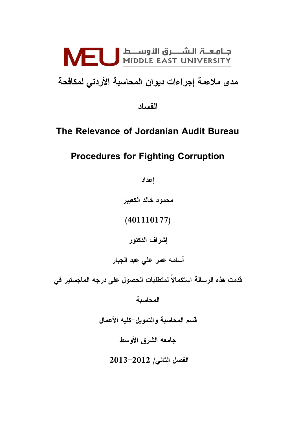

مدى ملاعمة إجراءات ديوان المحاسبة الأردنى لمكافحة

الفساد

### The Relevance of Jordanian Audit Bureau

## Procedures for Fighting Corruption

إعداد

محمود خالد الكعيبر

(401110177)

إشراف الدكتور

أسامه عمر عل*ى* عبد الجبار

قدمت هذه الرسالة استكمالا لمتطلبات الحصول على درجه الماجستير فى

المحاسبة

قسم المحاسبة والتمويل–كليه الأعمال

جامعه الشرق الأوسط

 $12013 - 2012$  الفصل الثاني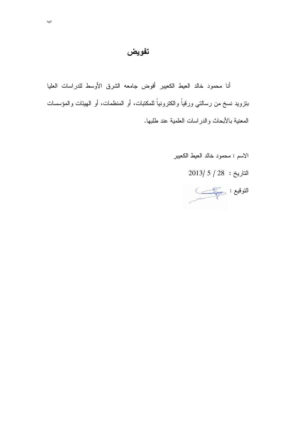### تفويض

أنا محمود خالد العيط الكعيبر أفوض جامعه الشرق الأوسط للدراسات العليا بنزويد نسخ من رسالتي ورقياً والكترونياً للمكتبات، أو المنظمات، أو الهيئات والمؤسسات المعنية بالأبحاث والدراسات العلمية عند طلبها.

- الاسم : محمود خالد العيط الكعيبر
	- $2013/5/28$  التاريخ: 28

النوفيع : حُمُ الله عَمَلَ الله عَمَلَ الله عَمَلَ الله عَمَلَ الله عَمَلَ اللَّهُ عَلَى اللَّهُ عَل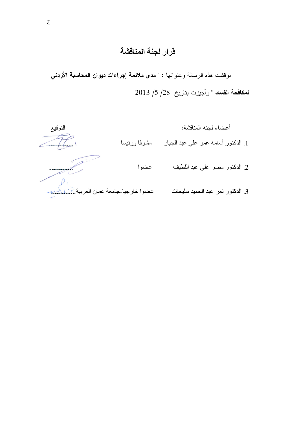## قرار لجنة المناقشة

نوفشت هذه الرسالة وعنوانها : " مدى ملائمة إجراءات ديوان المحاسبة الأردني لمكافحة الفساد " وأجيزت بتاريخ 28/ 5/ 2013

أعضاء لجنه المناقشة:

1. الدكتور أسامه عمر علي عبد الجبار مشرفا ورئيسا

التوقيع  $\widehat{\mathcal{H}}_{\omega}$ 

| معة عمان العربية <u></u> . |
|----------------------------|

- 
- 3. الدكتور نمر عبد الحميد سليحات عضوا خارجيا-جامـ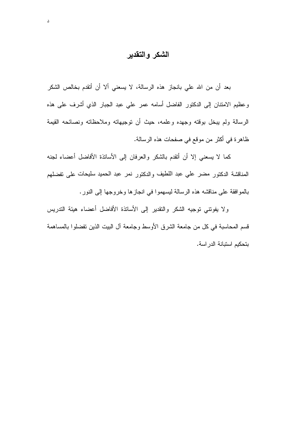### الشكر والتقدير

بعد أن من الله علي بانجاز هذه الرسالة، لا يسعني ألا أن أتقدم بخالص الشكر وعظيم الامتنان إلىي الدكتور الفاضل أسامه عمر علي عبد الجبار الذي أشرف على هذه الرسالة ولم يبخل بوقته وجهده وعلمه، حيث أن نوجيهاته وملاحظاته ونصائحه القيمة ظاهرة في أكثر من موقع في صفحات هذه الرسالة.

كما لا يسعني إلا أن أتقدم بالشكر والعرفان إلى الأساتذة الأفاضل أعضاء لجنه المناقشة الدكتور مضر على عبد اللطيف والدكتور نمر عبد الحميد سليحات على تفضلهم بالموافقة على مناقشه هذه الرسالة ليسهموا في انجازها وخروجها إلى النور.

ولا يفونني نوجيه الشكر والنقدير إلى الأساتذة الأفاضل أعضاء هيئة الندريس قسم المحاسبة في كل من جامعة الشرق الأوسط وجامعة آل البيت الذين تفضلوا بالمساهمة بتحكيم استبانة الدراسة.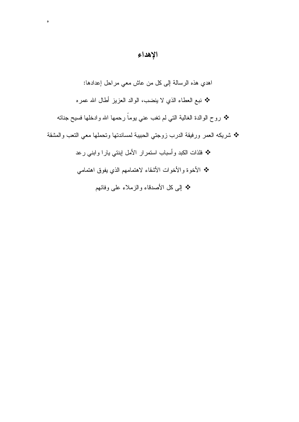### الإهداء

 $\circ$ 

اهدي هذه الرسالة إلى كل من عاش معي مراحل إعدادها: ❖ نبع العطاء الذي لا ينضب، الوالد العزيز أطال الله عمره ❖ روح الوالدة الـغالبـة النـّي لم نـغب عنـي يومـاً رحمـها الله وادخلـها فسيح جنـانـه \* شريكه العمر ورفيقة الدرب زوجتي الحبيبة لمساندتها ونحملها معي النعب والمشقة \* فلذات الكبد وأسباب استمرار الأمل إبنتي يارا وابني رعد \* الأخوة والأخوات الأشقاء لاهتمامهم الذي يفوق اهتمامي \* إلى كل الأصدقاء والزملاء على وفائهم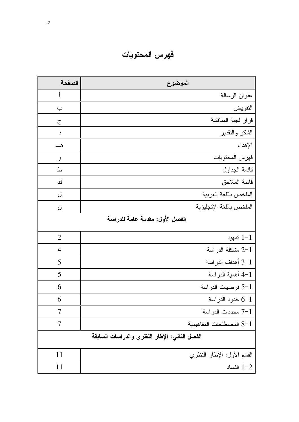فهرس المحتويات

| الصفحة                          | الموضوع                                       |
|---------------------------------|-----------------------------------------------|
| أ                               | عنوان الرسالة                                 |
| ب                               | التفويض                                       |
| ج                               | قرار لجنة المناقشة                            |
| د                               | الشكر والتقدير                                |
|                                 | الإهداء                                       |
| و                               | فهرس المحتويات                                |
| ط                               | قائمة الجداول                                 |
| ك                               | فائمة الملاحق                                 |
| ل                               | الملخص باللغة العربية                         |
| ن                               | الملخص باللغة الإنجليزية                      |
| الفصل الأول: مقدمة عامة للدراسة |                                               |
| $\overline{2}$                  | $1 - 1$ تمهيد                                 |
| $\overline{4}$                  | 2-1 مشكلة الدراسة                             |
| 5                               | 3-1 أهداف الدراسة                             |
| 5                               | 4–1 أهمية الدر اسة                            |
| 6                               | 1–5 فرضيات الدراسة                            |
| 6                               | 6-1 حدود الدراسة                              |
| 7                               | 7-1 محددات الدر اسة                           |
| 7                               | المصطلحات المفاهيمية $8-1$                    |
|                                 | الفصل الثاني: الإطار النظري والدراسات السابقة |
| 11                              | القسم الأول: الإطار النظري                    |
| 11                              | الفساد $1 - 2$                                |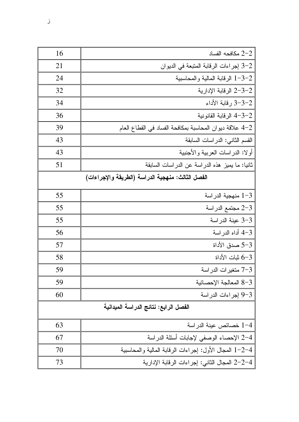| 16                                    | مكافحه الفساد $2\hbox{--}2$                             |
|---------------------------------------|---------------------------------------------------------|
| 21                                    | 2-3 إجراءات الرقابة المنبعة في الديوان                  |
| 24                                    | 1-3-2 الرقابة المالية والمحاسبية                        |
| 32                                    | 2-3-2 الرقابة الإدارية                                  |
| 34                                    | 2–3–3 رقابة الأداء                                      |
| 36                                    | 4-3-2 الرقابة القانونية                                 |
| 39                                    | 4–2 علاقة ديوان المحاسبة بمكافحة الفساد في القطاع العام |
| 43                                    | القسم الثاني: الدراسات السابقة                          |
| 43                                    | أولا: الدراسات العربية والأجنبية                        |
| 51                                    | ثانيا: ما يميز هذه الدراسة عن الدراسات السابقة          |
|                                       | الفصل الثالث: منهجية الدراسة (الطريقة والإجراءات)       |
| 55                                    | 1–3 منهجية الدراسة                                      |
| 55                                    | 2-3 مجتمع الدراسة                                       |
| 55                                    | 3-3 عينة الدراسة                                        |
| 56                                    | 4-3 أداه الدراسة                                        |
| 57                                    | 3–5 صدق الأداة                                          |
| 58                                    | ∂−6 ثبات الأداة                                         |
| 59                                    | 7-3 متغيرات الدراسة                                     |
| 59                                    | 8-3 المعالجة الإحصائية                                  |
| 60                                    | 9-3 إجراءات الدراسة                                     |
| الفصل الرابع: نتائج الدراسة الميدانية |                                                         |
| 63                                    | 1-4 خصائص عينة الدراسة                                  |
| 67                                    | 2-4 الإحصاء الوصفي لإجابات أسئلة الدراسة                |
| 70                                    | 1-2-4 المجال الأول: إجراءات الرقابة المالية والمحاسبية  |
| 73                                    | 2-2-4 المجال الثاني: إجراءات الرقابة الإدارية           |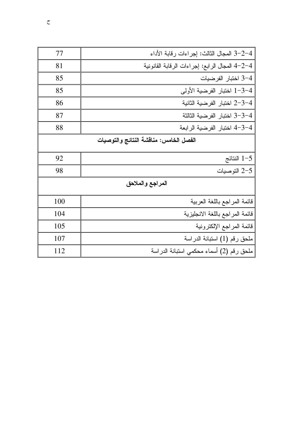| 77                                     | 3–2–4 المجال الثالث: إجراءات رقابة الأداء      |
|----------------------------------------|------------------------------------------------|
| 81                                     | 4-2-4 المجال الرابع: إجراءات الرقابة القانونية |
| 85                                     | 4–3 اختبار الفرضيات                            |
| 85                                     | 1–3–4 اختبار الفرضية الأولى                    |
| 86                                     | 4–3–2 اختبار الفرضية الثانية                   |
| 87                                     | 4–3–3 اختبار الفرضية الثالثة                   |
| 88                                     | 4-3-4 اختبار الفرضية الرابعة                   |
| الفصل الخامس: منافشة النتائج والتوصيات |                                                |
| 92                                     | النتائج $1-5$                                  |
| 98                                     | 2-5 التوصيات                                   |
|                                        | المراجع والملاحق                               |
| 100                                    | قائمة المراجع باللغة العربية                   |
| 104                                    | فائمة المراجع باللغة الانجليزية                |
| 105                                    | قائمة المراجع الإلكترونية                      |
| 107                                    | ملحق رقم (1) استبانة الدراسة                   |
| 112                                    | ملحق رقم (2) أسماء محكمي استبانة الدراسة       |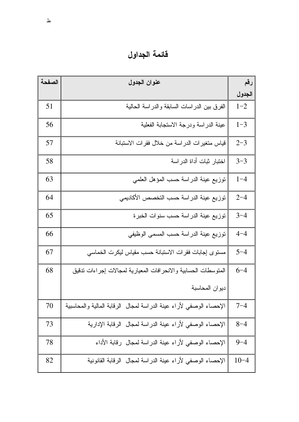# قائمة الجداول

| الصفحة | عنوان الجدول                                                       | رقم      |
|--------|--------------------------------------------------------------------|----------|
|        |                                                                    | الجدول   |
| 51     | الفرق بين الدراسات السابقة والدراسة الحالية                        | $1 - 2$  |
| 56     | عينة الدراسة ودرجة الاستجابة الفعلية                               | $1 - 3$  |
| 57     | قياس متغيرات الدراسة من خلال فقرات الاستبانة                       | $2 - 3$  |
| 58     | اختبار ثبات أداة الدر اسة                                          | $3 - 3$  |
| 63     | نوزيع عينة الدراسة حسب المؤهل العلمى                               | $1 - 4$  |
| 64     | نوزيع عينة الدراسة حسب التخصص الأكاديمي                            | $2 - 4$  |
| 65     | نوزيع عينة الدراسة حسب سنوات الخبرة                                | $3 - 4$  |
| 66     | نوزيع عينة الدراسة حسب المسمى الوظيفي                              | $4 - 4$  |
| 67     | مسنوى إجابات فقرات الاستبانة حسب مقياس ليكرت الخماسى               | $5 - 4$  |
| 68     | المنوسطات الحسابية والانحرافات المعيارية لمجالات إجراءات ندقيق     | $6 - 4$  |
|        | ديوان المحاسبة                                                     |          |
| 70     | الإحصاء الوصفى لأراء عينة الدراسة لمجال الرقابة المالية والمحاسبية | $7 - 4$  |
| 73     | الإحصاء الوصفى لأراء عينة الدراسة لمجال الرقابة الإدارية           | $8 - 4$  |
| 78     | الإحصاء الوصفى لأراء عينة الدراسة لمجال رقابة الأداء               | $9 - 4$  |
| 82     | الإحصاء الوصفى لأراء عينة الدراسة لمجال الرقابة القانونية          | $10 - 4$ |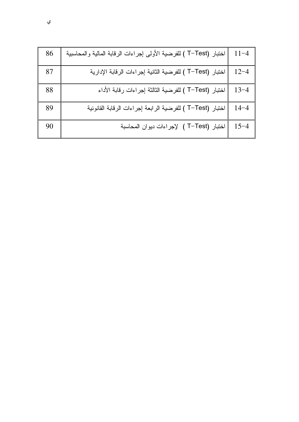| 86 | اختبار (T-Test ) للفرضية الأولى إجراءات الرقابة المالية والمحاسبية | $11 - 4$ |
|----|--------------------------------------------------------------------|----------|
| 87 | اختبار (T−Test ) للفرضية الثانية إجراءات الرقابة الإدارية          | $12 - 4$ |
| 88 | اختبار (T−Test ) للفرضية الثالثة إجراءات رقابة الأداء              | $13 - 4$ |
| 89 | اختبار (T-Test ) للفرضية الرابعة إجراءات الرقابة القانونية         | $14 - 4$ |
| 90 | اختبار (T-Test ) لإجراءات ديوان المحاسبة                           | $15 - 4$ |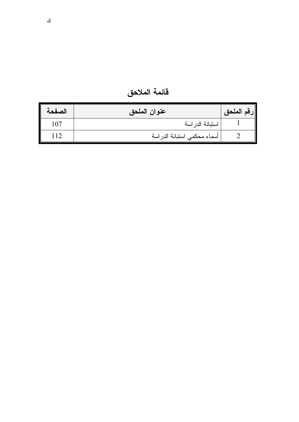| فائمة الملاحق |  |
|---------------|--|
|---------------|--|

| الصفحة | عنوان الملحق                | رقم الملحق |
|--------|-----------------------------|------------|
| 107    | استبانة الدراسة             |            |
| 112    | أسماء محكمي استبانة الدراسة |            |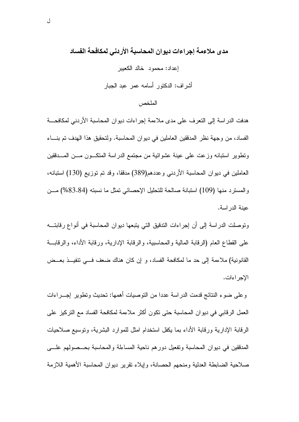مدى ملاءمة إجراءات ديوان المحاسبة الأردني لمكافحة الفساد إعداد: محمود خالد الكعيبر أشر اف: الدكتور أسامه عمر عبد الجبار

الملخص

هدفت الدراسة إلى التعرف على مدى ملاءمة إجراءات ديوان المحاسبة الأردني لمكافحة الفساد، من وجهة نظر المدفقين العاملين في ديوان المحاسبة. ولتحقيق هذا الهدف تم بنــــاء ونطوير استبانه وزعت على عينة عشوائية من مجتمع الدراسة المنكـــون مـــن المــــدققين العاملين في ديوان المحاسبة الأردنبي وعددهم(389) مدققا، وقد تم توزيع (130) استبانه، والمسترد منها (109) استبانة صالحة للتحليل الإحصائي نمثل ما نسبته (83.84%) مــن عبنة الدر اسة.

وتوصلت الدراسة إلى أن إجراءات التدقيق التي يتبعها ديوان المحاسبة في أنواع رقابتـــه على القطاع العام (الرفابة المالية والمحاسبية، والرفابة الإدارية، ورفابة الأداء، والرفابـــة القانونية) ملاءمة إلى حد ما لمكافحة الفساد، و إن كان هناك ضعف فسى نتفيــذ بعــض الإجراءات.

وعلى ضوء النتائج قدمت الدراسة عددا من التوصيات أهمها: تحديث وتطوير إجـــراءات العمل الرقابي في ديوان المحاسبة حتى نكون أكثر ملاءمة لمكافحة الفساد مع النركيز على الرقابة الإدارية ورقابة الأداء بما يكفل استخدام امثل للموارد البشرية، ونوسيع صلاحيات المدققين في ديوان المحاسبة وتفعيل دورهم ناحية المساءلة والمحاسبة بحــصولهم علـــي صلاحية الضابطة العدلية ومنحهم الحصانة، وإيلاء نقرير ديوان المحاسبة الأهمية اللازمة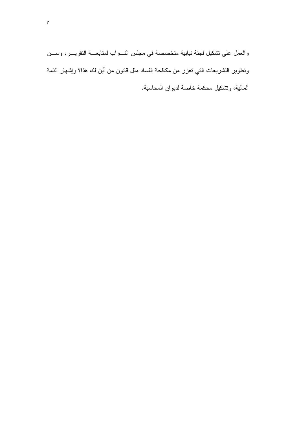والعمل على نشكيل لجنة نيابية متخصصة في مجلس النسواب لمتابعـــة النقريـــر، وســـن ونطوير النشريعات النبي نعزز من مكافحة الفساد مثل قانون من أين لك هذا؟ وإشهار الذمة المالية، وتشكيل محكمة خاصة لديوان المحاسبة.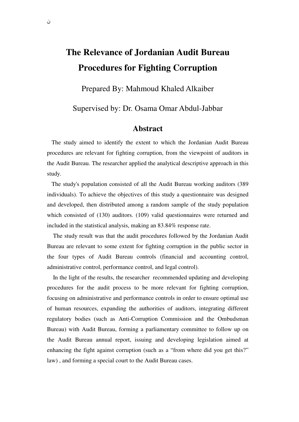# **The Relevance of Jordanian Audit Bureau Procedures for Fighting Corruption**

Prepared By: Mahmoud Khaled Alkaiber

Supervised by: Dr. Osama Omar Abdul-Jabbar

#### **Abstract**

 The study aimed to identify the extent to which the Jordanian Audit Bureau procedures are relevant for fighting corruption, from the viewpoint of auditors in the Audit Bureau. The researcher applied the analytical descriptive approach in this study.

 The study's population consisted of all the Audit Bureau working auditors (389 individuals). To achieve the objectives of this study a questionnaire was designed and developed, then distributed among a random sample of the study population which consisted of (130) auditors. (109) valid questionnaires were returned and included in the statistical analysis, making an 83.84% response rate.

 The study result was that the audit procedures followed by the Jordanian Audit Bureau are relevant to some extent for fighting corruption in the public sector in the four types of Audit Bureau controls (financial and accounting control, administrative control, performance control, and legal control).

 In the light of the results, the researcher recommended updating and developing procedures for the audit process to be more relevant for fighting corruption, focusing on administrative and performance controls in order to ensure optimal use of human resources, expanding the authorities of auditors, integrating different regulatory bodies (such as Anti-Corruption Commission and the Ombudsman Bureau) with Audit Bureau, forming a parliamentary committee to follow up on the Audit Bureau annual report, issuing and developing legislation aimed at enhancing the fight against corruption (such as a "from where did you get this?" law) , and forming a special court to the Audit Bureau cases.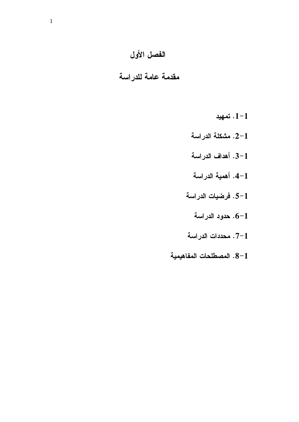# الفصل الأول

## مقدمة عامة للدراسة

- $-1 1$ . تمهيد
- 2-1. مشكلة الدراسة
- 3-1. أهداف الدراسة
- 4-1. أهمية الدراسة
- 1–5. فرضيات الدراسة
	- حدود الدراسة . $6\hbox{--}1$
- .7-1 محددات الدراسة
- 8-1. المصطلحات المفاهيمية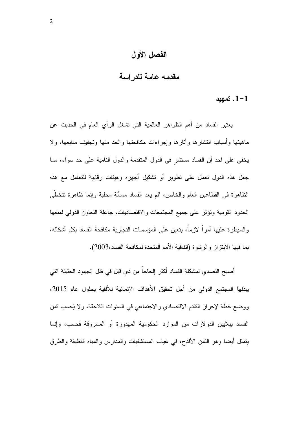### الفصل الأول

## مقدمه عامة للدراسة

#### . تمهید  $1 - 1$

يعتبر الفساد من أهم الظواهر العالمية التي نشغل الرأى العام في الحديث عن ماهيتها وأسباب انتشارها وأثارها وإجراءات مكافحتها والحد منها وتجفيف منابعها، ولا يخفي على احد أن الفساد مستثنر في الدول المتقدمة والدول النامية على حد سواء، مما جعل هذه الدول نعمل على نطوير أو نشكيل أجهزه وهيئات رقابية للتعامل مع هذه الظاهرة في القطاعين العام والخاص، "لم يعد الفساد مسألة محلية وإنما ظاهرة تتخطَّى الحدود القومية ونؤثر على جميع المجتمعات والاقتصاديات، جاعلة التعاون الدولمي لمنعها والسيطرة عليها أمراً لازماً، يتعين على المؤسسات النجارية مكافحة الفساد بكل أشكاله، بما فيها الابنزاز والرشوة (اتفاقية الأمم المتحدة لمكافحة الفساد،2003).

أصبح النصدي لمشكلة الفساد أكثر الحاحاً من ذي قبل في ظل الجهود الحثيثة التي بِبِذلها المجتمع الدولي من أجل تحقيق الأهداف الإنمائية للألفية بحلول عام 2015، ووضع خطة لإحراز النقدم الاقتصادي والاجتماعي في السنوات اللاحقة، ولا يُحسب ثمن الفساد ببلايين الدولارات من الموارد الحكومية المهدورة أو المسروقة فحسب، وإنما بِنْمَثِّل أَبِضا وهو النَّمن الأفدح، في غياب المستشفيات والمدارس والمياه النظيفة والطرق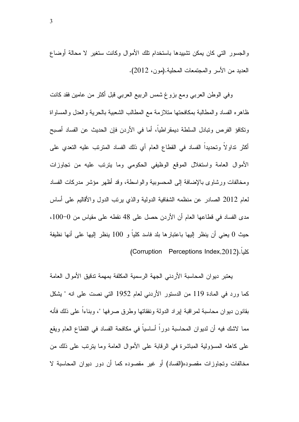والجسور التي كان يمكن تشييدها باستخدام نلك الأموال وكانت ستغير لا محالة أوضاع العديد من الأسر والمجتمعات المحلية.(مون، 2012).

وفي الوطن العربي ومع بزوغ شمس الربيع العربي قبل اكثر من عامين فقد كانت ظاهره الفساد والمطالبة بمكافحتها متلازمة مع المطالب الشعبية بالحرية والعدل والمساواة ونكافؤ الفرص ونبادل السلطة ديمقراطيا، أما في الأردن فإن الحديث عن الفساد أصبح اكثر نداولا وتحديدا الفساد في القطاع العام أي ذلك الفساد المنزنب عليه التعدي على الأموال العامة واستغلال الموقع الوظيفي الحكومي وما يترتب عليه من تجاوزات ومخالفات ورشاوى بالإضافة إلى المحسوبية والواسطة، وقد أظهر مؤشر مدركات الفساد لعام 2012 الصـادر عن منظمه الشفافية الدولية والذي يرتب الدول والأقاليم علـى أساس مدى الفساد في قطاعها العام أن الأردن حصل على 48 نقطه على مقياس من 0−100، حيث 0 يعني أن ينظر إليها باعتبارها بلد فاسد كليا و 100 ينظر إليها على أنها نظيفة كليا.(Corruption Perceptions Index,2012)

> يعتبر ديوان المحاسبة الأردني الجهة الرسمية المكلفة بمهمة تدقيق الأموال العامة كما ورد في المادة 119 من الدستور الأردني لعام 1952 التي نصت على انه " يشكل بقانون ديوان محاسبة لمراقبة لِيراد الدولة ونفقاتها وطرق صرفها "، وبناءا على ذلك فأنه مما لاشك فيه أن لديوان المحاسبة دورًا أساسياً في مكافحة الفساد في القطاع العام ويقع على كاهله المسؤولية المباشرة في الرقابة على الأموال العامة وما بترتب على ذلك من مخالفات وتجاوزات مقصوده(الفساد) أو غير مقصوده كما أن دور ديوان المحاسبة لا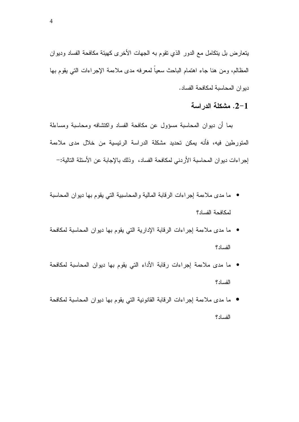يتعارض بل يتكامل مع الدور الذي نقوم به الجهات الأخرى كهيئة مكافحة الفساد وديوان المظالم، ومن هنا جاء اهتمام الباحث سعياً لمعرفه مدى ملاءمة الإجراءات التي يقوم بها ديو ان المحاسبة لمكافحة الفساد.

#### 2-1. مشكلة الدراسة

بما أن ديوان المحاسبة مسؤول عن مكافحة الفساد واكتشافه ومحاسبة ومساءلة المتورطين فيه، فأنه يمكن تحديد مشكلة الدراسة الرئيسية من خلال مدى ملاءمة لِجراءات ديوان المحاسبة الأردني لمكافحة الفساد، وذلك بالإجابة عن الأسئلة التالية:–

- ما مدى ملاءمة إجراءات الرقابة المالية والمحاسبية التي يقوم بها ديوان المحاسبة لمكافحة الفساد؟
- ما مدى ملاءمة إجراءات الرقابة الإدارية التي يقوم بها ديوان المحاسبة لمكافحة الفساد؟
- ما مدى ملاءمة إجراءات رقابة الأداء التي يقوم بها ديوان المحاسبة لمكافحة الفساد؟
- ما مدى ملاءمة إجراءات الرقابة القانونية التي يقوم بها ديوان المحاسبة لمكافحة الفساد؟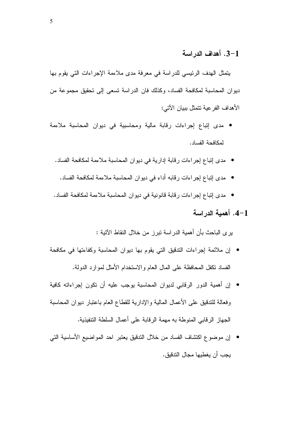#### 3-1. أهداف الدر اسة

يتمثَّل الهدف الرئيسي للدراسة في معرفة مدى ملاءمة الإجراءات التي يقوم بها ديوان المحاسبة لمكافحة الفساد، وكذلك فان الدراسة نسعى إلى نحقيق مجموعة من الأهداف الفرعية نتمثل ببيان الآتي:

- مدى إنباع إجراءات رقابة مالية ومحاسبية في ديوان المحاسبة ملاءمة لمكافحة الفساد.
	- مدى إنباع إجراءات رقابة إدارية في ديوان المحاسبة ملاءمة لمكافحة الفساد.
		- مدى إنباع إجراءات رقابه أداء في ديوان المحاسبة ملاءمة لمكافحة الفساد.
	- مدى إنباع إجراءات رقابة قانونية في ديوان المحاسبة ملاءمة لمكافحة الفساد.
		- 4–1. أهمية الدراسة

ير ي الباحث بأن أهمية الدراسة نبرز من خلال النقاط الآنية :

- إن ملائمة إجراءات الندقيق التي يقوم بها ديوان المحاسبة وكفاءتها في مكافحة الفساد تكفل المحافظة على المال العام والاستخدام الأمثل لموارد الدولة.
- إن أهمية الدور الرقابي لديوان المحاسبة يوجب عليه أن نكون إجراءاته كافية وفعالة للندقيق على الأعمال المالية والإدارية للقطاع العام باعتبار دبوان المحاسبة الجهاز الرقابي المنوطة به مهمة الرقابة على أعمال السلطة التتفيذية.
- إن موضوع اكتشاف الفساد من خلال الندقيق يعتبر احد المواضيع الأساسية التي يجب أن يغطيها مجال الندقيق.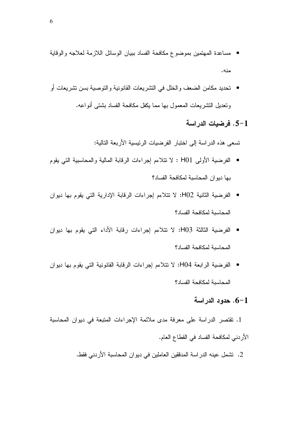- مساعدة المهتمين بموضوع مكافحة الفساد ببيان الوسائل اللازمة لعلاجه والوقاية منه.
- نحديد مكامن الضعف والخلل في النشريعات القانونية والنوصية بسن نشريعات أو وتعديل التشريعات المعمول بها مما يكفل مكافحة الفساد بشتى أنواعه.

#### 1–5. فرضيات الدراسة

تسعى هذه الدراسة إلى اختبار الفرضيات الرئيسية الأربعة التالية:

- الفرضية الأولى H01 : لا نتلاءم إجراءات الرقابة المالية والمحاسبية التي يقوم بها ديو ان المحاسبة لمكافحة الفساد؟
- الفرضية الثانية H02: لا نتلاءم إجراءات الرقابة الإدارية التي يقوم بها ديوان المحاسبة لمكافحة الفساد؟
- الفرضية الثالثة H03: لا نتلاءم إجراءات رقابة الأداء التي يقوم بها ديوان المحاسبة لمكافحة الفساد؟
- الفرضية الرابعة H04: لا نتلاءم إجراءات الرقابة القانونية التي يقوم بها ديوان المحاسبة لمكافحة الفساد؟

#### .6-1 حدود الدراسة

1. نقتصر الدراسة على معرفة مدى ملائمة الإجراءات المتبعة في ديوان المحاسبة الأردني لمكافحة الفساد في القطاع العام.

2. تشمل عينه الدراسة المدفقين العاملين في ديوان المحاسبة الأردني فقط.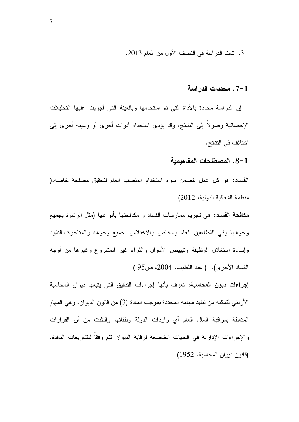3. تمت الدراسة في النصف الأول من العام 2013.

#### .7-1 محددات الدراسة

إن الدراسة محددة بالأداة التي تم استخدمها وبالعينة التي أجريت عليها التحليلات الإحصائية وصولاً إلى النتائج، وقد يؤدي استخدام أدوات أخرى أو وعينه أخرى إلى اختلاف في النتائج.

#### 8–1. المصطلحات المفاهيمية

الفساد: هو كل عمل يتضمن سوء استخدام المنصب العام لتحقيق مصلحة خاصة.( منظمة الشفافية الدولية، 2012)

**مكافحة الفساد:** هي تجريم ممارسات الفساد و مكافحتها بأنواعها (مثل الرشوة بجميع وجوهها وفي القطاعين العام والخاص والاختلاس بجميع وجوهه والمتاجرة بالنقود وإساءة استغلال الوظيفة وننبيبض الأموال والثراء غير المشروع وغيرها من أوجه الفساد الأخرى). ( عبد اللطيف، 2004، ص95 )

**إجراءات ديون المحاسبة:** تعرف بأنها إجراءات التدقيق التي يتبعها ديوان المحاسبة الأردنبي لتمكنه من نتفيذ مهامه المحددة بموجب المادة (3) من قانون الديوان، وهي المهام المتعلقة بمراقبة المال العام أي واردات الدولة ونفقاتها والتثبت من أن القرارات والإجراءات الإدارية في الجهات الخاضعة لرقابة الديوان نتم وفقاً للتشريعات النافذة. (قانون ديوان المحاسبة، 1952)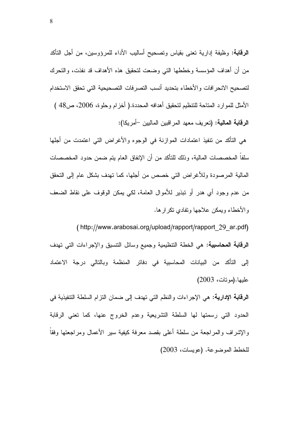**الرقابة**: وظيفة إدارية تعني بقياس وتصحيح أساليب الأداء للمرؤوسين، من أجل التأكد من أن أهداف المؤسسة وخططها التي وضعت لتحقيق هذه الأهداف قد نفذت، والتحرك لتصحيح الانحر افات والأخطاء بتحديد أنسب التصرفات التصحيحية التي تحقق الاستخدام الأمثل للموارد المتاحة للتنظيم لتحقيق أهدافه المحددة.( أخزام وحلوة، 2006، ص48 ) الرقابة المالية: (تعريف معهد المراقبين الماليين –أمريكا):

هي التأكد من تتفيذ اعتمادات الموازنة في الوجوه والأغراض التي اعتمدت من أجلها سلفا المخصصات المالية، وذلك للتأكد من أن الإنفاق العام بتم ضمن حدود المخصصات المالية المرصودة وللأغراض التي خصص من أجلها، كما نهدف بشكل عام إلى النحقق من عدم وجود أي هدر أو تبذير للأموال العامة، لكي يمكن الوقوف على نقاط الضعف والأخطاء ويمكن علاجها وتفادي تكرارها.

(http://www.arabosai.org/upload/rapport/rapport 29 ar.pdf) **الرقابة المحاسبية:** هي الخطة التنظيمية وجميع وسائل التنسيق والإجراءات التي تهدف إلى التأكد من البيانات المحاسبية في دفاتر المنظمة وبالتالي درجة الاعتماد عليها.(مونات، 2003)

**الرقابة الإدارية:** هي الإجراءات والنظم التي تهدف إلى ضمان النزام السلطة النتفيذية في الحدود التي رسمتها لها السلطة التشريعية وعدم الخروج عنها، كما تعني الرقابة والإشراف والمراجعة من سلطة أعلى بقصد معرفة كيفية سير الأعمال ومراجعتها وفقاً للخطط الموضوعة. (عويسات، 2003)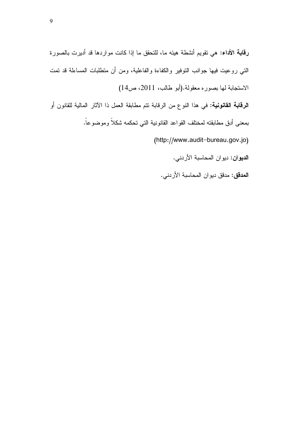**رقابة الأداء:** هي نقويم أنشطة هيئه ما، للنحقق ما إذا كانت مواردها قد أديرت بالصورة النَّبي روعيت فيها جوانب النوفير والكفاءة والفاعلية، ومن أن منطلبات المساءلة قد نمت الاستجابة لها بصوره معقولة.(أبو طالب، 2011، ص14) **الرقابة القانونية:** في هذا النوع من الرقابة نتم مطابقة العمل ذا الأثار المالية للقانون أو

بمعنى أدق مطابقته لمختلف القواعد القانونية التي تحكمه شكلاً وموضوعاً.

(http://www.audit-bureau.gov.jo)

ا**لديوان:** ديوان المحاسبة الأردني.

ا**لمدقق:** مدقق ديوان المحاسبة الأردني.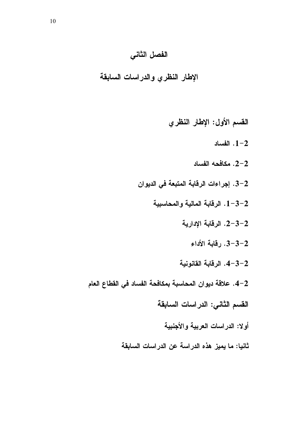### الفصل الثاني

الإطار النظري والدراسات السابقة

### القسم الأول: الإطار النظري

 $1 - 2$ . الفساد

- .2-2 مكافحه الفساد
- 2–3. إجراءات الرقابة المتبعة في الديوان
	- 1-3-2. الرقابة المالية والمحاسبية
		- 2-3-2. الرقابة الإدارية
			- 3-3-2. رِقَابِةِ الأِداءِ
		- 4-3-2. الرقابة القانونية
- 2–4. علاقة ديوان المحاسبة بمكافحة الفساد في القطاع العام
	- القسم الثاني: الدراسات السابقة
		- أولا: الدراسات العربية والأجنبية
	- ثانيا: ما يميز هذه الدراسة عن الدراسات السابقة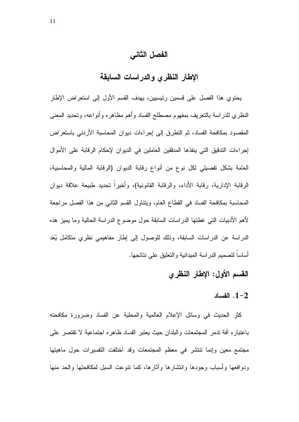الفصل الثاني

الإطار النظرى والدراسات السابقة

يحتوي هذا الفصل على قسمين رئيسيين، يهدف القسم الأول إلى استعراض الإطار النظري للدراسة بالنعريف بمفهوم مصطلح الفساد وأهم مظاهره وأنواعه، وتحديد المعنى المقصود بمكافحة الفساد، ثم النطرق إلى إجراءات ديوان المحاسبة الأردني باستعراض إجراءات التدقيق التي ينفذها المدققين العاملين في الديوان لإحكام الرقابة على الأموال العامة بشكل تفصيلي لكل نوع من أنواع رقابة الديوان (الرقابة المالية والمحاسبية، الرقابة الإدارية، رقابة الأداء، والرقابة القانونية)، وأخيرا تحديد طبيعة علاقة ديوان المحاسبة بمكافحة الفساد في القطاع العام، وينتاول القسم الثاني من هذا الفصل مراجعة لأهم الأدبيات التبي غطتها الدراسات السابقة حول موضوع الدراسة الحالية وما يميز هذه الدراسة عن الدراسات السابقة، وذلك للوصول إلى إطار مفاهيمي نظرى متكامل يُعَد أساساً لتصميم الدراسة الميدانية والتعليق على نتائجها.

### القسم الأول: الإطار النظرى

#### . الفساد  $1-2$

كثر الحديث في وسائل الإعلام العالمية والمحلية عن الفساد وضرورة مكافحته باعتباره أفة ندمر المجتمعات والبلدان حيث يعتبر الفساد ظاهره اجتماعية لا نقتصر على مجتمع معين وإنما نتنشر في معظم المجتمعات وقد اختلفت التفسيرات حول ماهيتها ودوافعها وأسباب وجودها وانتشارها وأثارها، كما نتوعت السبل لمكافحتها والحد منها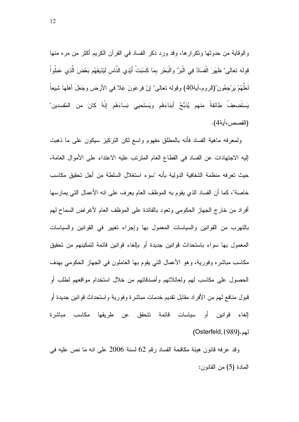والوقاية من حدوثها ونكرارها، وقد ورد ذكر الفساد في القرآن الكريم أكثر من مره منها قوله تعالى" ظَهَرَ الْفَسَادُ فِي الْبَرِّ وَالْبَحْرِ بِمَا كَسَبَتْ أَيْدِي النَّاسِ ليَّذِيقَهُم بَعْضَ الَّذِي عَمِلُواْ لَعَلَّهُمْ بَرْجِعُونَ"(الروم،آية40) وقوله نعالى" إنّ فِرعَونَ عَلا في الأرض وجَعَلَ أهلَها شَيَعاً يَستَضعِفُ طائفةً منهم يُذَبِّحُ أبناءَهُم ويَستَحيى نِساءَهُم إِنَّهُ كانَ من المُفسدين" (القصص،آية4).

ولمعرفه ماهية الفساد فأنه بالمطلق مفهوم واسع لكن التركيز سيكون على ما ذهبت الِيه الاجتهادات عن الفساد في القطاع العام المترتب عليه الاعتداء على الأموال العامة، حيث تعرفه منظمة الشفافية الدولية بأنه "سوء استغلال السلطة من أجل تحقيق مكاسب خاصة"، كما أن الفساد الذي يقوم به الموظف العام يعرف على انه الأعمال التي يمارسها أفراد من خارج الجهاز الحكومي ونعود بالفائدة على الموظف العام لأغراض السماح لهم بالتهرب من القوانين والسياسات المعمول بها وإجراء تغيير في القوانين والسياسات المعمول بها سواء باستحداث قوانين جديدة أو بالغاء قوانين قائمة لتمكينهم من تحقيق مكاسب مباشره وفورية، وهو الأعمال التي يقوم بها العاملون في الجهاز الحكومي بهدف الحصول على مكاسب لمهم ولعائلاتهم وأصدقائهم من خلال استخدام مواقعهم لطلب أو قبول منافع لـهم من الأفراد مقابل نقديم خدمات مباشرة وفورية واستحداث قوانين جديدة أو الغاء قوانبن أو سباسات قائمة نتحقق عن طربقها مكاسب مباشرة (Osterfeld, 1989).

وقد عرفه قانون هيئة مكافحة الفساد رقم 62 لسنة 2006 على انه ما نص عليه في المادة (5) من القانون: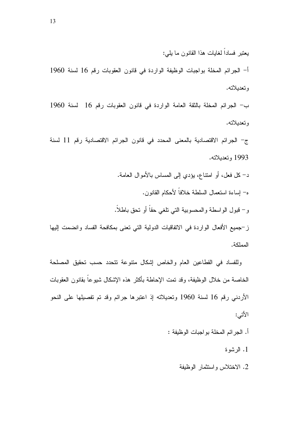أ- الجرائم المخلة بواجبات الوظيفة الواردة في قانون العقوبات رقم 16 لسنة 1960 وتعديلاته.

ب- الجرائم المخلة بالثقة العامة الواردة في قانون العقوبات رقم 16 لسنة 1960 وتعديلاته.

ج- الجرائم الاقتصادية بالمعنى المحدد في قانون الجرائم الاقتصادية رقم 11 لسنة 1993 وتعديلاته.

د– كل فعل، أو امتناع، بؤدي إلى المساس بالأموال العامة. ه– إساءة استعمال السلطة خلافاً لأحكام القانون. و– قبول الواسطة والمحسوبية التي نلغي حقاً أو نحق باطلاً. ز–جميع الأفعال الواردة في الاتفاقيات الدولية التي تعني بمكافحة الفساد وانضمت إليها

وللفساد في القطاعين العام والخاص إشكال منتوعة نتحدد حسب تحقيق المصلحة الخاصة من خلال الوظيفة، وقد تمت الإحاطة بأكثر ٍ هذه الإشكال شيوعاً بقانون العقوبات الأردني رقم 16 لسنة 1960 وتعديلاته إذ اعتبرها جرائم وقد تم تفصيلها على النحو الأتبي:

- أ. الجرائم المخلة بواجبات الوظيفة :
	- 1. الرئسوة

المملكة.

2. الاختلاس واستثمار الوظيفة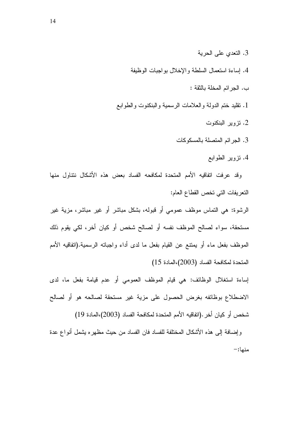- 3. التعدي على الحرية
- 4. إساءة استعمال السلطة والإخلال بواجبات الوظيفة
	- ب. الجرائم المخلة بالثقة :
- 1. نقليد ختم الدولة والعلامات الرسمية والبنكنوت والطوابع
	- . نزوير البنكنوت  $\,2\,$
	- 3. الجرائم المتصلة بالمسكوكات
		- 4. نزوير الطوابع

وقد عرفت اتفاقيه الأمم المتحدة لمكافحه الفساد بعض هذه الأشكال ننتاول منها النعريفات التي تخص القطاع العام:

الرشوة: هي النماس موظف عمومي أو قبوله، بشكل مباشر أو غير مباشر، مزية غير مستحقة، سواء لصالح الموظف نفسه أو لصالح شخص أو كيان أخر، لكي يقوم ذلك الموظف بفعل ماء أو يمتنع عن القيام بفعل ما لدى أداء واجباته الرسمية.(انفاقيه الأمم  $(15 \bmod (2003))$ المادة  $(2003)$ 

إساءة استغلال الوظائف: هي قيام الموظف العمومي أو عدم قيامة بفعل ما، لدى الاضطلاع بوظائفه بغرض الحصول على مزية غير مستحقة لصالحه هو أو لصالح شخص أو كيان أخر .(اتفاقيه الأمم المتحدة لمكافحة الفساد (2003)،المادة 19)

وَ إِضَافَةٌ إِلَى هَذَهُ الْأَشْكَالُ الْمُخْتَلَفَةُ للفساد فان الفساد من حيث مظهر ه يُثْنَّمَلُ أنواع عدة منها:–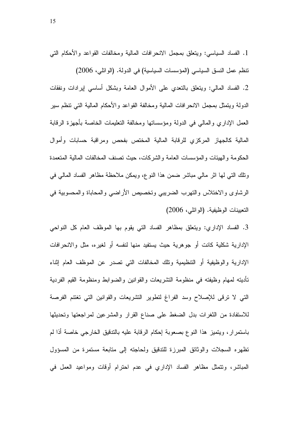1. الفساد السياسي: ويتعلق بمجمل الانحرافات المالية ومخالفات القواعد والأحكام التي نتظم عمل النسق السياسي (المؤسسات السياسية) في الدولة. (الوائلي، 2006) 2. الفساد المالي: ويتعلق بالنعدي على الأموال العامة وبشكل أساسي إيرادات ونفقات الدولة ويتمثل بمجمل الانحرافات المالية ومخالفة القواعد والأحكام المالية التبي نتظم سير العمل الإداري والمالى في الدولة ومؤسساتها ومخالفة التعليمات الخاصة بأجهزة الرقابة المالية كالجهاز المركزي للرقابة المالية المختص بفحص ومراقبة حسابات وأموال الحكومة والهيئات والمؤسسات العامة والشركات، حيث تصنف المخالفات المالية المتعمدة ونلك التبي لها اثر مالي مباشر ضمن هذا النوع، ويمكن ملاحظة مظاهر الفساد المالي في الرشاوي والاختلاس والنهرب الضريبي وتخصيص الأراضيي والمحاباة والمحسوبية في النعيينات الوظيفية. (الوائلـي، 2006)

3. الفساد الإداري: ويتعلَّق بمظاهر الفساد التي يقوم بها الموظف العام كل النواحي الإدارية شكلية كانت أو جوهرية حيث يستفيد منها لنفسه أو لغيره، مثل والانحرافات الإدارية والوظيفية أو التنظيمية ونلك المخالفات التي تصدر عن الموظف العام إثناء تأديته لمهام وظيفته في منظومة النشريعات والقوانين والضوابط ومنظومة القيم الفردية التي لا نرقى للإصلاح وسد الفراغ لنطوير النشريعات والقوانين التي تغتنم الفرصة للاستفادة من النغرات بدل الضغط على صناع القرار والمشرعين لمراجعتها وتحديثها باستمرار، ويتميز هذا النوع بصعوبة إحكام الرقابة عليه بالتدقيق الخارجي خاصة أذا لم تظهره السجلات والوثائق المبرزة للتدفيق ولحاجته إلى متابعة مستمرة من المسؤول المباشر، وتتمثَّل مظاهر الفساد الإداري في عدم احترام أوقات ومواعيد العمل في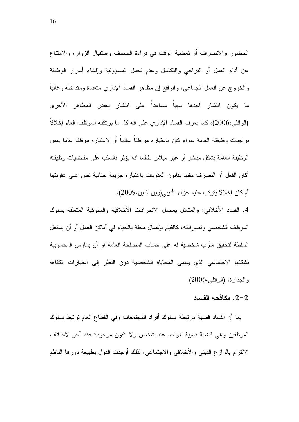الحضور والانصراف أو نمضية الوقت في قراءة الصحف واستقبال الزوار، والامتناع عن أداء العمل أو النراخي والنكاسل وعدم نحمل المسؤولية وإفشاء أسرار الوظيفة والخروج عن العمل الجماعي، والواقع إن مظاهر الفساد الإداري متعددة ومنداخلة وغالباً ما يكون انتشار احدها سبباً مساعداً على انتشار بعض المظاهر الأخرى (الوائلي،2006)، كما يعرف الفساد الإداري على انه كل ما يرتكبه الموظف العام إخلالا بواجبات وظيفته العامة سواء كان باعتباره مواطناً عادياً أو لاعتباره موظفا عاما بمس الوظيفة العامة بشكل مباشر أو غير مباشر طالما انه بؤثر بالسلب على مقتضيات وظيفته أكان الفعل أو التصرف مقننا بقانون العقوبات باعتباره جريمة جنائية نص على عقوبتها أم كان إخلالاً يترتب عليه جزاء تأديبي(زين الدين،2009).

4. الفساد الأخلاقي: والمنمثل بمجمل الانحرافات الأخلاقية والسلوكية المتعلقة بسلوك الموظف الشخصبي ونصرفاته، كالقيام بإعمال مخلة بالحياء في أماكن العمل أو أن يستغل السلطة لتحقيق مآرب شخصية له على حساب المصلحة العامة أو أن يمارس المحسوبية بشكلها الاجتماعي الذي يسمى المحاباة الشخصية دون النظر إلى اعتبارات الكفاءة و الجدار ة. (الو ائلي،2006)

#### . مكافحه الفساد  $2\hbox{--}2$

بما أن الفساد قضية مرتبطة بسلوك أفراد المجتمعات وفي القطاع العام ترتبط بسلوك الموظفين وهي قضية نسبية تتواجد عند شخص ولا تكون موجودة عند آخر لاختلاف الالتزام بالوازع الديني والأخلاقي والاجتماعي، لذلك أوجدت الدول بطبيعة دورها الناظم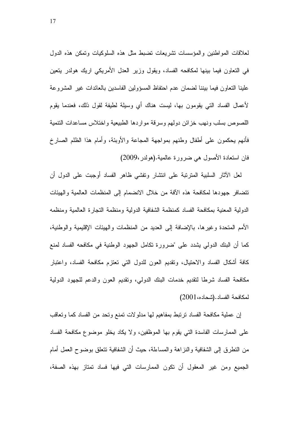لعلاقات المواطنين والمؤسسات نشريعات نضبط مثل هذه السلوكيات ونمكن هذه الدول في النعاون فيما بينها لمكافحه الفساد، ويقول وزير العدل الأمريكي اريك هولدر ينعين علينا النعاون فيما ببننا لضمان عدم احتفاظ المسؤولين الفاسدين بالعائدات غير المشروعة لأعمال الفساد التبي يقومون بها، ليست هناك أي وسيلة لطيفة لقول ذلك، فعندما يقوم اللصوص بسلب ونهب خزائن دولهم وسرقة مواردها الطبيعية واختلاس مساعدات التتمية فأنهم يحكمون علىي أطفال وطنهم بمواجهة المجاعة والأوبئة، وأمام هذا الظلم الصارخ فان استعادة الأصول هي ضرورة عالمية.(هولدر ،2009)

لعل الأثار السلبية المترتبة على انتشار وتفشى ظاهر الفساد أوجبت على الدول أن نتضافر جهودها لمكافحة هذه الأفة من خلال الانضمام إلىي المنظمات العالمية والهيئات الدولية المعنية بمكافحة الفساد كمنظمة الشفافية الدولية ومنظمة النجارة العالمية ومنظمه الأمم المتحدة وغيرها، بالإضافة إلى العديد من المنظمات والهيئات الإقليمية والوطنية، كما أن البنك الدولي بشدد على "ضرورة تكامل الجهود الوطنية في مكافحه الفساد لمنع كافة أشكال الفساد والاحتيال، وتقديم العون للدول التبي تعتزم مكافحة الفساد، واعتبار مكافحة الفساد شرطا لتقديم خدمات البنك الدوليي، ونقديم العون والدعم للجهود الدولية لمكافحة الفساد. (شحاده، 2001)

إن عملية مكافحة الفساد ترتبط بمفاهيم لها مدلولات تمنع وتحد من الفساد كما وتعاقب على الممارسات الفاسدة التبي يقوم بها الموظفين، ولا يكاد يخلو موضوع مكافحة الفساد من النطرق إلى الشفافية والنزاهة والمساءلة، حيث أن الشفافية نتعلق بوضوح العمل أمام الجميع ومن غير المعقول أن نكون الممارسات التي فيها فساد نمتاز بهذه الصفة،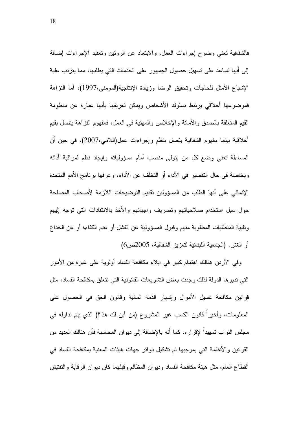فالشفافية نعنى وضوح إجراءات العمل، والابتعاد عن الرونين ونعقيد الإجراءات إضافة إلى أنها تساعد على تسهيل حصول الجمهور على الخدمات التي يطلبها، مما يترتب علية الإشباع الأمثل للحاجات وتحقيق الرضا وزيادة الإنتاجية(المومني،1997)، أما النزاهة فموضوعها أخلاقي يرتبط بسلوك الأشخاص ويمكن تعريفها بأنها عبارة عن منظومة القيم المتعلقة بالصدق والأمانة والإخلاص والمهنية في العمل، فمفهوم النزاهة بتصل بقيم أخلاقية بينما مفهوم الشفافية يتصل بنظم وإجراءات عمل(اللامي،2007)، في حين أن المساءلة تعني وضع كل من يتولى منصب أمام مسؤولياته وإيجاد نظم لمراقبة أدائه وبخاصة في حال التقصير في الأداء أو التخلف عن الأداء، و عرفها برنامج الأمم المتحدة الإنمائي على أنها الطلب من المسؤولين نقديم التوضيحات اللازمة لأصحاب المصلحة حول سبل استخدام صلاحياتهم وتصريف واجباتهم والأخذ بالانتقادات التبي توجه إليهم ونلبية المتطلبات المطلوبة منهم وقبول المسؤولية عن الفشل أو عدم الكفاءة أو عن الخداع أو الغش. (الجمعية اللبنانية لتعزيز الشفافية، 2005ص6)

وفي الأردن هنالك اهتمام كبير في ايلاء مكافحة الفساد أولوية على غيرة من الأمور التي نديرها الدولة لذلك وجدت بعض النشريعات القانونية التي نتعلق بمكافحة الفساد، مثل قوانين مكافحة غسيل الأموال وإشهار الذمة المالية وقانون الحق في الحصول على المعلومات، وأخير! قانون الكسب غير المشروع (من أين لك هذا؟) الذي يتم نداوله في مجلس النواب تمهيدا لإقرار ء، كما أنه بالإضافة إلى ديوان المحاسبة فأن هنالك العديد من القوانين والأنظمة التي بموجبها تم تشكيل دوائر جهات هيئات المعنية بمكافحة الفساد في القطاع العام، مثل هيئة مكافحة الفساد وديوان المظالم وقبلهما كان ديوان الرقابة والتفتيش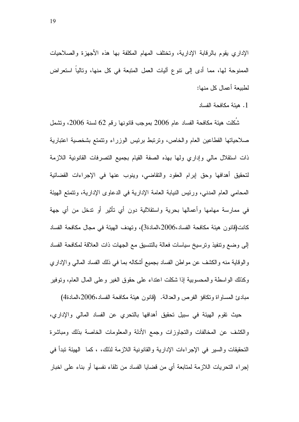الإداري بقوم بالرقابة الإدارية، وتختلف المهام المكلفة بها هذه الأجهزة والصلاحيات الممنوحة لها، مما أدى إلى نتوع أليات العمل المتبعة في كل منها، ونالياً استعراض لطبيعة أعمال كل منها:

1. هيئة مكافحة الفساد

شَكلت هيئة مكافحة الفساد عام 2006 بموجب فانونها رقم 62 لسنة 2006، وتشمل صلاحياتها القطاعين العام والخاص، وترتبط برئيس الوزراء وتتمتع بشخصية اعتبارية ذات استقلال مالي وإداري ولها بهذه الصفة القيام بجميع النصرفات القانونية اللازمة لتحقيق أهدافها وحق إبرام العقود والنقاضبي، وينوب عنها في الإجراءات القضائية المحامي العام المدنى، ورئيس النيابة العامة الإدارية في الدعاوى الإدارية، ونتمتع الهيئة في ممارسة مهامها وأعمالها بحرية واستقلالية دون أي تأثير أو ندخل من أي جهة كانت(قانون هيئة مكافحة الفساد،2006،المادة3)، وتهدف الهيئة في مجال مكافحة الفساد إلى وضع ونتفيذ ونرسيخ سياسات فعالة بالنتسيق مع الجهات ذات العلاقة لمكافحة الفساد والوقاية منه والكشف عن مواطن الفساد بجميع أشكاله بما في ذلك الفساد المالي والإداري وكذلك الواسطة والمحسوبية إذا شكلت اعتداء على حقوق الغير وعلى المال العام، وتوفير

مبادئ المساواة ونكافؤ الفرص والعدالة. (قانون هيئة مكافحة الفساد،2006،المادة4) حيث نقوم الهيئة في سبيل تحقيق أهدافها بالنحرى عن الفساد المالي والإداري، والكشف عن المخالفات والتجاوزات وجمع الأدلة والمعلومات الخاصة بذلك ومباشرة التحقيقات والسير في الإجراءات الإدارية والقانونية اللازمة لذلك، ، كما الهيئة نبدأ في إجراء النحريات اللازمة لمتابعة أي من قضايا الفساد من نلقاء نفسها أو بناء على اخبار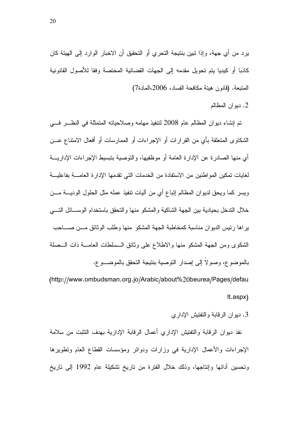يرد من أي جهة، وإذا تبين بنتيجة التحري أو التحقيق أن الاخبار الوارد إلى الهيئة كان كاذبا أو كيديا يتم تحويل مقدمه إلى الجهات القضائية المختصة وفقا للاصول القانونية المُتَّبِعَةُ. (قَانُونَ هَيئَةٌ مَكَافَحَةُ الْفُسَادُ، 2006،المادة7)

2. ديوان المظالم

تم إنشاء ديوان المظالم عام 2008 لنتفيذ مهامه وصلاحياته المتمثلة في النظـــر فـــي الشكاوى المتعلقة بأي من القرارات أو الإجراءات أو الممارسات أو افعال الامتناع عـــن أي منها الصادرة عن الإدارة العامة أو موظفيها، والتوصية بتبسيط الإجراءات الإداريـــة لغايات تمكين المواطنين من الاستفادة من الخدمات التي تقدمها الإدارة العامــــة بفاعليـــة ويسر كما ويحق لديوان المظالم إنباع أي من اليات نتفيذ عمله مثل الحلول الوديــــة مــــن خلال الندخل بحيادية بين الجهة الشاكية والمشكو منها والنحقق باستخدام الوســـائل النــــي براها رئيس الديوان مناسبة كمخاطبة الجهة المشكو منها وطلب الوثائق مـــن صــــاحب الشكوى ومن الجهة المشكو منها والاطلاع على ونائق الــسلطات العامــــة ذات الـــصلة بالموضوع، وصولا إلى إصدار النوصية بنتيجة التحقق بالموضـــوع.

(http://www.ombudsman.org.jo/Arabic/about%20beurea/Pages/defau lt.aspx)

3. ديوان الرقابة والتفتيش الإداري

نفذ ديوان الرقابة والتفتيش الإداري أعمال الرقابة الإدارية بهدف التثبت من سلامة الإجراءات والأعمال الإدارية في وزارات ودوائر ومؤسسات القطاع العام ونطويرها وتحسين أدائها وإنتاجها، وذلك خلال الفترة من تاريخ تشكيلة عام 1992 إلى تاريخ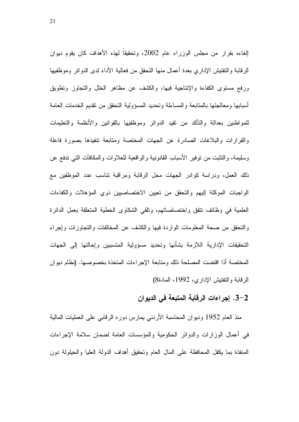الغاءه بقرار من مجلس الوزراء عام 2002، وتحقيقا لمهذه الأهداف كان يقوم ديوان الرقابة والتفتيش الإداري بعدة أعمال منها التحقق من فعالية الأداء لدى الدوائر وموظفيها ورفع مستوى الكفاءة والإنتاجية فيها، والكشف عن مظاهر الخلل والتجاوز وتطويق أسبابها ومعالجتها بالمتابعة والمساءلة وتحديد المسؤولية التحقق من نقديم الخدمات العامة للمواطنين بعدالة والتأكد من نقيد الدوائر وموظفيها بالقوانين والأنظمة والتعليمات والقرارات والبلاغات الصادرة عن الجهات المختصة ومتابعة نتفيذها بصورة فاعلة وسليمة، والنُّثبت من نوفير الأسباب القانونية والواقعية للعلاوات والمكافآت الَّتي ندفع عن ذلك العمل، ودراسة كوادر الجهات محل الرقابة ومراقبة نتاسب عدد الموظفين مع الواجبات الموكلة إليهم والتحقق من تعبين الاختصاصبين ذوي المؤهلات والكفاءات العلمية في وظائف نتفق واختصاصاتهم، ونلقى الشكاوى الخطية المتعلقة بعمل الدائرة والنحقق من صحة المعلومات الواردة فيها والكشف عن المخالفات والنجاوزات وإجراء التحقيقات الإدارية اللازمة بشأنها وتحديد مسؤولية المتسببين وإحالتها إلى الجهات المختصة أذا اقتضت المصلحة ذلك ومتابعة الإجراءات المتخذة بخصوصها. (نظام ديوان الرقابة والتفتيش الإداري، 1992، المادة8)

#### 2–3. إجراءات الرقابة المتبعة في الديوان

منذ العام 1952 وديوان المحاسبة الأردني يمارس دوره الرقابي على العمليات المالية في أعمال الوزارات والدوائر الحكومية والمؤسسات العامة لضمان سلامة الإجراءات المنفذة بما يكفل المحافظة على المال العام وتحقيق أهداف الدولة العليا والحيلولة دون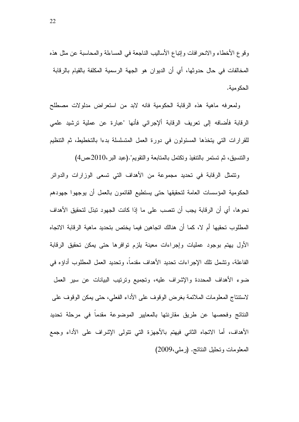وقوع الأخطاء والانحرافات وإنباع الأساليب الناجعة في المساءلة والمحاسبة عن مثل هذه المخالفات في حال حدوثها، أي أن الديوان هو الجهة الرسمية المكلفة بالقيام بالرقابة الحكومية.

ولمعرفه ماهية هذه الرقابة الحكومية فانه لابد من استعراض مدلولات مصطلح الرقابة فأضافه إلى تعريف الرقابة الإجرائي فأنها "عبارة عن عملية ترشيد علمي للقرارات التي يتخذها المسئولون في دورة العمل المتسلسلة بدءا بالتخطيط، ثم التنظيم  $(4$ و التنسيق، ثم تستمر بالنتفيذ وتكتمل بالمتابعة والنقويم".(عبد البر ،2010،ص

ونتمثل الرقابة في تحديد مجموعة من الأهداف التي تسعى الوزارات والدوائر الحكومية المؤسسات العامة لتحقيقها حتى يستطيع القائمون بالعمل أن يوجهوا جهودهم نحوها، أي أن الرقابة يجب أن نتصب على ما إذا كانت الجهود تبذل لتحقيق الأهداف المطلوب تحقيها أم لا، كما أن هنالك اتجاهين فيما يختص بتحديد ماهية الرقابة الاتجاه الأول يهتم بوجود عمليات وإجراءات معينة يلزم توافرها حتى يمكن تحقيق الرقابة الفاعلة، وتشمل تلك الإجراءات تحديد الأهداف مقدما، وتحديد العمل المطلوب أداؤه في ضوء الأهداف المحددة والإشراف عليه، وتجميع وترتيب البيانات عن سير العمل لاستتناج المعلومات الملائمة بغرض الوقوف على الأداء الفعلي، حتى يمكن الوقوف على النتائج وفحصها عن طريق مقارنتها بالمعايير الموضوعة مقدما في مرحلة تحديد الأهداف، أما الاتجاه الثاني فيهتم بالأجهزة التي نتولى الإشراف على الأداء وجمع المعلومات وتحليل النتائج. (رملي،2009)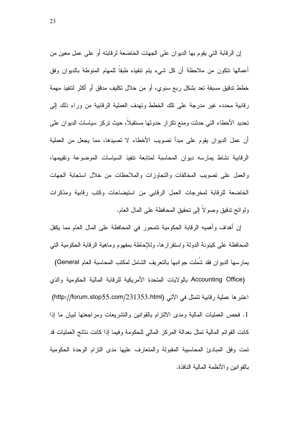إن الرقابة التي يقوم بها الديوان على الجهات الخاضعة لرقابته أو على عمل معين من أعمالها نتكون من ملاحظة أن كل شيء يتم نتفيذه طبقا للمهام المنوطة بالديوان وفق خطط تدقيق مسبقة تعد بشكل ربع سنوي، أو من خلال تكليف مدقق أو أكثر لتتفيذ مهمة رقابية محدده غير مدرجة على نلك الخطط ونهدف العملية الرقابية من وراء ذلك إلى تحديد الأخطاء التي حدثت ومنع نكرار حدوثها مستقبلا، حيث نركز سياسات الديوان على أن عمل الديوان يقوم على مبدأ تصويب الأخطاء لا تصيدها، مما يجعل من العملية الرقابية نشاط يمارسه ديوان المحاسبة لمتابعة نتفيذ السياسات الموضوعة ونقييمها، والعمل على تصويب المخالفات والتجاوزات والملاحظات من خلال استجابة الجهات الخاضعة للرقابة لمخرجات العمل الرقابي من استيضاحات وكتب رقابية ومذكرات ولوائح تدقيق وصولا إلى تحقيق المحافظة على المال العام.

إن أهداف وأهميه الرقابة الحكومية نتمحور في المحافظة على المال العام مما يكفل المحافظة على كينونة الدولة واستقرارها، وللإحاطة بمفهوم وماهية الرقابة الحكومية التي يمارسها الديوان فقد شملت جوانبها بالنعريف الشامل لمكتب المحاسبة العام General)

Accounting Office) بالولايات المتحدة الأمريكية للرقابة المالية الحكومية والذي اعتبر ها عملية رقابية تتمثّل في الاتي (http://forum.stop55.com/231353.html) 1. فحص العمليات المالية ومدى الالنزام بالقوانين والنشريعات ومراجعتها لبيان ما إذا كانت القوائم المالية تمثَّل بعدالة المركز المالي للحكومة وفيما إذا كانت نتائج العمليات قد نمت وفق المبادئ المحاسبية المقبولة والمتعارف عليها مدى النزام الوحدة الحكومية بالقوانين والأنظمة المالية النافذة.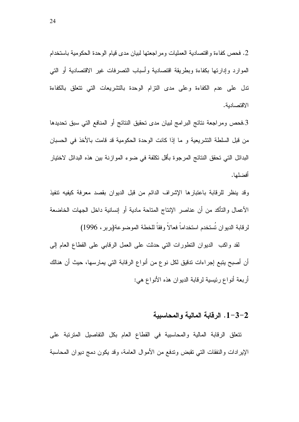2. فحص كفاءة واقتصادية العمليات ومر اجعتها لبيان مدى قيام الوحدة الحكومية باستخدام الموارد وإدارتها بكفاءة وبطريقة اقتصادية وأسباب التصرفات غير الاقتصادية أو التبي ندل على عدم الكفاءة وعلى مدى النزام الوحدة بالنشريعات الني نتعلق بالكفاءة الاقتصادية.

3.فحص ومراجعة نتائج البرامج لبيان مدى تحقيق النتائج أو المنافع التي سبق تحديدها من قبل السلطة التشريعية و ما إذا كانت الوحدة الحكومية قد قامت بالأخذ في الحسبان البدائل التي تحقق النتائج المرجوء بأقل تكلفة في ضوء الموازنة بين هذه البدائل لاختيار أفضلها.

وقد ينظر للرقابة باعتبارها الإشراف الدائم من قبل الديوان بقصد معرفة كيفيه تنفيذ الأعمال والتأكد من أن عناصر الإنتاج المتاحة مادية أو إنسانية داخل الجهات الخاضعة لرقابة الديوان تُستخدم استخداماً فعالاً وفقاً للخطة الموضوعة(بربر ، 1996)

لقد واكب الديوان النظورات التي حدثت على العمل الرقابي على القطاع العام إلى أن أصبح يتبع إجراءات تدقيق لكل نو ع من أنواع الرقابة التي يمارسها، حيث أن هنالك أربعة أنواع رئيسية لرقابة الديوان هذه الأنواع هي:

#### 1-3-2. الرقابة المالبة والمحاسبية

نتعلَّق الرقابة المالية والمحاسبية في القطاع العام بكل التفاصيل المنزنبة على الإيرادات والنفقات التبي نقبض وندفع من الأموال العامة، وقد يكون دمج ديوان المحاسبة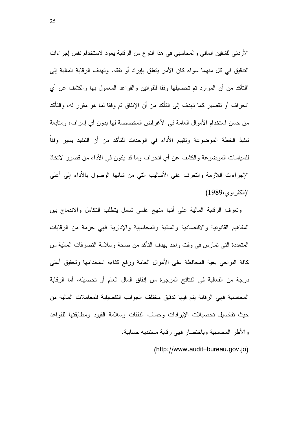الأردني للشقين المالي والمحاسبي في هذا النوع من الرقابة يعود لاستخدام نفس إجراءات الندقيق في كل منهما سواء كان الأمر يتعلق بإيراد أو نفقه، وتهدف الرقابة المالية إلى "النَّاكد من أن الموارد تم تحصيلها وفقا للقوانين والقواعد المعمول بها والكشف عن أي انحراف أو نقصير كما تهدف إلى التأكد من أن الإنفاق تم وفقا لما هو مقرر له، والتأكد من حسن استخدام الأموال العامة في الأغراض المخصصة لها بدون أي إسراف، ومتابعة نتفيذ الخطة الموضوعة ونقييم الأداء في الوحدات للتأكد من أن النتفيذ يسير وفقا للسياسات الموضوعة والكشف عن أي انحراف وما قد يكون في الأداء من قصور لاتخاذ الإجراءات اللازمة والنعرف على الأساليب التبي من شانها الوصول بالأداء إلىي أعلى (الكفر او ى،1989)

ونعرف الرقابة المالية على أنها منهج علمي شامل يتطلب النكامل والاندماج بين المفاهيم القانونية والاقتصادية والمالية والمحاسبية والإدارية فهي حزمة من الرقابات المتعددة التي تمارس في وقت واحد بهدف التأكد من صحة وسلامة التصرفات المالية من كافة النواحي بغية المحافظة على الأموال العامة ورفع كفاءة استخدامها وتحقيق أعلى درجة من الفعالية في النتائج المرجوة من إنفاق المال العام أو تحصيله، أما الرقابة المحاسبية فهي الرقابة يتم فيها تدقيق مختلف الجوانب التفصيلية للمعاملات المالية من حيث نفاصيل تحصيلات الإيرادات وحساب النفقات وسلامة القيود ومطابقتها للقواعد والأطر المحاسبية وباختصار فهي رقابة مستنديه حسابية.

(http://www.audit-bureau.gov.jo)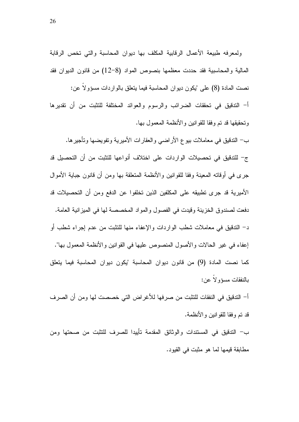ولمعرفه طبيعة الأعمال الرفابية المكلف بها ديوان المحاسبة والتي تخص الرفابة المالية والمحاسبية فقد حددت معظمها بنصوص المواد (8–12) من قانون الديوان فقد نصت المادة (8) على "يكون ديوان المحاسبة فيما يتعلق بالواردات مسؤولا عن: أ– التدقيق في تحققات الضرائب والرسوم والعوائد المختلفة للتثبت من أن تقديرها وتحقيقها قد تم وفقا للقوانين والأنظمة المعمول بها.

ب– التدقيق في معاملات بيو ع الأراضبي والعقارات الأميرية وتفويضها وتأجيرها. ج- للتدقيق في تحصيلات الواردات على اختلاف أنواعها للتثبت من أن التحصيل قد جرى في أوقاته المعينة وفقا للقوانين والأنظمة المتعلقة بها ومن أن قانون جباية الأموال الأميرية قد جرى نطبيقه على المكلفين الذين نخلفوا عن الدفع ومن أن التحصيلات قد دفعت لصندوق الخزينة وقيدت في الفصول والمواد المخصصة لها في الميزانية العامة. د– الندقيق في معاملات شطب الواردات والإعفاء منها للنثبت من عدم إجراء شطب أو إعفاء في غير الحالات والأصول المنصوص عليها في القوانين والأنظمة المعمول بها". كما نصت المادة (9) من قانون ديوان المحاسبة "يكون ديوان المحاسبة فيما يتعلق بالنفقات مسؤولا عن:

أ– التدقيق في النفقات للتثبت من صرفها للأغراض التي خصصت لها ومن أن الصرف قد تم وفقا للقو انين و الأنظمة.

ب– التدقيق في المستندات والوثائق المقدمة تأييدا للصرف للتثبت من صحتها ومن مطابقة قيمها لما هو مثبت في القيود.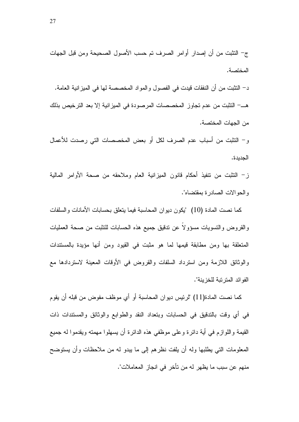ز – النثبت من نتفيذ أحكام قانون الميزانية العام وملاحقه من صحة الأوامر المالية والحوالات الصادرة بمقتضاه".

كما نصت المادة (10) "يكون ديوان المحاسبة فيما يتعلق بحسابات الأمانات والسلفات والقروض والتسويات مسؤولا عن تدقيق جميع هذه الحسابات للتثبت من صحة العمليات المتعلقة بها ومن مطابقة قيمها لما هو مثبت في القيود ومن أنها مؤيدة بالمستندات والوثائق اللازمة ومن استرداد السلفات والقروض في الأوقات المعينة لاستردادها مع الفو ائد المتر تبة للخز بنة".

كما نصت المادة(11) "لرئيس ديوان المحاسبة أو أي موظف مفوض من قبله أن يقوم في أي وقت بالتدقيق في الحسابات وبتعداد النقد والطوابع والوثائق والمستندات ذات القيمة واللوازم في أية دائرة وعلى موظفي هذه الدائرة أن يسهلوا مهمته ويقدموا له جميع المعلومات التي يطلبها وله أن يلفت نظرهم إلى ما يبدو له من ملاحظات وأن يستوضح منهم عن سبب ما يظهر له من تأخر في انجاز المعاملات".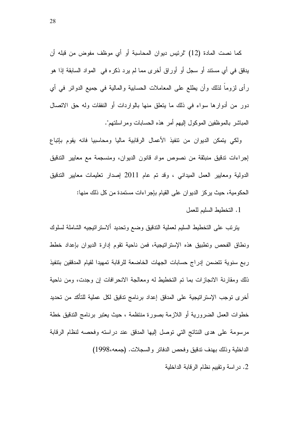كما نصت المادة (12) "لرئيس ديوان المحاسبة أو أي موظف مفوض من قبله أن يدقق في أي مستند أو سجل أو أوراق أخرى مما لم يرد ذكره في المواد السابقة إذا هو رأى لزوما لذلك وأن يطلع على المعاملات الحسابية والمالية في جميع الدوائر في أي دور من أدوارها سواء في ذلك ما يتعلق منها بالواردات أو النفقات وله حق الاتصال المباشر بالموظفين الموكول اليهم أمر هذه الحسابات ومراسلتهم".

ولكي يتمكن الديوان من تتفيذ الأعمال الرقابية ماليا ومحاسبيا فانه يقوم بإتباع إجراءات تدقيق منبثقة من نصوص مواد قانون الديوان، ومنسجمة مع معايير التدقيق الدولية ومعايير العمل الميداني ، وقد تم عام 2011 إصدار تعليمات معايير الندقيق الحكومية، حيث يركز الديوان على القيام بإجراءات مستمدة من كل ذلك منها:

1. التخطيط السليم للعمل

بترتب على التخطيط السليم لعملية التدقيق وضع وتحديد ألاستراتيجيه الشاملة لسلوك ونطاق الفحص ونطبيق هذه الإستراتيجية، فمن ناحية نقوم إدارة الديوان بإعداد خطط ربع سنوية نتضمن إدراج حسابات الجهات الخاضعة للرقابة نمهيدا لقيام المدققين بتنفيذ ذلك ومقارنة الانجازات بما تم التخطيط له ومعالجة الانحرافات ان وجدت، ومن ناحية أخرى توجب الإستراتيجية على المدقق إعداد برنامج تدقيق لكل عملية للتأكد من تحديد خطوات العمل الضرورية أو اللازمة بصورة منتظمة ، حيث يعتبر برنامج التدقيق خطة مرسومة على هدى النتائج التي توصل إليها المدقق عند دراسته وفحصه لنظام الرقابة الداخلية وذلك بهدف ندقيق وفحص الدفاتر والسجلات. (جمعه،1998)

2. دراسة ونقييم نظام الرقابة الداخلية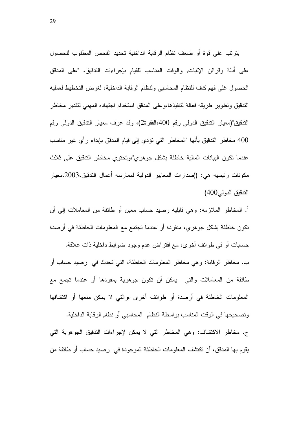يترنَّب على قوة أو ضعف نظام الرقابة الداخلية تحديد الفحص المطلوب للحصول على أدلة وقرائن الإثبات, والوقت المناسب للقيام بإجراءات التدقيق، "على المدقق الحصول غلى فهم كاف للنظام المحاسبي ولنظام الرقابة الداخلية، لغرض التخطيط لعمليه الندقيق وتطوير طريقه فعالة لنتفيذهاءوعلى المدقق استخدام اجتهاده المهنى لنقدير مخاطر الندقيق"(معيار الندقيق الدولي رقم 400،الفقرة2)، وقد عرف معيار الندقيق الدولي رقم 400 مخاطر التدقيق بأنها "المخاطر التي تؤدي إلى قيام المدقق بإبداء رأى غير مناسب عندما نكون البيانات المالية خاطئة بشكل جوهري"،وتحتوي مخاطر الندقيق على ثلاث مكونات رئيسيه هي: (إصدارات المعايير الدولية لممارسه أعمال الندقيق،2003،معيار الندقيق الدولمي400)

أ. المخاطر الملازمه: وهي قابليه رصيد حساب معين أو طائفة من المعاملات إلى أن تكون خاطئة بشكل جوهري، منفردة أو عندما تجتمع مع المعلومات الخاطئة في أرصدة

حسابات أو في طوائف أخرى، مع افتراض عدم وجود ضوابط داخلية ذات علاقة. ب. مخاطر الرقابة: وهي مخاطر المعلومات الخاطئة، التي تحدث في رصيد حساب أو طائفة من المعاملات والتبي يمكن أن نكون جوهرية بمفردها أو عندما تجمع مع المعلومات الخاطئة في أرصدة أو طوائف أخرى ،والتي لا يمكن منعها أو اكتشافها

و تصحيحها في الوقت المناسب بو اسطة النظام المحاسبي أو نظام الرقابة الداخلية. ج. مخاطر الاكتشاف: وهي المخاطر التي لا يمكن لإجراءات الندقيق الجوهرية التي يقوم بها المدقق، أن تكتشف المعلومات الخاطئة الموجودة في رصيد حساب أو طائفة من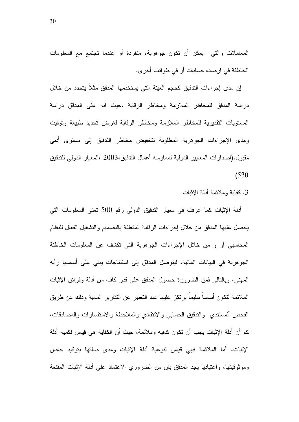المعاملات والتي يمكن أن نكون جوهرية، منفردة أو عندما تجتمع مع المعلومات الخاطئة في ارصده حسابات أو في طوائف أخرى.

إن مدى إجراءات التدقيق كحجم العينة التي يستخدمها المدقق مثلا يتحدد من خلال دراسة المدقق للمخاطر الملازمة ومخاطر الرقابة ،حيث انه على المدقق دراسة المستويات التقديرية للمخاطر الملازمة ومخاطر الرقابة لغرض تحديد طبيعة وتوقيت ومدى الإجراءات الجوهرية المطلوبة لتخفيض مخاطر الندقيق إلى مستوى أدنى مقبول.(إصدارات المعايير الدولية لممارسه أعمال التدقيق،2003 ،المعيار الدولي للتدقيق  $(530)$ 

3. كفاية وملائمة أدلة الإثبات

أدلة الإثبات كما عرفت في معيار التدقيق الدولي رقم 500 نعني المعلومات التي يحصل عليها المدقق من خلال إجراءات الرقابة المتعلقة بالتصميم والتشغيل الفعال للنظام المحاسبي أو و من خلال الإجراءات الجوهرية التي تكشف عن المعلومات الخاطئة الجو هرية في البيانات المالية، ليتوصل المدقق إلى استتناجات يبني على أساسها رأيه المهنى، وبالنالي فمن الضرورة حصول المدقق على قدر كاف من أدلة وقرائن الإثبات الملائمة لنكون أساسا سليما برنكز عليها عند النعبير عن النقارير المالية وذلك عن طريق الفحص ألمستندى والندقيق الحسابي والانتقادي والملاحظة والاستفسارات والمصادقات، كم أن أدلة الإثبات يجب أن نكون كافيه وملائمة، حيث أن الكفاية هي قياس لكميه أدلة الإثبات، أما الملائمة فهي قياس لنوعية أدلة الإثبات ومدى صلتها بتوكيد خاص وموثوقيتها، واعتياديا يجد المدقق بان من الضروري الاعتماد على أدلة الإثبات المقنعة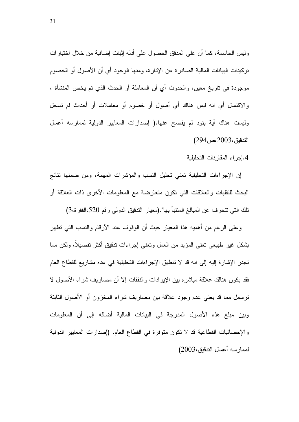وليس الحاسمة، كما أن على المدقق الحصول على أدله إنبات إضافية من خلال اختبارات توكيدات البيانات المالية الصادرة عن الإدارة، ومنها الوجود أي أن الأصول أو الخصوم موجودة في تاريخ معين، والحدوث أي أن المعاملة أو الحدث الذي تم يخص المنشأة ، والاكتمال أي انه ليس هناك أي أصول أو خصوم أو معاملات أو أحداث لم تسجل وليست هناك أية بنود لم يفصح عنها.( إصدارات المعابير الدولية لممارسه أعمال الندفيق،2003،ص294)

4.إجراء المقارنات التحليلية

إن الإجراءات التحليلية تعني تحليل النسب والمؤشرات المهمة، ومن ضمنها نتائج البحث للتقلبات والعلاقات التي نكون متعارضة مع المعلومات الأخرى ذات العلاقة أو تلك التي تتحرف عن المبالغ المنتبأ بها".(معيار الندقيق الدولي رقم 520،الفقرة،3)

وعلى الرغم من أهميه هذا المعيار حيث أن الوقوف عند الأرقام والنسب التي تظهر بشكل غير طبيعي تعني المزيد من العمل وتعني إجراءات ندقيق اكثر تفصيلا، ولكن مما تجدر الإشارة إليه إلى انه قد لا نتطبق الإجراءات التحليلية في عده مشاريع للقطاع العام فقد يكون هنالك علاقة مباشره بين الإيرادات والنفقات إلا أن مصاريف شراء الأصول لا ترسمل مما قد يعني عدم وجود علاقة بين مصاريف شراء المخزون أو الأصول الثابتة وبين مبلغ هذه الأصول المدرجة في البيانات المالية أضافه إلى أن المعلومات والإحصائيات القطاعية قد لا نكون متوفرة في القطاع العام. (إصدارات المعابير الدولية لممارسه أعمال التدقيق،2003)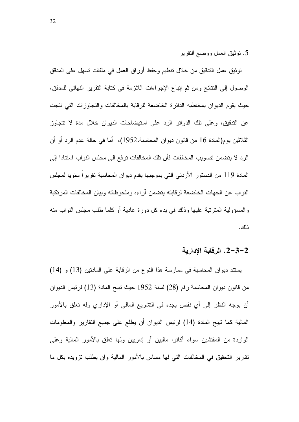5. نوثيق العمل ووضع النقرير

نوثيق عمل الندقيق من خلال نتظيم وحفظ أوراق العمل في ملفات نسهل على المدقق الوصول إلى النتائج ومن ثم إتباع الإجراءات اللازمة في كتابة التقرير النهائي للمدقق، حيث يقوم الديوان بمخاطبه الدائرة الخاضعة للرقابة بالمخالفات والتجاوزات التي نتجت عن الندقيق، وعلى نلك الدوائر الرد على استيضاحات الديوان خلال مدة لا نتجاوز الثلاثين يوم(المادة 16 من قانون ديوان المحاسبة،1952)، أما في حالة عدم الرد أو أن الر د لا يتضمن تصويب المخالفات فأن تلك المخالفات ترفع إلى مجلس النو اب استنادا إلى المادة 119 من الدستور الأردني التي بموجبها يقدم ديوان المحاسبة تقريراً سنويا لمجلس النواب عن الجهات الخاضعة لرقابته يتضمن أراءه وملحوظاته وبيان المخالفات المرتكبة والْمُسؤولية الْمَنْزَنْبَة عَلَيْهَا وَذَلَكَ فَبِي بَدَّءَ كَلَّ دُورَةٌ عَادِيَةٌ أَوْ كَلَّمَا طَلب مجلس النواب منه ذلك.

#### 2-3-2. الرقابة الإدارية

يستند ديوان المحاسبة في ممارسة هذا النوع من الرقابة على المادنين (13) و (14) من قانون ديوان المحاسبة رقم (28) لسنة 1952 حيث نبيح المادة (13) لرئيس الديوان أن يوجه النظر إلى أي نقص يجده في التشريع المالي أو الإداري وله تعلق بالأمور المالية كما نبيح المادة (14) لرئيس الديوان أن يطلع على جميع النقارير والمعلومات الواردة من المفتشين سواء أكانوا ماليين أو إداريين ولمها نعلق بالأمور المالية وعلى نقارير النحقيق في المخالفات التي لها مساس بالأمور المالية وان يطلب نزويده بكل ما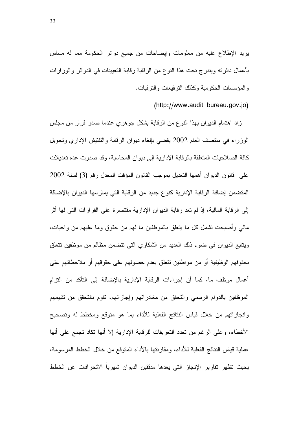يريد الإطلاع عليه من معلومات وإيضاحات من جميع دوائر الحكومة مما له مساس بأعمال دائرته ويندرج تحت هذا النوع من الرقابة رقابة التعيينات في الدوائر والوزارات و المؤسسات الحكومية وكذلك النرفيعات والنرفيات.

(http://www.audit-bureau.gov.jo)

زاد اهتمام الديوان بهذا النوع من الرقابة بشكل جوهري عندما صدر قرار من مجلس الوزراء في منتصف العام 2002 يقضيي بالغاء ديوان الرقابة والتفتيش الإداري وتحويل كافة الصلاحيات المتعلقة بالرقابة الإدارية إلى ديوان المحاسبة، وقد صدرت عده تعديلات على فانون الديوان أهمها التعديل بموجب القانون المؤقت المعدل رقم (3) لسنة 2002 المتضمن إضافة الرقابة الإدارية كنوع جديد من الرقابة التي يمارسها الديوان بالإضافة إلى الرقابة المالية، إذ لم تعد رقابة الديوان الإدارية مقتصرة على القرارات التي لها أثر مالي وأصبحت نشمل كل ما يتعلق بالموظفين ما لهم من حقوق وما عليهم من واجبات، ويتابع الديوان في ضوء ذلك الحديد من الشكاوي التي نتضمن مظالم من موظفين نتعلق بحقوقهم الوظيفية أو من مواطنين نتعلق بعدم حصولهم على حقوقهم أو ملاحظاتهم على أعمال موظف ما، كما أن إجراءات الرقابة الإدارية بالإضافة إلى التأكد من النزام الموظفين بالدوام الرسمي والتحقق من مغادراتهم وإجازاتهم، تقوم بالتحقق من تقييمهم وإنجاز اتهم من خلال قياس النتائج الفعلية للأداء بما هو متوقع ومخطط له وتصحيح الأخطاء، وعلى الرغم من تعدد النعريفات للرقابة الإدارية إلا أنها نكاد تجمع على أنها عملية قياس النتائج الفعلية للأداء، ومقارنتها بالأداء المتوقع من خلال الخطط المرسومة، بحيث تظهر تقارير الإنجاز التي يعدها مدفقين الديوان شهريا الانحرافات عن الخطط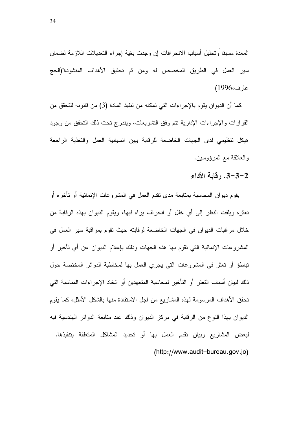المعدة مسبقا وتحليل أسباب الانحرافات إن وجدت بغية إجراء التعديلات اللازمة لضمان سير العمل في الطريق المخصص له ومن ثم تحقيق الأهداف المنشودة"(الحج عارف،1996)

كما أن الديوان يقوم بالإجراءات التي تمكنه من نتفيذ المادة (3) من قانونه للتحقق من القرارات والإجراءات الإدارية نتم وفق التشريعات، ويندرج تحت ذلك التحقق من وجود هيكل تنظيمي لدى الجهات الخاضعة للرقابة يبين انسيابية العمل والتغذية الراجعة والعلاقة مع المرؤوسين.

#### 3-3-2. رقابة الأداء

يقوم ديوان المحاسبة بمتابعة مدى نقدم العمل في المشروعات الإنمائية أو تأخره أو تعثَّره ويلفت النظر إلى أي خلل أو انحراف براه فيها، ويقوم الديوان بهذه الرقابة من خلال مراقبات الديوان في الجهات الخاضعة لرقابته حيث تقوم بمراقبة سير العمل في المشروعات الإنمائية التـي نقوم بـها هذه الـجـهات وذلك بـإعلام الديوان عن أى تأخير أو تباطؤ أو تعثَّر في المشروعات التي يجري العمل بها لمخاطبة الدوائر المختصة حول ذلك لبيان أسباب النعثر أو التأخير لمحاسبة المتعهدين أو اتخاذ الإجراءات المناسبة التي تحقق الأهداف المرسومة لهذه المشاريع من اجل الاستفادة منها بالشكل الأمثل، كما يقوم الديوان بهذا النوع من الرقابة في مركز الديوان وذلك عند متابعة الدوائر الهندسية فيه لبعض المشاريع وبيان نقدم العمل بها أو نحديد المشاكل المتعلقة بتتفيذها. (http://www.audit-bureau.gov.jo)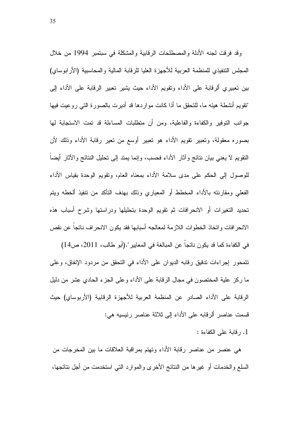وقد فرقت لجنه الأدلة والمصطلحات الرقابية والمشكلة في سبتمبر 1994 من خلال المجلس التنفيذي للمنظمة العربية للأجهزة العليا للرقابة المالية والمحاسبية (الأرابوساي) بين تعبيري ألرقابة على الأداء ونقويم الأداء حيث يشير تعبير الرقابة على الأداء إلى "تقويم أنشطة هيئه ما، للتحقق ما أذا كانت مواردها قد أديرت بالصورة التـي روعيت فيها جوانب النوفير والكفاءة والفاعلية، ومن أن منطلبات المساءلة قد نمت الاستجابة لها بصوره معقولة، وتعبير نقويم الأداء هو نعبير أوسع من نعير رقابة الأداء وذلك لأن النقويم لا يعني بيان نتائج وأثار الأداء فحسب، وإنما يمتد إلى تحليل النتائج والآثار أيضاً للوصول إلى الحكم على مدى سلامة الأداء بمعناه العام، ونقويم الوحدة بقياس الأداء الفعلي ومقارنته بالأداء المخطط أو المعياري وذلك بهدف التأكد من نتفيذ ألخطه ويتم تحديد التغيرات أو الانحرافات ثم تقويم الوحدة بتحليلها ودراستها وشرح أسباب هذه الانحرافات واتخاذ الخطوات اللازمة لمعالجه أسبابها فقد بكون الانحراف ناتجا عن نقص

في الكفاءة كما قد يكون ناتجاً عن المبالغة في المعايير ".(أبو طالب، 2011، ص14) تتمحور إجراءات ندقيق رقابه الديوان على الأداء في التحقق من مردود الإنفاق، وعلى ما ركز علية المختصون في مجال الرقابة على الأداء وعلى الجزء الحادي عشر من دليل الرقابة على الأداء الصادر عن المنظمة العربية للأجهزة الرقابية (الأربوساي) حيث قسمت عناصر ألرقابه على الأداء إلى ثلاثة عناصر رئيسيه هي:

1. رقابة على الكفاءة :

هي عنصر من عناصر رقابة الأداء وتهتم بمراقبة العلاقات ما بين المخرجات من السلع والخدمات أو غيرها من النتائج الأخرى والموارد التبي استخدمت من أجل نتائجها،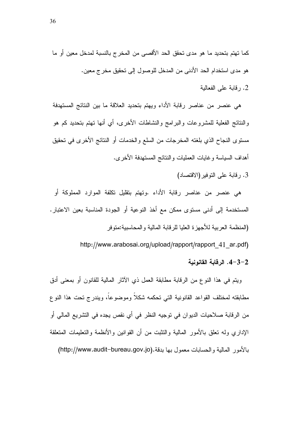2. رفابة على الفعالبة

هي عنصر من عناصر رقابة الأداء ويهتم بتحديد العلاقة ما بين النتائج المستهدفة والنتائج الفعلية للمشروعات والبرامج والنشاطات الأخرى، أي أنها نهتم بتحديد كم هو مستوى النجاح الذي بلغته المخرجات من السلع والخدمات أو النتائج الأخرى في تحقيق أهداف السياسة وغايات العمليات والنتائج المستهدفة الأخرى.

3. رقابة على النوفير (الاقتصاد)

هي عنصر من عناصر رقابة الأداء .وتهتم بتقليل تكلفة الموارد المملوكة أو المستخدمة إلى أدنى مستوى ممكن مع أخذ النوعية أو الجودة المناسبة بعين الاعتبار. (المنظمة العر بية للأجهز ة العليا للر قابة المالية و المحاسبية:متو فر

http://www.arabosai.org/upload/rapport/rapport 41 ar.pdf)

4-3-2. الرقابة القانونية

ويتم في هذا النوع من الرقابة مطابقة العمل ذي الأثار المالية للقانون أو بمعنى أدق مطابقته لمختلف القواعد القانونية التي تحكمه شكلاً وموضوعاً، ويندرج تحت هذا النوع من الرقابة صلاحيات الديوان في نوجيه النظر في أي نقص يجده في التشريع المالي أو الإدارى وله تعلق بالأمور المالية والتثبت من أن القوانين والأنظمة والتعليمات المتعلقة بالأمور المالية والحسابات معمول بها بدقة.(http://www.audit-bureau.gov.jo)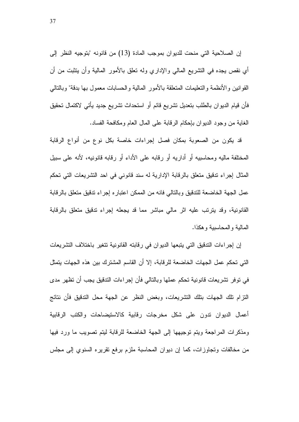إن الصلاحية التي منحت للديوان بموجب المادة (13) من قانونه "بتوجيه النظر إلى أي نقص يجده في النشريع المالي والإداري وله نعلق بالأمور المالية وأن يتثبت من أن القوانين والأنظمة والنعليمات المنعلقة بالأمور المالية والحسابات معمول بها بدقة" وبالنالبي فأن قيام الديوان بالطلب بتعديل تشريع قائم أو استحداث نشريع جديد يأتى لاكتمال تحقيق الغاية من وجود الديوان بإحكام الرقابة على المال العام ومكافحة الفساد.

قد يكون من الصعوبة بمكان فصل إجراءات خاصة بكل نوع من أنواع الرقابة المختلفة ماليه ومحاسبيه أو أداريه أو رقابه على الأداء أو رقابه قانونيه، لأنه على سبيل المثال إجراء تدقيق متعلق بالرقابة الإدارية له سند قانوني في احد التشريعات التي تحكم عمل الجهة الخاضعة للتدقيق وبالتالي فانه من الممكن اعتبار ه إجراء تدقيق متعلق بالرقابة القانونية، وقد يترتب عليه اثر مالي مباشر مما قد يجعله إجراء تدقيق متعلق بالرقابة المالية و المحاسبية و هكذا.

إن إجراءات التدقيق التي يتبعها الديوان في رقابته القانونية تتغير باختلاف التشريعات التي تحكم عمل الجهات الخاضعة للرقابة، إلا أن القاسم المشترك بين هذه الجهات يتمثل في نوفر نشريعات قانونية تحكم عملها وبالتالي فأن إجراءات التدقيق يجب أن تظهر مدى النزام نلك الجهات بنلك النشريعات، وبغض النظر عن الجهة محل الندقيق فأن نتائج أعمال الديوان ندون على شكل مخرجات رفابية كالاستيضاحات والكتب الرفابية ومذكرات المراجعة ويتم توجيهها إلى الجهة الخاضعة للرقابة ليتم تصويب ما ورد فيها من مخالفات وتجاوزات، كما إن ديوان المحاسبة ملزم برفع نقريره السنوى إلى مجلس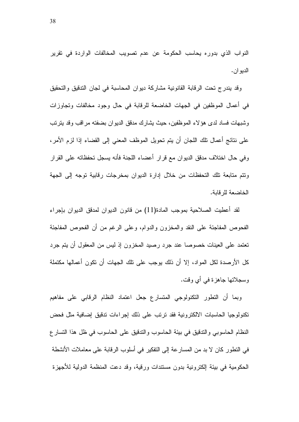النواب الذي بدوره يحاسب الحكومة عن عدم تصويب المخالفات الواردة في تقرير الديو ان .

وقد يندرج تحت الرقابة القانونية مشاركة ديوان المحاسبة في لجان التدقيق والتحقيق في أعمال الموظفين في الجهات الخاضعة للرقابة في حال وجود مخالفات وتجاوزات وشبهات فساد لدى هؤلاء الموظفين، حيث يشارك مدقق الديوان بضفته مراقب وقد يترتب على نتائج أعمال تلك اللجان أن يتم تحويل الموظف المعنى إلى القضاء إذا لزم الأمر، و في حال اختلاف مدقق الديوان مع قرار أعضاء اللجنة فأنه يسجل تحفظاته على القرار ونتم متابعة تلك التحفظات من خلال إدارة الديوان بمخرجات رقابية توجه إلى الجهة الخاضعة للر قابة.

لقد أعطيت الصلاحية بموجب المادة(11) من قانون الديوان لمدقق الديوان بإجراء الفحوص المفاجئة على النقد والمخزون والدوام، وعلى الرغم من أن الفحوص المفاجئة تعتمد على العينات خصوصا عند جرد رصيد المخزون إذ ليس من المعقول أن يتم جرد كل الأر صدة لكل المواد، إلا أن ذلك يوجب على نلك الجهات أن نكون أعمالها مكتملة وسجلاتها جاهزة في أي وفت.

وبما أن النطور النكنولوجي المنسارع جعل اعتماد النظام الرقابي على مفاهيم تكنولوجيا الحاسبات الالكترونية فقد ترتب على ذلك إجراءات تدقيق إضافية مثل فحض النظام الحاسوبي والندقيق في بيئة الحاسوب والندقيق على الحاسوب في ظل هذا النسار ع في التطور كان لا بد من المسار عة إلى التفكير في أسلوب الرقابة على معاملات الأنشطة الحكومية في بيئة الكترونية بدون مستندات ورقية، وقد دعت المنظمة الدولية للأجهزة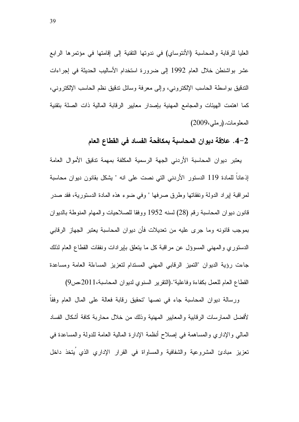العليا للرقابة والمحاسبة (الأنتوساي) في ندونها التقنية إلى إقامتها في مؤتمرها الرابع عشر بواشنطن خلال العام 1992 إلى ضرورة استخدام الأساليب الحديثة في إجراءات الندقيق بواسطة الحاسب الإلكتروني، وإلى معرفة وسائل ندقيق نظم الحاسب الإلكتروني، كما اهتمت الهيئات والمجامع المهنية بإصدار معايير الرقابة المالية ذات الصلة بتقنية المعلومات. (رملي، 2009)

### 2–4. علاقة ديوان المحاسبة بمكافحة الفساد في القطاع العام

يعتبر ديوان المحاسبة الأردني الجهة الرسمية المكلفة بمهمة ندقيق الأموال العامة إذعانا للمادة 119 الدستور الأردني التي نصت على انه " يشكل بقانون ديوان محاسبة لمراقبة إيراد الدولة ونفقاتها وطرق صرفها " وفي ضوء هذه المادة الدستورية، فقد صدر قانون ديوان المحاسبة رقم (28) لسنه 1952 ووفقا للصلاحيات والمهام المنوطة بالديوان بموجب قانونه وما جرى عليه من تعديلات فأن ديوان المحاسبة يعتبر الجهاز الرقابي الدستوري والمهنى المسوؤل عن مراقبة كل ما يتعلق بإيرادات ونفقات القطاع العام لذلك جاءت رؤية الديوان "النميز الرقابي المهنى المستدام لنعزيز المساءلة العامة ومساعدة القطاع العام للعمل بكفاءة وفاعلية".(النقرير السنوى لديوان المحاسبة،2011،ص9)

ورسالة ديوان المحاسبة جاء في نصها "تحقيق رقابة فعالة على المال العام وفقا لأفضل الممارسات الرقابية والمعايير المهنية وذلك من خلال محاربة كافة أشكال الفساد الممالي والإداري والمساهمة في إصلاح أنظمة الإدارة المالية العامة للدولة والمساعدة في تعزيز مبادئ المشروعية والشفافية والمساواة في القرار الإداري الذي يتخذ داخل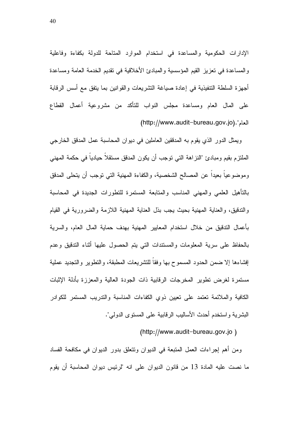الإدارات الحكومية والمساعدة في استخدام الموارد المتاحة للدولة بكفاءة وفاعلية والمساعدة في تعزيز القيم المؤسسية والمبادئ الأخلاقية في تقديم الخدمة العامة ومساعدة أجهزة السلطة التنفيذية في إعادة صياغة التشريعات والقوانين بما يتفق مع أسس الرقابة على المال العام ومساعدة مجلس النواب للناكد من مشروعية أعمال القطاع العام".(http://www.audit<sup>\_</sup>bureau.gov.jo)

ويمثل الدور الذي يقوم به المدققين العاملين في ديوان المحاسبة عمل المدقق الخارجي الملتزم بقيم ومبادئ "النزاهة التي توجب أن يكون المدقق مستقلا حياديا في حكمة المهني وموضوعيا بعيدا عن المصالح الشخصية، والكفاءة المهنية التي نوجب أن يتحلى المدقق بالناهيل العلمي والمهني المناسب والمنابعة المستمرة للنطورات الجديدة في المحاسبة والتدقيق، والعناية المهنية بحيث يجب بذل العناية المهنية اللازمة والضرورية في القيام بأعمال التدقيق من خلال استخدام المعايير المهنية بهدف حماية المال العام، والسرية بالحفاظ على سرية المعلومات والمستندات النتي بتم الحصول عليها آنناء الندقيق وعدم لِفشاءها إلا ضمن الحدود المسموح بها وفقا للنشريعات المطبقة، والنطوير والنجديد عملية مستمرة لغرض نطوير المخرجات الرقابية ذات الجودة العالية والمعززة بأدلة الإثبات الكافية والملائمة تعتمد على تعيين ذوي الكفاءات المناسبة والندريب المستمر للكوادر البشرية واستخدم أحدث الأساليب الرقابية على المستوى الدولي".

(http://www.audit-bureau.gov.jo)

ومن أهم إجراءات العمل المتبعة في الديوان ونتعلق بدور الديوان في مكافحة الفساد ما نصت عليه المادة 13 من قانون الديوان على انه "لرئيس ديوان المحاسبة أن يقوم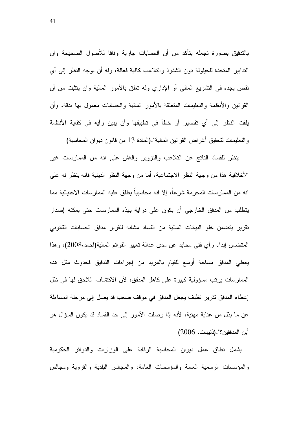بالندقيق بصورة تجعله يتأكد من أن الحسابات جارية وفاقا للأصول الصحيحة وان الندابير المتخذة للحيلولة دون الشذوذ والتلاعب كافية فعالة، وله أن يوجه النظر إلى أي نقص يجده في النشريع المالي أو الإداري وله نعلق بالأمور المالية وان ينثبت من أن القوانين والأنظمة والتعليمات المتعلقة بالأمور المالية والحسابات معمول بها بدقة، وأن يلفت النظر إلى أي نقصير أو خطأ في نطبيقها وأن يبين رأيه في كفاية الأنظمة والتعليمات لتحقيق أغراض القوانين المالية".(المادة 13 من قانون ديوان المحاسبة)

ينظر للفساد الناتج عن النلاعب والنزوير والغش على انه من الممارسات غير الأخلاقية هذا من وجهة النظر الاجتماعية، أما من وجهة النظر الدينية فانه ينظر له على انه من الممارسات المحرمة شرعا، إلا انه محاسبيا يطلق عليه الممارسات الاحتيالية مما يتطلب من المدقق الخارجي أن يكون على دراية بهذه الممارسات حتى يمكنه إصدار تقرير يتضمن خلو البيانات المالية من الفساد مشابه لتقرير مدقق الحسابات القانوني المتضمن إبداء رأي فني محايد عن مدى عدالة نعبير القوائم المالية(احمد،2008)، وهذا يعطي المدقق مساحة أوسع للقيام بالمزيد من إجراءات الندقيق فحدوث مثل هذه الممارسات يرتب مسؤولية كبيرة على كاهل المدقق، لأن الاكتشاف اللاحق لها في ظل إعطاء المدقق تقرير نظيف يجعل المدقق في موقف صعب قد يصل إلى مرحلة المساءلة عن ما بذل من عناية مهنية، لأنه إذا وصلت الأمور إلى حد الفساد قد يكون السؤال هو أين المدققين؟".(ذنيبات، 2006)

يشمل نطاق عمل ديوان المحاسبة الرفابة على الوزارات والدوائر الحكومية والمؤسسات الرسمية العامة والمؤسسات العامة، والمجالس البلدية والقروية ومجالس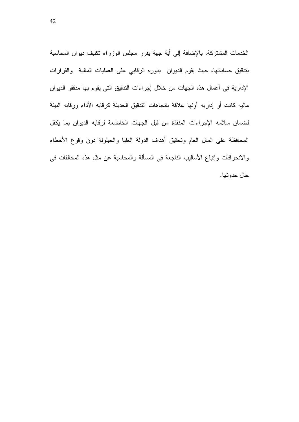الخدمات المشتركة، بالإضافة إلى أية جهة يقرر مجلس الوزراء تكليف ديوان المحاسبة بندقيق حساباتها، حيث يقوم الديوان بدوره الرقابي على العمليات المالية والقرارات الإدارية في أعمال هذه الجهات من خلال إجراءات التدقيق التي يقوم بها مدققو الديوان ماليه كانت أو إداريه أولها علاقة بانجاهات الندفيق الحديثة كرقابه الأداء ورقابه البيئة لضمان سلامه الإجراءات المنفذة من قبل الجهات الخاضعة لرقابه الديوان بما يكفل المحافظة على المال العام وتحقيق أهداف الدولة العليا والحيلولة دون وقوع الأخطاء والانحرافات وإنباع الأساليب الناجعة في المسألة والمحاسبة عن مثل هذه المخالفات في حال حدو ثها.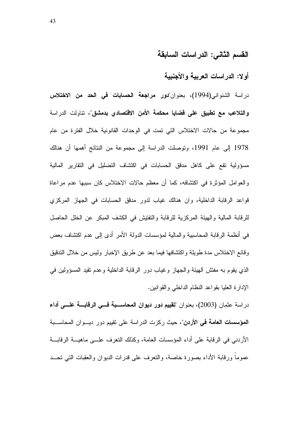# القسم الثاني: الدراسات السابقة

## أولا: الدراسات العربية والأجنبية

در اسة الشنواني(1994)، بعنوان"**دور مراجعة الحسابات في الحد من الاختلاس والتلاعب مع تطبيق على قضايا محكمة الأمن الاقتصادي بدمشق"،** تناولت الدراسة مجموعة من حالات الاختلاس التي تمت في الوحدات القانونية خلال الفترة من عام 1978 إلى عام 1991، وتوصلت الدراسة إلى مجموعة من النتائج أهمها أن هنالك مسؤولية تقع على كاهل مدقق الحسابات في اكتشاف التضليل في التقارير المالية والعوامل المؤثرة في اكتشافه، كما أن معظم حالات الاختلاس كان سببها عدم مراعاة قواعد الرقابة الداخلية، وان هنالك غياب لدور مدقق الحسابات في الجهاز المركزي للرقابة المالية والهيئة المركزية للرقابة والتفتيش في الكشف المبكر عن الخلل الحاصل في أنظمة الرقابة المحاسبية والمالية لمؤسسات الدولة الأمر أدى إلى عدم اكتشاف بعض وقائع الاختلاس مدة طويلة واكتشافها فيما بعد عن طريق الإخبار وليس من خلال التدقيق الذي يقوم به مفتش الـهيئة والـجهاز وغياب دور الرقابة الداخلية وعدم نقيد المسؤولين فـي الإدارة العليا بقواعد النظام الداخلـي والقوانـين.

در اسة عثمان (2003)، بعنوان "**تقييم دور ديوان المحاســبة فـــي الرقابـــة علـــي أداء المؤسسات العامة في الأردن**"، حيث ركزت الدراسة على نقييم دور ديـــوان المحاســـبة الأردني في الرقابة على أداء المؤسسات العامة، وكذلك النعرف علــــى ماهيــــة الرقابــــة عموما ورقابة الأداء بصورة خاصة، والنعرف على قدرات الديوان والعقبات التي نحـــد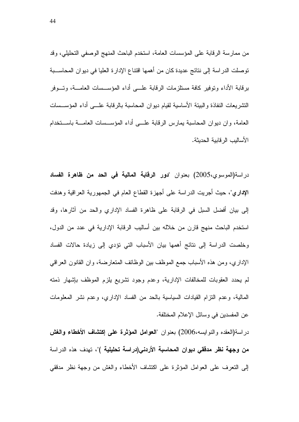من ممارسة الرقابة على المؤسسات العامة، استخدم الباحث المنهج الوصفي التحليلي، وقد توصلت الدراسة إلى نتائج عديدة كان من أهمها اقتناع الإدارة العليا في ديوان المحاســبة برقابة الأداء ونوفير كافة مستلزمات الرقابة علـــي أداء المؤســـسات العامـــة، وتـــوفر النشريعات النفاذة والببيئة الأساسية لقيام ديوان المحاسبة بالرقابة علـــي أداء المؤســسات العامة، وان ديوان المحاسبة يمارس الرقابة علــي أداء المؤســسات العامـــة باســـتخدام الأساليب الر فابية الحديثة.

در اسة(الموسوي،2005) بعنوان "دور الرقابة المالية في الحد من ظاهرة الفساد **الإداري**"، حيث أجريت الدراسة على أجهزة القطاع العام في الجمهورية العراقية وهدفت إلى بيان أفضل السبل في الرقابة على ظاهرة الفساد الإداري والحد من أثارها، وقد استخدم الباحث منهج قارن من خلاله بين أساليب الرقابة الإدارية في عدد من الدول، وخلصت الدراسة إلى نتائج أهمها بيان الأسباب التي تؤدي إلى زيادة حالات الفساد الإداري، ومن هذه الأسباب جمع الموظف بين الوظائف المتعارضة، وان القانون العراقبي لم يحدد العقوبات للمخالفات الإدارية، وعدم وجود تشريع بلزم الموظف بإشهار ذمته المالية، وعدم النزام القيادات السياسية بالحد من الفساد الإداري، وعدم نشر المعلومات عن المفسدين في وسائل الإعلام المختلفة.

دراسة(العقده والنوابسه،2006) بعنوان "العوامل المؤثرة على إكتشاف الأخطاء والغش **من وجهة نظر مدققي ديوان المحاسبة الأردني(دراسة تحليلية )**"، تهدف هذه الدراسة إلى النعرف على العوامل المؤثرة على اكتشاف الأخطاء والغش من وجهة نظر مدققي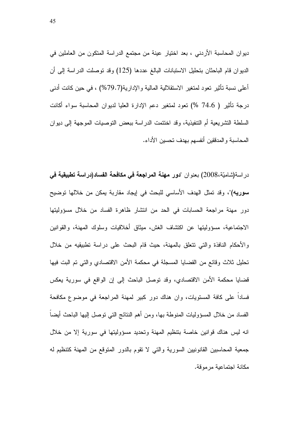ديوان المحاسبة الأردني ، بعد اختيار عينة من مجتمع الدراسة المتكون من العاملين في الديوان قام الباحثان بتحليل الاستبانات البالغ عددها (125) وقد توصلت الدراسة إلى أن أعلـي نسبة تأثير تعود لمتغير الاستقلالية المالية والإدارية(79.7%) ، فـي حين كانت أدنـي درجة تأثير ( 74.6 %) تعود لمتغير دعم الإدارة العليا لديوان المحاسبة سواء أكانت السلطة التشريعية أم التتفيذية، وقد اختتمت الدراسة ببعض التوصيات الموجهة إلى ديوان المحاسبة و المدققين أنفسهم بهدف تحسين الأداء.

در اسة(شاميّة،2008) بعنوان "**دور مهنة المراجعة في مكافحة الفساد(دراسة تطبيقية ف***ي* سوريه)"، وقد تمثَّل الهدف الأساسي للبحث في إيجاد مقاربة يمكن من خلالها توضيح دور مهنة مراجعة الحسابات في الحد من انتشار ظاهرة الفساد من خلال مسؤوليتها الاجتماعية، مسؤوليتها عن اكتشاف الغش، ميثاق أخلاقيات وسلوك المهنة، والقوانين والأحكام النافذة والتي نتعلق بالمهنة، حيث قام البحث على دراسة نطبيقيه من خلال تَّطيل ثلاث وقائع من القضايا المسجلة في محكمة الأمن الاقتصادي والتي تم البت فيها قضايا محكمة الأمن الاقتصادي، وقد توصل الباحث إلى إن الواقع في سورية يعكس فسادا على كافة المستويات، وان هناك دور كبير لمهنة المراجعة في موضوع مكافحة الفساد من خلال المسؤوليات المنوطة بها، ومن أهم النتائج التي توصل إليها الباحث أيضا انه ليس هناك فوانين خاصة بتنظيم المهنة وتحديد مسؤوليتها في سورية إلا من خلال جمعية المحاسبين القانونيين السورية والتي لا تقوم بالدور المنوقع من المهنة كتنظيم له مكانة اجتماعية مر موقة.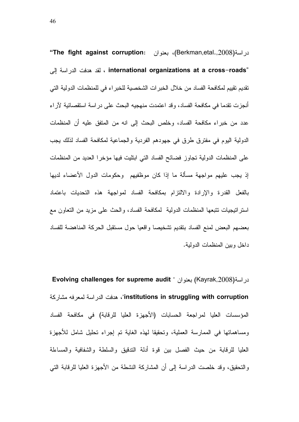در اسة(Berkman,etal.,2008)، بعنوان **The fight against corruption:** ، لقد هدفت الدراسة إلى international organizations at a cross–roads" تقديم تقييم لمكافحة الفساد من خلال الخبر ات الشخصية للخبر اء في للمنظمات الدولية التي أنجزت نقدما في مكافحة الفساد، وقد اعتمدت منهجيه البحث على دراسة استقصائية لأراء عدد من خبراء مكافحة الفساد، وخلص البحث إلى انه من المتفق عليه أن المنظمات الدولية اليوم في مفترق طرق في جهودهم الفردية والجماعية لمكافحة الفساد لذلك يجب على المنظمات الدولية تجاوز فضائح الفساد التي ابتليت فيها مؤخرا العديد من المنظمات إذ يجب عليهم مواجهة مسالة ما إذا كان موظفيهم وحكومات الدول الأعضاء لديها بالفعل القدرة والإرادة والالتزام بمكافحة الفساد لمواجهة هذه التحديات باعتماد استراتيجيات نتبعها المنظمات الدولية لمكافحة الفساد، والحث على مزيد من النعاون مع بعضهم البعض لمنع الفساد بنقديم تشخيصا واقعيا حول مستقبل الحركة المناهضة للفساد داخل وبين المنظمات الدولية.

 Evolving challenges for supreme audit " 
(Kayrak,2008)) institutions in struggling with corruption"، هدفت الدراسة لمعرفه مشاركة المؤسسات العليا لمراجعة الحسابات (الأجهزة العليا للرقابة) في مكافحة الفساد ومساهماتها في الممارسة العملية، وتحقيقا لمهذه الغاية تم إجراء تحليل شامل للاجهزة العليا للرقابة من حيث الفصل بين قوة أدلة التدقيق والسلطة والشفافية والمساءلة والتحقيق، وقد خلصت الدراسة إلى أن المشاركة النشطة من الأجهزة العليا للرقابة التي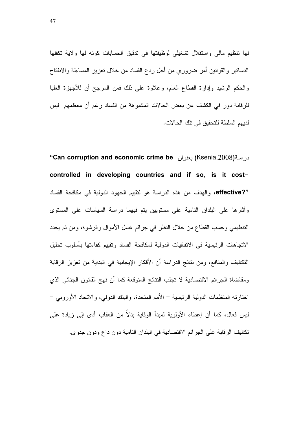لَّها نتظيم مالي واستقلال نشغيلي لوظيفتها في ندفيق الحسابات كونه لها ولاية نكفلها الدسانير والقوانين أمر ضروري من أجل ردع الفساد من خلال نعزيز المساءلة والانفتاح والحكم الرشيد وإدارة القطاع العام، وعلاوة على ذلك فمن المرجح أن للأجهزة العليا للرقابة دور في الكشف عن بعض الحالات المشبوهة من الفساد رغم أن معظمهم ليس لديهم السلطة للتحقيق في تلك الحالات.

"Can corruption and economic crime be بعنو ان "Can corruption and economic crime be" controlled in developing countries and if so, is it cost-"effective?"، والهدف من هذه الدراسة هو لتقييم الجهود الدولية في مكافحة الفساد وأثارها على البلدان النامية على مستويين بتم فيهما دراسة السياسات على المستوى التنظيمي وحسب القطاع من خلال النظر في جرائم غسل الأموال والرشوة، ومن ثم يحدد الاتجاهات الرئيسية في الاتفاقيات الدولية لمكافحة الفساد وتقييم كفاءتها بأسلوب تحليل النكاليف والمنافع، ومن نتائج الدراسة أن الأفكار الإيجابية في البداية من تعزيز الرقابة ومقاضاة الجرائم الاقتصادية لا تجلب النتائج المتوقعة كما أن نهج القانون الجنائي الذي اختارته المنظمات الدولية الرئيسية – الأمم المتحدة، والبنك الدولي، والاتحاد الأوروبي – ليس فعال، كما أن إعطاء الأولوية لمبدأ الوقاية بدلاً من العقاب أدى إلى زيادة على تكاليف الرقابة على الجرائم الاقتصادية في البلدان النامية دون داع ودون جدوى.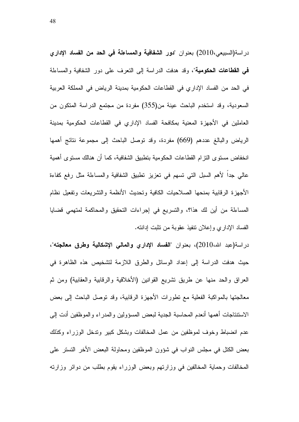در اسة(السبيعي،2010) بعنوان "دور الشفافية والمساعلة في الحد من الفساد الإداري في القطاعات الحكومية"، وقد هدفت الدراسة إلى التعرف على دور الشفافية والمساءلة في الحد من الفساد الإداري في القطاعات الحكومية بمدينة الرياض في المملكة العربية السعودية، وقد استخدم الباحث عينة من(355) مفردة من مجتمع الدراسة المتكون من العاملين في الأجهزة المعنية بمكافحة الفساد الإداري في القطاعات الحكومية بمدينة الرياض والبالغ عددهم (669) مفردة، وقد نوصل الباحث إلى مجموعة نتائج أهمها انخفاض مستوى التزام القطاعات الحكومية بتطبيق الشفافية، كما أن هنالك مستوى أهمية عالى جدًا لأهم السبل التي تسهم في تعزيز تطبيق الشفافية والمساءلة مثل رفع كفاءة الأجهزة الرقابية بمنحها الصلاحيات الكافية وتحديث الأنظمة والتشريعات وتفعيل نظام المساءلة من أين لك هذا؟، والتسريع في إجراءات التحقيق والمحاكمة لمتهمي قضايا الفساد الإداري وإعلان نتفيذ عقوبة من تثبت إدانته.

دراسة(عبد الله،2010)، بعنوان "الفساد الإداري والمالي الإشكالية وطرق معالجته"، حيث هدفت الدراسة إلى إعداد الوسائل والطرق اللازمة لنشخيص هذه الظاهرة في العراق والحد منها عن طريق تشريع القوانين (الأخلاقية والرقابية والعقابية) ومن ثم معالجتها بالمواكبة الفعلية مع نطورات الأجهزة الرقابية، وقد نوصل الباحث إلىي بعض الاستتناجات أهمها أنعدم المحاسبة الجدية لبعض المسؤولين والمدراء والموظفين أدت إلى عدم انضباط وخوف لموظفين من عمل المخالفات وبشكل كبير وندخل الوزراء وكذلك بعض الكتل في مجلس النواب في شؤون الموظفين ومحاولة البعض الأخر النستر على المخالفات وحماية المخالفين في وزارتهم وبعض الوزراء يقوم بطلب من دوائر وزارته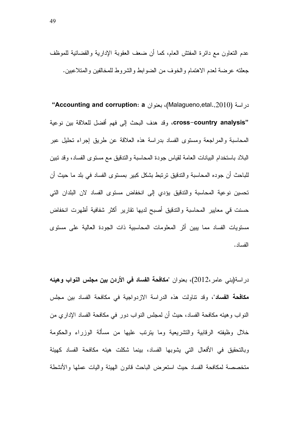عدم النعاون مع دائرة المفتش العام، كما أن ضعف العقوبة الإدارية والقضائية للموظف جعلته عرضة لعدم الاهتمام والخوف من الضوابط والشروط للمخالفين والمتلاعبين.

"Accounting and corruption: a بعنوان Accounting and corruption: a' "cross–country analysis، وقد هدف البحث إلى فهم أفضل للعلاقة بين نوعية المحاسبة والمراجعة ومستوى الفساد بدراسة هذه العلاقة عن طريق إجراء تحليل عبر البلاد باستخدام البيانات العامة لقياس جودة المحاسبة والتدقيق مع مستوى الفساد، وقد تبين للباحث أن جوده المحاسبة والتدقيق ترتبط بشكل كبير بمستوى الفساد في بلد ما حيث أن تحسين نوعية المحاسبة والتدقيق يؤدي إلى انخفاض مستوى الفساد لان البلدان التي حسنت قي معايير المحاسبة والتدقيق أصبح لديها تقارير أكثر شفافية أظهرت انخفاض مسنويات الفساد مما يبين أثر المعلومات المحاسبية ذات الجودة العالية على مسنوى الفساد.

در اسة(بني عامر ،2012)، بعنوان "مكافحة الفساد في الأردن بين مجلس النواب وهيئه مكافحة الفساد"، وقد نتاولت هذه الدراسة الازدواجية في مكافحة الفساد بين مجلس النواب و هيئه مكافحة الفساد، حيث أن لمجلس النواب دور في مكافحة الفساد الإداري من خلال وظيفته الرقابية والتشريعية وما بترتب عليها من مسألة الوزراء والحكومة وبالنحقيق في الأفعال الني يشوبها الفساد، بينما شكلت هيئه مكافحة الفساد كهيئة متخصصة لمكافحة الفساد حيث استعرض الباحث قانون الهيئة واليات عملها والأنشطة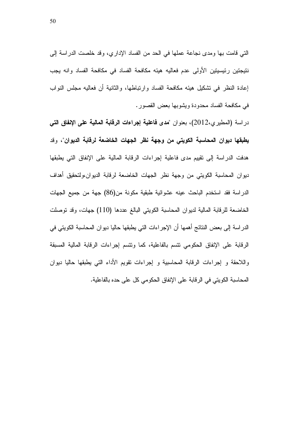التي قامت بها ومدى نجاعة عملها في الحد من الفساد الإداري، وقد خلصت الدراسة إلى نتيجتين رئيسيتين الأولى عدم فعاليه هيئه مكافحة الفساد في مكافحة الفساد وانه يجب إعادة النظر في نشكيل هيئه مكافحة الفساد وارتباطها، والثانية أن فعاليه مجلس النواب في مكافحة الفساد محدودة ويشوبها بعض القصور.

دراسة (المطيرى،2012)، بعنوان "مدى فاعلية إجراءات الرقابة المالية على الإلفاق التي يطبقها ديوان المحاسبة الكويتي من وجهة نظر الجهات الخاضعة لرفابة الديوان"، وقد هدفت الدراسة إلى تقييم مدى فاعلية إجراءات الرقابة المالية على الإنفاق التي يطبقها ديوان المحاسبة الكويتي من وجهة نظر الجهات الخاضعة لرقابة الديوان،ولتحقيق أهداف الدراسة فقد استخدم الباحث عينه عشوائية طبقية مكونة من(86) جهة من جميع الجهات الخاضعة للرقابة المالية لديوان المحاسبة الكويتي البالغ عددها (110) جهات، وقد نوصلت الدر اسة إلى بعض النتائج أهمها أن الإجر اءات التي يطبقها حاليا ديو ان المحاسبة الكويتي في الرقابة على الإنفاق الحكومي نتسم بالفاعلية، كما ونتسم إجراءات الرقابة المالية المسبقة واللاحقة و إجراءات الرقابة المحاسبية و إجراءات تقويم الأداء التي يطبقها حاليا ديوان المحاسبة الكويتي في الرقابة على الإنفاق الحكومي كل على حده بالفاعلية.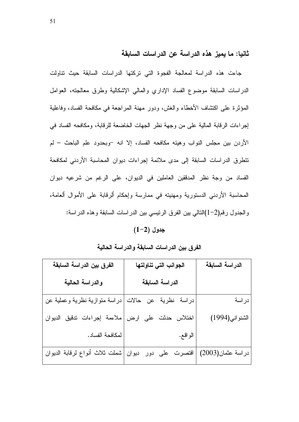ثانيا: ما يميز هذه الدراسة عن الدراسات السابقة

جاءت هذه الدراسة لمعالجة الفجوة التي تركتها الدراسات السابقة حيث تناولت الدر اسات السابقة موضوع الفساد الإداري والمالبي الإشكالية وطرق معالجته، العوامل المؤثِّرة على اكتشاف الأخطاء والغش، ودورٍ مهنة المراجعة في مكافحة الفساد، وفاعلية إجراءات الرقابة المالية على من وجهة نظر الجهات الخاضعة للرقابة، ومكافحه الفساد في الأردن بين مجلس النواب وهيئه مكافحه الفساد، إلا انه -وبحدود علم الباحث – لم نتطرق الدراسات السابقة إلى مدى ملائمة إجراءات ديوان المحاسبة الأردنى لمكافحة الفساد من وجة نظر المدققين العاملين في الديوان، على الرغم من شرعيه ديوان المحاسبة الأردني الدستورية ومهنيته في ممارسة وإحكام ألرقابة على الأموال ألعامة، والجدول رفم(2–1)النالي بين الفرق الرئيسي بين الدراسات السابقة وهذه الدراسة:

 $(1-2)$  جدول

الفرق بين الدراسات السابقة والدراسة الحالية

| الفرق بين الدراسة السابقة      | الجوانب التي تناولتها   | الدراسة السابقة    |
|--------------------------------|-------------------------|--------------------|
| والدراسة الحالية               | الدراسة السابقة         |                    |
| دراسة منوازية نظرية وعملية عن  | دراسة نظرية عن حالات    | دراسة              |
| ملاءمة إجراءات ندقيق الديوان   | اختلاس حدثت علمي<br>ارض | الشنواني(1994)     |
| لمكافحة الفساد.                | الو اقع.                |                    |
| شملت ثلاث أنواع لرقابة الديوان | اقتصرت على دور ديوان    | در اسة عثمان(2003) |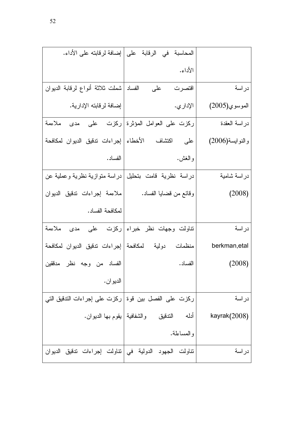|                                                                  | المحاسبة   في   الرقابة   على   إضافة لرقابته على الأداء. |                 |
|------------------------------------------------------------------|-----------------------------------------------------------|-----------------|
|                                                                  | الأداء.                                                   |                 |
| الفساد   شملت ثلاثة أنواع لرقابة الديوان                         | على<br>اقتصرت                                             | دراسة           |
| إضافة لرقابته الإدارية.                                          | الإدار ي.                                                 | الموسوي(2005)   |
| ركزت على العوامل المؤثرة ركزت   على   مدى   ملاءمة               |                                                           | دراسة العقدة    |
| على       اكتشاف       الأخطاء   إجراءات ندقيق  الديوان  لمكافحة |                                                           | والنوابسة(2006) |
| الفساد .                                                         | و الغش.                                                   |                 |
| دراسة متوازية نظرية وعملية عن                                    | دراسة نظرية قامت بتحليل                                   | در اسة شامية    |
| ملاءمة إجراءات تدقيق الديوان                                     | وقائع من قضايا الفساد.                                    | (2008)          |
| لمكافحة الفساد.                                                  |                                                           |                 |
| ملاءمة                                                           | تناولت وجهات نظر خبراء ركزت  على  مدى                     | دراسة           |
| منظمات دولية لمكافحة إجراءات ندقيق الديوان لمكافحة               |                                                           | berkman, etal   |
| الفساد من وجه نظر مدققين                                         | الفساد .                                                  | (2008)          |
| الديو ان .                                                       |                                                           |                 |
| ركزت على الفصل بين فوة ركزت على إجراءات التدقيق التي             |                                                           | دراسة           |
| والشفافية   يقوم بـها الديوان.                                   | أدله الندقيق                                              | kayrak $(2008)$ |
|                                                                  | والمساءلة.                                                |                 |
|                                                                  |                                                           |                 |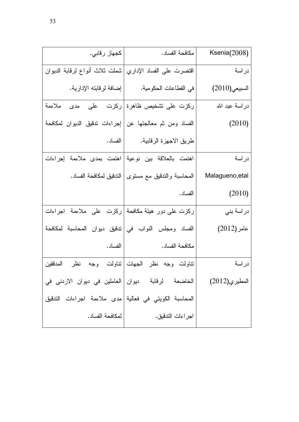| كجهاز رقابي.                                                     | مكافحة الفساد.                                       | Ksenia(2008)    |
|------------------------------------------------------------------|------------------------------------------------------|-----------------|
| شملت ثلاث أنواع لرقابة الدبوان                                   | اقتصرت على الفساد الإداري                            | دراسة           |
|                                                                  |                                                      | السبيعي(2010)   |
| ركزت على تشخيص ظاهرة ركزت    على    مدى    ملاءمة                |                                                      | دراسة عبد الله  |
| الفساد ومن ثم معالجتها عن  إجراءات ندقيق الديوان لمكافحة         |                                                      | (2010)          |
| الفساد .                                                         | طريق الاجهزة الرقابية.                               |                 |
| اهتمت بمدى ملاءمة إجراءات                                        | اهتمت بالعلاقة بين نوعية                             | دراسة           |
|                                                                  | المحاسبة والندقيق مع مستوى   الندقيق لمكافحة الفساد. | Malagueno, etal |
|                                                                  | الفساد .                                             | (2010)          |
| ركزت على دور هيئة مكافحة  ركزت  على  ملاءمة  اجراءات             |                                                      | در اسة بني      |
| الفساد ومجلس النواب في تنقيق ديوان المحاسبة لمكافحة              |                                                      | عامر (2012)     |
| الفساد .                                                         | مكافحة الفساد.                                       |                 |
| المدققين                                                         | تناولت وجه نظر الجهات نتاولت وجه نظر                 | دراسة           |
| الخاضعة     لرقابة      ديوان   العاملين  في  ديوان  الاردنى  في |                                                      | المطبر ي(2012)  |
| المحاسبة الكويتي في فعالية  مدى ملاءمة اجراءات التدقيق           |                                                      |                 |
| لمكافحة الفساد.                                                  | اجر اءات الندقيق.                                    |                 |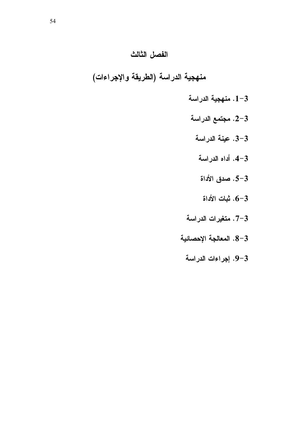# الفصل الثالث

منهجية الدراسة (الطريقة والإجراءات)

- 1-3. منهجية الدراسة
- 2-3. مجتمع الدراسة
	- 3-3. عينة الدراسة
	- 4-3. أداه الدراسة
		- 5–5. صدق الأداة  $-5$
		- $-6$ . ثبات الأداة  $\,$
- 7-3. متغيرات الدراسة
- 8-3. المعالجة الإحصائية
	- 9-3. إجراءات الدراسة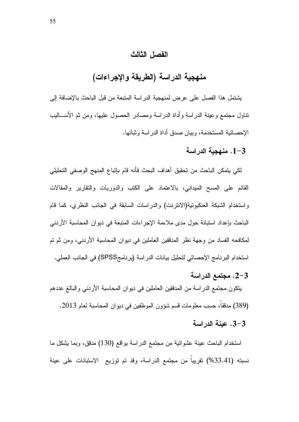### الفصل الثالث

# منهجية الدراسة (الطريقة والإجراءات)

يشتمل هذا الفصل على عرض لمنهجية الدراسة المتبعة من قبل الباحث بالإضافة إلى نتاول مجتمع وعينة الدراسة وأداة الدراسة ومصادر الحصول عليها، ومن ثم الأســـاليب الإحصائية المستخدمة، وبيان صدق أداة الدراسة وثباتها.

#### 1-3. منهجبة الدر اسة

لكي يتمكن الباحث من تحقيق أهداف البحث فأنه قام بإتباع المنهج الوصفى التحليلي القائم على المسح الميداني، بالاعتماد على الكتب والدوريات والتقارير والمقالات واستخدام الشبكة العنكبوتية(الانترنت) والدراسات السابقة في الجانب النظري، كما قام الباحث بإعداد استبانة حول مدى ملاءمة الإجراءات المتبعة في ديوان المحاسبة الأردني لمكافحه الفساد من وجهة نظر المدققين العاملين في ديوان المحاسبة الأردني، ومن ثم تم استخدام البرنامج الإحصائي لتحليل بيانات الدراسة (برنامجSPSS) في الجانب العملي.

2-3. مجتمع الدراسة

يتكون مجتمع الدراسة من المدققين العاملين في ديوان المحاسبة الأردنبي والبالغ عددهم

- (389) مدفقا، حسب معلومات قسم شؤون الموظفين في ديوان المحاسبة لعام 2013.
	- 3-3. عنة الدراسة

استخدام الباحث عينة عشوائية من مجتمع الدراسة بواقع (130) مدقق، وبما يشكل ما نسبته (33.41%) نقريبا من مجتمع الدراسة، وقد تم توزيع الاستبانات على عينة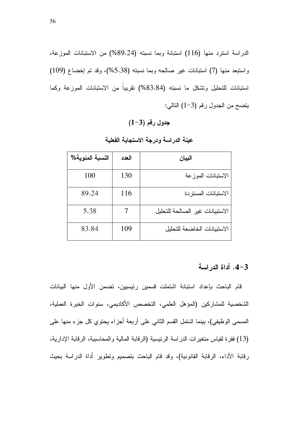الدراسة استرد منها (116) استبانة وبما نسبته (89.24%) من الاستبانات الموزعة، واستبعد منها (7) استبانات غير صالحه وبما نسبته (5.38%)، وقد تم إخضاع (109) استبانات للتحليل ونشكل ما نسبته (83.84%) نقريباً من الاستبانات الموزعة وكما يتضح من الجدول رقم (3-1) التالي:

## $(1-3)$  جدول رقم

| النسبة المئوية% | العدد | البيان                          |
|-----------------|-------|---------------------------------|
| 100             | 130   | الاستبانات الموزعة              |
| 89.24           | 116   | الاستبانات المستردة             |
| 5.38            |       | الاستبيانات غير الصالحة للتحليل |
| 83.84           | 109   | الاستببانات الخاضعة للتحلبل     |

عينة الدراسة ودرجة الاستجابة الفعلية

#### 4-3. أداة الدر اسة

قام الباحث بإعداد استبانة اشتملت قسمين رئيسيين، تضمن الأول منها البيانات الشخصية للمشاركين (المؤهل العلمي، التخصص الأكاديمي، سنوات الخبرة العملية، المسمى الوظيفي)، بينما اشتمل القسم الثاني على أربعة أجزاء يحتوى كل جزء منها على (13) فقرة لقياس متغيرات الدراسة الرئيسية (الرقابة المالية والمحاسبية، الرقابة الإدارية، رقابة الأداء، الرقابة القانونية)، وقد قام الباحث بتصميم وتطوير أداة الدراسة بحيث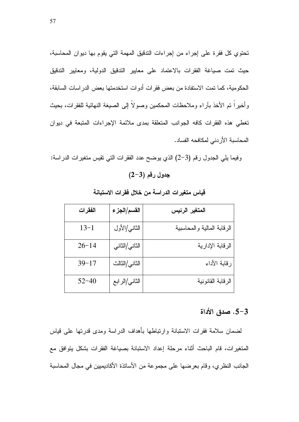تحتوي كل فقرة على إجراء من إجراءات التدقيق المهمة التي يقوم بها ديوان المحاسبة، حيث تمت صياغة الفقرات بالاعتماد على معايير الندفيق الدولية، ومعايير الندفيق الحكومية، كما تمت الاستفادة من بعض فقرات أدوات استخدمتها بعض الدراسات السابقة، وأخيراً نم الأخذ بأراء وملاحظات المحكمين وصولاً إلى الصيغة النهائية للفقرات، بحيث تغطى هذه الفقرات كافه الجوانب المتعلقة بمدى ملائمة الإجراءات المتبعة في ديوان المحاسبة الأر دني لمكافحه الفساد.

وفيما يلي الجدول رقم (3–2) الذي يوضح عدد الفقرات التي نقيس متغيرات الدراسة:  $(2-3)$  جدول رقم

| الفقرات   | القسم/الجزء   | المتغير الرئيس             |
|-----------|---------------|----------------------------|
| $13 - 1$  | الثاني/الأول  | الرقابة المالية والمحاسبية |
| $26 - 14$ | الثاني/الثاني | الرقابة الإدارية           |
| $39 - 17$ | الثاني/الثالث | رقابة الأداء               |
| $52 - 40$ | الثاني/الرابع | الرقابة القانونية          |

قياس متغيرات الدراسة من خلال فقرات الاستبانة

# 3-5. صدق الأداة

لضمان سلامة فقرات الاستبانة وارتباطها بأهداف الدراسة ومدى قدرتها علىي قياس المتغيرات، قام الباحث أثناء مرحلة إعداد الاستبانة بصباغة الفقرات بشكل يتوافق مع الجانب النظر ي، وقام بعر ضها على مجموعة من الأساتذة الأكاديميين في مجال المحاسبة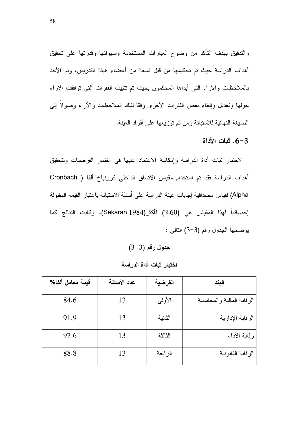والتدقيق بهدف التأكد من وضوح العبارات المستخدمة وسهولتها وقدرتها على تحقيق أهداف الدراسة حيث تم تحكيمها من قبل تسعة من أعضاء هيئة التدريس، وتم الأخذ بالملاحظات والأراء التي أبداها المحكمون بحيث تم تثبيت الفقرات التي توافقت الأراء حولها ونعديل وإلغاء بعض الفقرات الأخرى وفقا لنلك الملاحظات والأراء وصولاً إلىي الصيغة النهائية للاستبانة ومن ثم توزيعها على أفراد العينة.

### $6 - 3$ . ثبات الأداة

لاختبار ثبات أداة الدراسة وإمكانية الاعتماد عليها في اختبار الفرضيات ولتحقيق أهداف الدراسة فقد تم استخدام مقياس الاتساق الداخلي كرونباخ ألفا ( Cronbach Alpha) لقياس مصداقية إجابات عينة الدراسة على أسئلة الاستبانة باعتبار القيمة المقبولة إحصـائياً لهذا المقياس هي (60%) فأكثر(Sekaran,1984)، وكانت النتائج كما يوضحها الجدول رقم (3-3) التالي :

 $(3-3)$  جدول رقم

| فيمة معامل ألفا% | عدد الأسئلة | الفرضية | البند                      |
|------------------|-------------|---------|----------------------------|
| 84.6             | 13          | الأولىي | الرقابة المالية والمحاسبية |
| 91.9             | 13          | الثانية | الرقابة الإدارية           |
| 97.6             | 13          | الثالثة | رقابة الأداء               |
| 88.8             | 13          | الرابعة | الرقابة القانونية          |

اختبار ثبات أداة الدراسة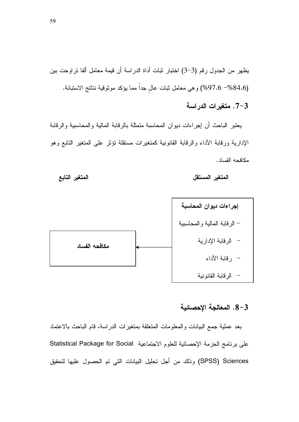يظهر من الجدول رقم (3–3) اختبار ثبات أداة الدراسة أن قيمة معامل الفا تراوحت بين (84.6%- 97.6%) وهي معامل ثبات عال جدا مما يؤكد موثوقية نتائج الاستبانة.

3–7. متغيرات الدراسة

يعتبر الباحث أن إجراءات ديوان المحاسبة متمثلة بالرقابة المالية والمحاسبية والرقابة الإدارية ورقابة الأداء والرقابة القانونية كمتغيرات مستقلة تؤثر على المتغير التابع وهو . -مكافحه الفسا





8–8. المعالجة الإحصائية

بعد عملية جمع البيانات والمعلومات المتعلقة بمتغيرات الدراسة، قام الباحث بالاعتماد على برنامج الحزمة الإحصائية للعلوم الاجتماعية Statistical Package for Social SPSS) Sciences) وذلك من أجل تحليل البيانات التي تم الحصول عليها لتحقيق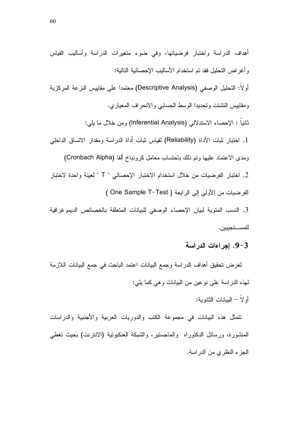أو لا: التحليل الوصفي (Descriptive Analysis) معتمدا على مقاييس النزعة المركزية ومقاييس النشنت وتحديدا الوسط الحسابي والانحراف المعياري.

نانيا : الإحصاء الاستدلالي (Inferential Analysis) ومن خلال ما يلي:

1. اختبار ثبات الأداة (Reliability) لقياس ثبات أداة الدراسة ومقدار الاتساق الداخلي ومدى الاعتماد عليها وتم ذلك باحتساب معامل كرونباخ ألفا (Cronbach Alpha)

2. اختبار الفرضيات من خلال استخدام الاختبار الإحصائي " T " لعينة واحدة لاختبار الفرضيات من الأولى إلى الرابعة ( One Sample T–Test )

3. النسب المئوية لبيان الإحصاء الوصفي للبيانات المتعلقة بالخصائص الديموغرافية للمستجبيين.

### 9-3. إجراءات الدراسة

لغرض تحقيق أهداف الدراسة وجمع البيانات اعتمد الباحث في جمع البيانات اللازمة لـهذه الدر اسة علـى نوعين من البيانات و هي كما يلـي:

أولا – البيانات الثانوية:

نتمثل هذه البيانات في مجموعة الكتب والدوريات العربية والأجنبية والدراسات المنشورة، ورسائل الدكتوراه والماجستير، والشبكة العنكبونية (الانترنت) بحيث تغطي الجزء النظري من الدر اسة.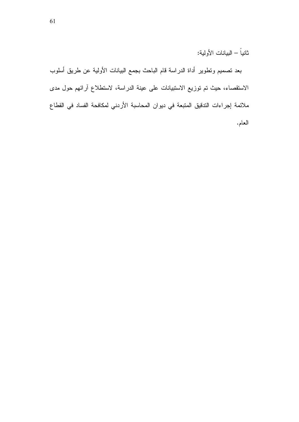ثانياً – البيانات الأولية:

بعد نصميم ونطوير أداة الدراسة قام الباحث بجمع البيانات الأولية عن طريق أسلوب الاستقصاء، حيث تم توزيع الاستبيانات على عينة الدراسة، لاستطلاع أرائهم حول مدى ملائمة إجراءات التدقيق المتبعة في ديوان المحاسبة الأردني لمكافحة الفساد في القطاع العام.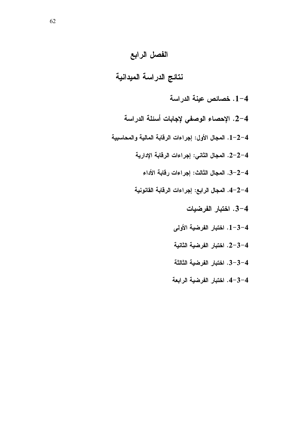### الفصل الرابع

## نتائج الدراسة الميدانية

- 1-4. خصائص عينة الدراسة
- 2–4. الإحصاء الوصفى لإجابات أسئلة الدراسة
- 1-2-4. المجال الأول: إجراءات الرقابة المالية والمحاسبية
	- 2-2-4. المجال الثاني: إجراءات الرقابة الإدارية
		- 3-2-4. المجال الثالث: إجراءات رفابة الأداء
	- 4-2-4. المجال الرابع: إجراءات الرفابة القانونية
		- 4-3. اختبار الفرضيات
		- 4–3–1. اختبار الفرضية الأولى
		- 4–3–2. اختبار الفرضية الثانية
		- 4–3-3. اختبار الفرضية الثالثة
		- 4-3-4. اختبار الفرضية الرابعة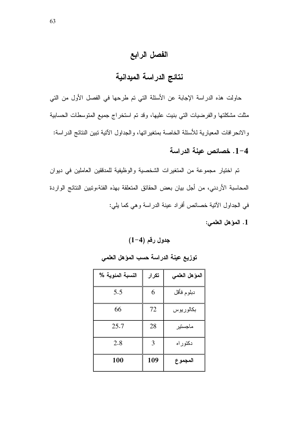### الفصل الرابع

## نتائج الدراسة الميدانية

حاولت هذه الدراسة الإجابة عن الأسئلة التي تم طرحها في الفصل الأول من التي مثلت مشكلتها والفرضيات التي بنيت عليها، وقد تم استخراج جميع المتوسطات الحسابية والانحر افات المعيارية للأسئلة الخاصة بمنغيراتها، والجداول الآتية تبين النتائج الدراسة:

### 1-4. خصائص عننة الدراسة

تم اختيار مجموعة من المتغيرات الشخصية والوظيفية للمدققين العاملين في ديوان المحاسبة الأردني، من أجل بيان بعض الحقائق المتعلقة بهذه الفئة،وتبين النتائج الواردة في الجداول الأنية خصائص أفراد عينة الدراسة وهي كما يلي:

1. المؤهل العلمي:

| النسبة المئوية % | تكرار | المؤهل الطمي |
|------------------|-------|--------------|
| 5.5              | 6     | دبلوم فأقل   |
| 66               | 72    | بكالوريوس    |
| 25.7             | 28    | ماجستير      |
| 2.8              | 3     | دكتوراه      |
| 100              | 109   | المجموع      |

توزيع عينة الدراسة حسب المؤهل العلمى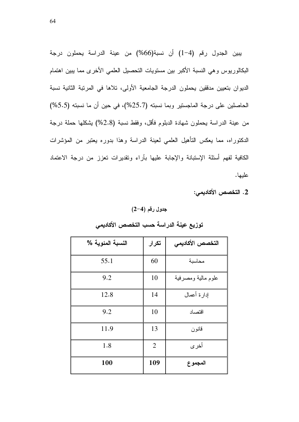يبين الجدول رقم (4-1) أن نسبة(66%) من عينة الدراسة يحملون درجة البكالوريوس وهي النسبة الأكبر بين مستويات التحصيل العلمي الأخرى مما يبين اهتمام الديوان بتعيين مدققين يحملون الدرجة الجامعية الأولى، تلاها في المرتبة الثانية نسبة الحاصلين على درجة الماجستير وبما نسبته (25.7%)، في حين أن ما نسبته (5.5%) من عينة الدراسة بحملون شهادة الدبلوم فأقل، وفقط نسبة (2.8%) بِشكلها حملة درجة الدكتوراه، مما يعكس التأهيل العلمي لعينة الدراسة وهذا بدوره يعتبر من المؤشرات الكافية لفهم أسئلة الإستبانة والإجابة عليها بآراء وتقديرات تعزز من درجة الاعتماد عليها.

2. التخصص الأكاديمي:

#### جدول رقم (4-2)

| النسبة المئوية % | تكرار          | التخصص الأكاديمي   |
|------------------|----------------|--------------------|
| 55.1             | 60             | محاسبة             |
| 9.2              | 10             | علوم مالية ومصرفية |
| 12.8             | 14             | إدار ة أعمال       |
| 9.2              | 10             | اقتصاد             |
| 11.9             | 13             | قانون              |
| 1.8              | $\overline{2}$ | أخرى               |
| 100              | 109            | المجموع            |

#### توزيع عينة الدراسة حسب التخصص الأكاديمي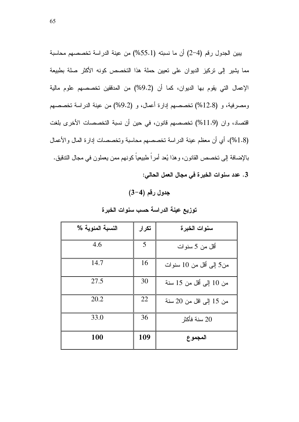يبين الجدول رقم (4–2) أن ما نسبته (55.1%) من عينة الدراسة تخصصهم محاسبة مما يشير إلى نركيز الديوان على نعيين حملة هذا التخصص كونه الأكثر صلة بطبيعة الإعمال التي يقوم بها الديوان، كما أن (9.2%) من المدفقين تخصصهم علوم مالية ومصرفية، و (12.8%) تخصصهم إدارة أعمال، و (9.2%) من عينة الدراسة تخصصهم اقتصاد، وإن (11.9%) تخصصهم قانون، في حين أن نسبة التخصصات الأخرى بلغت (1.8%)، أي أن معظم عينة الدراسة نخصصهم محاسبة ونخصصات إدارة المال والأعمال بالإضافة إلى تخصص القانون، وهذا يُعد أمراً طبيعياً كونهم ممن يعملون في مجال التدقيق. 3. عدد سنوات الخبرة في مجال العمل الحالي:

### $(3-4)$  جدول رقم

| النسبة المئوية % | تكرار | سنوات الخبرة            |
|------------------|-------|-------------------------|
| 4.6              | 5     | أقل من 5 سنو ات         |
| 14.7             | 16    | من5 إلى أقل من 10 سنوات |
| 27.5             | 30    | من 10 إلى أقل من 15 سنة |
| 20.2             | 22    | من 15 إلى اقل من 20 سنة |
| 33.0             | 36    | سنة فأكثر $20\,$        |
| 100              | 109   | المجموع                 |

توزيع عينة الدراسة حسب سنوات الخبرة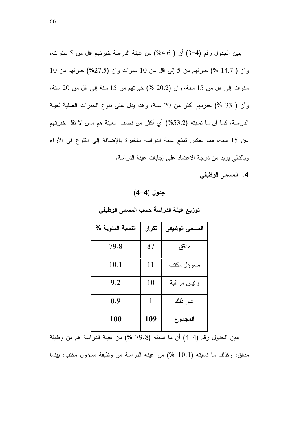يبين الجدول رقم (4−3) أن ( 4.6%) من عينة الدراسة خبرتهم اقل من 5 سنوات،  $10$  وان ( 14.7 %) خبرتهم من 5 إلى اقل من 10 سنوات وان (27.5%) خبرتهم من سنوات إلى اقل من 15 سنة، وان (20.2 %) خبرتهم من 15 سنة إلى اقل من 20 سنة، وأن ( 33 %) خبرتهم أكثر من 20 سنة، وهذا يدل على نتوع الخبرات العملية لعينة الدراسة، كما أن ما نسبته (53.2%) أي أكثر من نصف العينة هم ممن لا نقل خبرتهم عن 15 سنة، مما يعكس تمتع عينة الدراسة بالخبرة بالإضافة إلى النتوع في الأراء وبالنالي يزيد من درجة الاعتماد على إجابات عينة الدراسة.

4. المسمى الوظيفي:

 $(4-4)$  جدول

| النسبة المئوية % | تكرار | المسمى الوظيفي |
|------------------|-------|----------------|
| 79.8             | 87    | مدقق           |
| 10.1             | 11    | مسوؤل مكتب     |
| 9.2              | 10    | رئيس مراقبة    |
| 0.9              | 1     | غير ذلك        |
| 100              | 109   | المجموع        |

توزيع عينة الدراسة حسب المسم*ى* الوظيف*ى* 

بيبين الجدول رقم (4–4) أن ما نسبته (79.8 %) من عينة الدراسة هم من وظيفة

مدقق، وكذلك ما نسبته (10.1 %) من عينة الدراسة من وظيفة مسؤول مكتب، بينما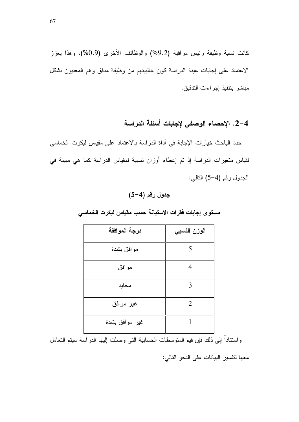كانت نسبة وظيفة رئيس مراقبة (9.2%) والوظائف الأخرى (0.9%)، وهذا يعزز الاعتماد على إجابات عينة الدراسة كون غالبيتهم من وظيفة مدقق وهم المعنيون بشكل مباشر بنتفيذ إجراءات التدقيق.

2-4. الإحصاء الوصفي لإجابات أسئلة الدراسة

حدد الباحث خيارات الإجابة في أداة الدراسة بالاعتماد على مقياس ليكرت الخماسي لقياس متغيرات الدراسة إذ تم إعطاء أوزان نسبية لمقياس الدراسة كما هي مبينة في الجدول رقم (4–5) التالي:

### $(5-4)$  جدول رقم

| درجة الموافقة  | الوزن النسبي             |
|----------------|--------------------------|
| موافق بشدة     | $\overline{\mathcal{L}}$ |
| موافق          | Δ                        |
| محايد          | 3                        |
| غير موافق      | $\overline{2}$           |
| غير موافق بشدة |                          |

مستوى إجابات فقرات الاستبانة حسب مقياس ليكرت الخماسي

واسنتاداً إلى ذلك فإن قيم المنوسطات الحسابية التي وصلت إليها الدراسة سيتم النعامل

معها لنفسير البيانات على النحو النالي: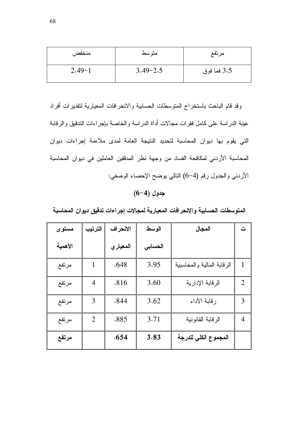| منخفض      | متوسط        | مرتفع       |
|------------|--------------|-------------|
| $2.49 - 1$ | $3.49 - 2.5$ | 3.5 فما فوق |

وقد قام الباحث باستخراج المتوسطات الحسابية والانحر افات المعيارية لتقديرات أفراد عينة الدراسة على كامل فقرات مجالات أداة الدراسة والخاصة بإجراءات الندقيق والرقابة التي يقوم بها ديوان المحاسبة لتحديد النتيجة العامة لمدى ملاءمة إجراءات ديوان المحاسبة الأردني لمكافحة الفساد من وجهة نظر المدققين العاملين في ديوان المحاسبة الأردني والجدول رقم (4–6) النالي يوضح الإحصاء الوصفي:

### $(6-4)$  جدول

| مستوى   | الترتيب        | الانحراف  | الوسط   | المجال                     | ت              |
|---------|----------------|-----------|---------|----------------------------|----------------|
| الأهمية |                | المعيار ي | الحسابى |                            |                |
| مرتفع   |                | .648      | 3.95    | الرقابة المالية والمحاسبية | 1              |
| مرتفع   | $\overline{4}$ | .816      | 3.60    | الرقابة الإدارية           | $\overline{2}$ |
| مرتفع   | 3              | .844      | 3.62    | رقابة الأداء               | 3              |
| مرتفع   | $\overline{2}$ | .885      | 3.71    | الرقابة القانونية          | 4              |
| مرتفع   |                | .654      | 3.83    | المجموع الكلي للدرجة       |                |

المتوسطات الحسابية والانحرافات المعيارية لمجالات إجراءات تدقيق ديوان المحاسبة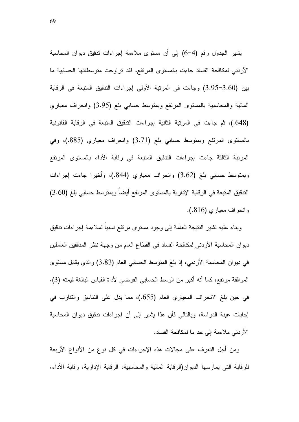يثمير الجدول رقم (4–6) إلى أن مستوى ملاءمة إجراءات ندقيق ديوان المحاسبة الأردني لمكافحة الفساد جاءت بالمستوى المرتفع، فقد تراوحت متوسطاتها الحسابية ما بين (3.00–3.95) وجاءت في المرتبة الأولى إجراءات التدقيق المتبعة في الرقابة المالية والمحاسبية بالمستوى المرتفع وبمتوسط حسابي بلغ (3.95) وانحراف معياري (648.)، ثم جاءت في المرتبة الثانية إجراءات التدقيق المتبعة في الرقابة القانونية بالمستوى المرتفع وبمتوسط حسابي بلغ (3.71) وانحراف معياري (885.)، وفي المرتبة الثالثة جاءت إجراءات الندقيق المتبعة في رقابة الأداء بالمستوى المرتفع وبمنوسط حسابي بلغ (3.62) وانحراف معياري (844.)، وأخيرا جاءت إجراءات التدقيق المتبعة في الرقابة الإدارية بالمستوى المرتفع أيضا وبمتوسط حسابي بلغ (3.60) وانحراف معياري (816.).

وبناء عليه نشير النتيجة العامة إلى وجود مستوى مرتفع نسبيا لملاءمة إجراءات ندقيق ديو ان المحاسبة الأردني لمكافحة الفساد في القطاع العام من وجهة نظر المدققين العاملين في ديوان المحاسبة الأردني، إذ بلغ المتوسط الحسابي العام (3.83) والذي يقابل مستوى الموافقة مرتفع، كما أنه أكبر من الوسط الحسابي الفرضـي لأداة القياس البالغة قيمته (3). في حين بلغ الانحراف المعياري العام (655.)، مما يدل على التناسق والنقارب في إجابات عينة الدراسة، وبالتالي فأن هذا يشير إلى أن إجراءات ندقيق ديوان المحاسبة الأردني ملاءمة إلى حد ما لمكافحة الفساد.

ومن أجل التعرف على مجالات هذه الإجراءات في كل نوع من الأنواع الأربعة للرقابة التي يمارسها الديوان(الرقابة المالية والمحاسبية، الرقابة الإدارية، رقابة الأداء،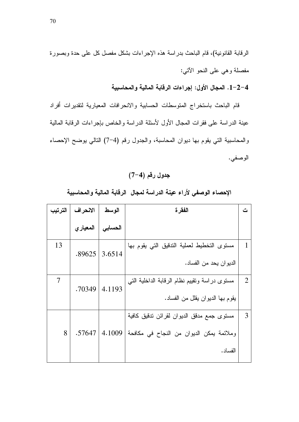1-2-4. المجال الأول: إجراءات الرقابة المالية والمحاسبية

قام الباحث باستخراج المتوسطات الحسابية والانحرافات المعيارية لتقديرات أفراد عينة الدراسة على فقرات المجال الأول لأسئلة الدراسة والخاص بإجراءات الرقابة المالية والمحاسبية التي يقوم بها ديوان المحاسبة، والجدول رقم (4–7) التالي يوضح الإحصاء الوصفي.

جدول رقم (4-7)

| الترتيب | الانحراف | الوسط   | الفقر ة                                                                                             | ت |
|---------|----------|---------|-----------------------------------------------------------------------------------------------------|---|
|         | المعياري | الحسابى |                                                                                                     |   |
| 13      | .89625   | 3.6514  | مستوى التخطيط لعملية التدقيق التي يقوم بها<br>الديوان يحد من الفساد.                                |   |
| 7       | .70349   | 4.1193  | مستوى دراسة وتقييم نظام الرقابة الداخلية التبي<br>يقوم بـها الديوان يقلل من الفساد.                 | 2 |
| 8       | .57647   | 4.1009  | مستوى جمع مدقق الديوان لقرائن تدقيق كافية<br>وملائمة يمكن الديوان من النجاح في مكافحة  <br>الفساد . | 3 |

الإحصاء الوصفى لأراء عينة الدراسة لمجال الرقابة المالية والمحاسبية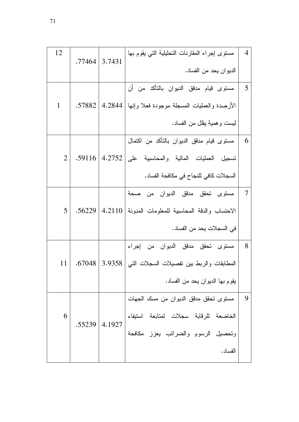| 12             |        |        | مستوى إجراء المقارنات التحليلية التي يقوم بها        | $\overline{4}$ |
|----------------|--------|--------|------------------------------------------------------|----------------|
|                | .77464 | 3.7431 | الديوان يحد من الفساد.                               |                |
|                |        |        | مسنوى قيام مدقق الديوان بالتأكد من أن                | 5              |
| 1              | .57882 |        | الأرصدة والعمليات المسجلة موجودة فعلا وإنها   4.2844 |                |
|                |        |        | ليست وهمية يقلل من الفساد.                           |                |
|                |        |        | مسنوى قيام مدقق الديوان بالتأكد من اكتمال            | 6              |
| $\overline{2}$ |        |        | تسجيل العمليات المالية والمحاسبية على 4.2752 59116.  |                |
|                |        |        | السجلات كافي للنجاح في مكافحة الفساد.                |                |
|                |        |        | مستوى تحقق مدقق الديوان من صحة                       | $\overline{7}$ |
| $\mathfrak{S}$ | .56229 |        | الاحتساب والدقة المحاسبية للمعلومات المدونة   4.2110 |                |
|                |        |        | في السجلات يحد من الفساد.                            |                |
|                |        |        | مستوى تحقق مدقق الديوان من إجراء                     | 8              |
| 11             | .67048 |        | المطابقات والربط بين نفصيلات السجلات التبي   3.9358  |                |
|                |        |        | يقوم بها الديوان يحد من الفساد.                      |                |
|                |        |        | مستوى تحقق مدقق الديوان من مسك الجهات                | 9              |
| 6              | .55239 | 4.1927 | الخاضعة للرقابة سجلات لمتابعة استيفاء                |                |
|                |        |        | وتحصيل الرسوم والضرائب يعزز مكافحة                   |                |
|                |        |        | الفساد.                                              |                |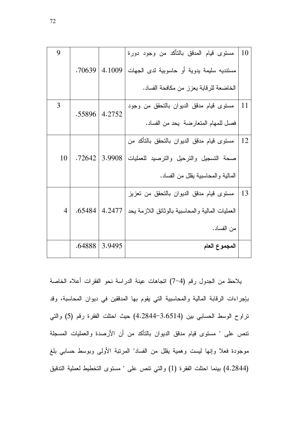| 9              |        |        | مستوى قيام المدقق بالتأكد من وجود دورة           | 10 |
|----------------|--------|--------|--------------------------------------------------|----|
|                | .70639 | 4.1009 | مستنديه سليمة يدوية أو حاسوبية لدى الجهات        |    |
|                |        |        | الخاضعة للرقابة يعزز من مكافحة الفساد.           |    |
| 3              | .55896 | 4.2752 | مستوى قيام مدقق الديوان بالتحقق من وجود          | 11 |
|                |        |        | فصل للمهام المتعارضة يحد من الفساد.              |    |
|                |        |        | مسنوى قيام مدقق الديوان بالتحقق بالتأكد من       | 12 |
| 10             | .72642 | 3.9908 | صحة التسجيل والترحيل والترصيد للعمليات           |    |
|                |        |        | المالية والمحاسبية يقلل من الفساد.               |    |
|                |        |        | مستوى قيام مدقق الديوان بالتحقق من تعزيز         | 13 |
| $\overline{4}$ | .65484 | 4.2477 | العمليات المالية والمحاسبية بالوثائق اللازمة يحد |    |
|                |        |        | من الفساد.                                       |    |
|                | .64888 | 3.9495 | المجموع العام                                    |    |

يلاحظ من الجدول رقم (4–7) اتجاهات عينة الدراسة نحو الفقرات أعلاه الخاصة بإجراءات الرقابة المالية والمحاسبية التي يقوم بها المدققين في ديوان المحاسبة، وقد تراوح الوسط الحسابي بين (3.6514-4.2844) حيث احتلت الفقرة رقم (5) والتي نتص على " مستوى قيام مدقق الديوان بالتأكد من أن الأرصدة والعمليات المسجلة موجودة فعلا وإنها ليست وهمية يقلل من الفساد" المرتبة الأولىي وبوسط حسابي بلغ (4.2844) بينما احتلت الفقرة (1) والتي نتص على " مستوى التخطيط لعملية التدقيق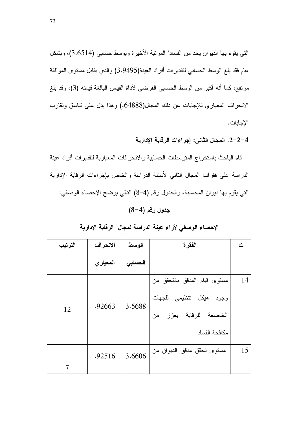التي يقوم بها الديوان يحد من الفساد" المرتبة الأخيرة وبوسط حسابي (3.6514)، وبشكل عام فقد بلغ الوسط الحسابي لنقديرات افراد العينة(3.9495) والذي يقابل مستوى الموافقة مرتفع، كما أنه اكبر من الوسط الحسابي الفرضـي لأداة القياس البالغة قيمته (3)، وقد بلغ الانحراف المعياري للإجابات عن ذلك المجال(64888.) وهذا يدل على نتاسق ونقارب الإجابات.

### 2–2–4. المجال الثان*ى*: إجراءات الرقابة الإدارية

قام الباحث باستخراج المنوسطات الحسابية والانحرافات المعيارية لتقديرات أفراد عينة الدراسة على فقرات المجال الثاني لأسئلة الدراسة والخاص بإجراءات الرقابة الإدارية التي يقوم بها ديوان المحاسبة، والجدول رقم (4–8) النالي يوضح الإحصاء الوصفي:

### جدول رقم (4–8)

| الترتيب | الانحراف | الوسط   | الفقرة                       | ت  |
|---------|----------|---------|------------------------------|----|
|         | المعياري | الحسابى |                              |    |
|         |          |         | مسنوى قيام المدقق بالنحقق من | 14 |
|         | .92663   | 3.5688  | وجود هيكل نتظيمى للجهات      |    |
| 12      |          |         | الخاضعة للرقابة يعزز<br>من   |    |
|         |          |         | مكافحة الفساد                |    |
|         | .92516   | 3.6606  | مستوى تحقق مدقق الديوان من   | 15 |
| 7       |          |         |                              |    |

#### الإحصاء الوصفى لأراء عينة الدراسة لمجال الرقابة الإدارية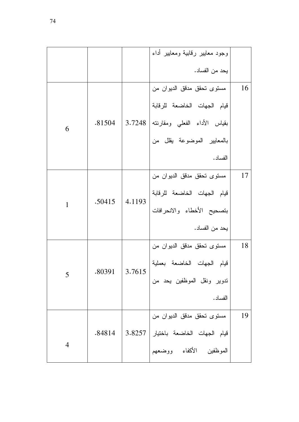|                |                      |        | وجود معايير رقابية ومعايير أداء      |    |
|----------------|----------------------|--------|--------------------------------------|----|
|                |                      |        | يحد من الفساد.                       |    |
|                |                      |        | مستوى تحقق مدقق الديوان من           | 16 |
|                |                      |        | قيام الجهات الخاضعة للرقابة          |    |
| 6              | .81504               | 3.7248 | بقياس الأداء الفعلي ومقارنته         |    |
|                |                      |        | بالمعايير الموضوعة يقلل من           |    |
|                |                      |        | الفساد.                              |    |
|                |                      |        | مستوى تحقق مدقق الديوان من           | 17 |
|                |                      |        | قيام الجهات الخاضعة للرقابة          |    |
| $\mathbf{1}$   | .50415               | 4.1193 | بتصحيح الأخطاء والانحرافات           |    |
|                |                      |        | يحد من الفساد.                       |    |
|                |                      |        | مستوى تحقق مدقق الديوان من           | 18 |
|                | $.80391 \mid 3.7615$ |        | قيام الجهات الخاضعة بعملية           |    |
| $\overline{5}$ |                      |        | تدوير ونقل الموظفين يحد من           |    |
|                |                      |        | الفساد.                              |    |
|                |                      |        | مستوى تحقق مدقق الديوان من           | 19 |
|                | .84814               |        | قيام الجهات الخاضعة باختيار   3.8257 |    |
| $\overline{4}$ |                      |        | الموظفين الأكفاء ووضعهم              |    |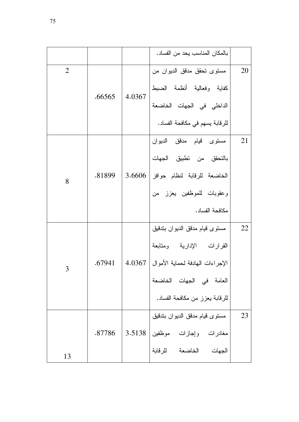|                |        |        | بالمكان المناسب يحد من الفساد.            |    |
|----------------|--------|--------|-------------------------------------------|----|
| $\overline{2}$ |        |        | مستوى تحقق مدقق الديوان من                | 20 |
|                | .66565 | 4.0367 | كفاية وفعالية أنظمة الضبط                 |    |
|                |        |        | الداخلي في الجهات الخاضعة                 |    |
|                |        |        | للرقابة يسهم في مكافحة الفساد.            |    |
|                |        |        | مسن <i>وى</i> قيام مدقق الديوان           | 21 |
|                |        |        | بالتحقق من تطبيق الجهات                   |    |
| 8              | .81899 |        | الخاضعة للرقابة لنظام حوافز   3.6606      |    |
|                |        |        | وعقوبات للموظفين يعزز من                  |    |
|                |        |        | مكافحة الفساد.                            |    |
|                |        |        | مستوى قيام مدقق الديوان بتدقيق            | 22 |
|                |        |        | القرارات الإدارية ومتابعة                 |    |
| 3              | .67941 |        | الإجراءات الهادفة لحماية الأموال   4.0367 |    |
|                |        |        | العامة فى الجهات الخاضعة                  |    |
|                |        |        | للرقابة يعزز من مكافحة الفساد.            |    |
|                |        |        | مستوى قيام مدقق الديوان بتدقيق            | 23 |
|                | .87786 |        | مغادرات وإجازات موظفين 3.5138             |    |
| 13             |        |        | الجهات الخاضعة للرقابة                    |    |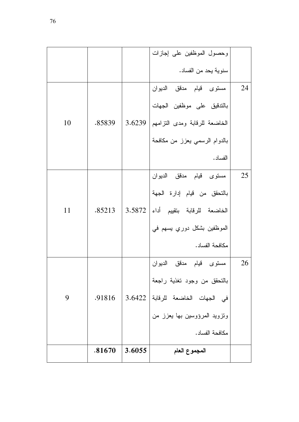|    |        |        | وحصول الموظفين على إجازات          |    |
|----|--------|--------|------------------------------------|----|
|    |        |        | سنوية يحد من الفساد.               |    |
|    |        |        | مستوى قيام مدقق الديوان            | 24 |
|    |        |        | بالندقيق على موظفين الجهات         |    |
| 10 | .85839 | 3.6239 | الخاضعة للرقابة ومدى النزامهم      |    |
|    |        |        | بالدوام الرسمي يعزز من مكافحة      |    |
|    |        |        | الفساد.                            |    |
|    |        |        | مست <i>وى</i> قيام مدقق الديوان    | 25 |
|    |        |        | بالتحقق من قيام إدارة الجهة        |    |
| 11 | .85213 |        | الخاضعة للرقابة بتقييم أداء 3.5872 |    |
|    |        |        | الموظفين بشكل دوري يسهم في         |    |
|    |        |        | مكافحة الفساد.                     |    |
|    |        |        | مسنوى قيام مدقق الديوان            | 26 |
|    |        |        | بالنحقق من وجود تغذية راجعة        |    |
| 9  | .91816 |        | في الجهات الخاضعة للرقابة 3.6422   |    |
|    |        |        | ونزويد المرؤوسين بها يعزز من       |    |
|    |        |        | مكافحة الفساد.                     |    |
|    | .81670 | 3.6055 | المجموع العام                      |    |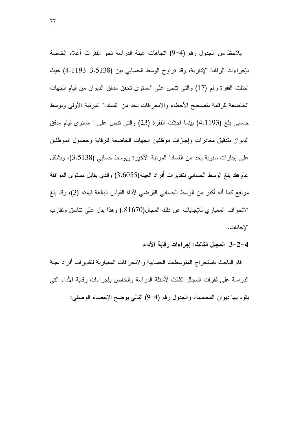يلاحظ من الجدول رقم (4–9) انجاهات عينة الدراسة نحو الفقرات أعلاه الخاصة بإجراءات الرقابة الإدارية، وقد نراوح الوسط الحسابي بين (3.5138–4.1193) حيث احتلت الفقرة رقم (17) والتي نتص على "مستوى تحقق مدقق الديوان من قيام الجهات الخاضعة للرقابة بتصحيح الأخطاء والانحرافات يحد من الفساد." المرتبة الأولى وبوسط حسابي بلغ (4.1193) بينما احتلت الفقرة (23) والتي نتص على " مستوى قيام مدقق الديوان بتدقيق مغادرات وإجازات موظفين الجهات الخاضعة للرقابة وحصول الموظفين على إجازات سنوية يحد من الفساد" المرتبة الأخيرة وبوسط حسابي (3.5138)، وبشكل عام فقد بلغ الوسط الحسابي لتقديرات أفراد العينة(3.6055) والذي يقابل مستوى الموافقة مرتفع كما أنه أكبر من الوسط الحسابي الفرضي لأداة القياس البالغة قيمته (3)، وقد بلغ الانحراف المعياري للإجابات عن ذلك المجال(81670.) وهذا يدل على نتاسق ونقارب الإجابات.

#### 3−2−4. المجال الثالث: إجراءات رقابة الأداء

قام الباحث باستخراج المتوسطات الحسابية والانحرافات المعيارية لتقديرات افراد عينة الدراسة على فقرات المحال الثالث لأسئلة الدراسة والخاص بإجراءات رقابة الأداء التي يقوم بها ديوان المحاسبة، والجدول رقم (4–9) النالي يوضح الإحصاء الوصفي: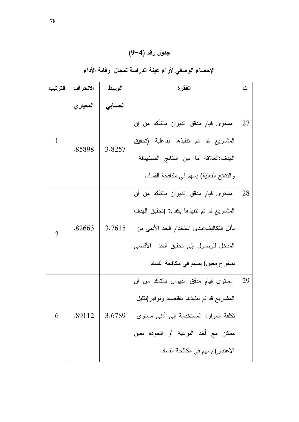| جدول رقم (4−9) |  |
|----------------|--|
|----------------|--|

### الإحصاء الوصفي لأراء عينة الدراسة لمجال رقابة الأداء

| الترتيب | الانحراف  | الوسط   | الفقرة                                      | ت  |
|---------|-----------|---------|---------------------------------------------|----|
|         | المعيار ي | الحسابى |                                             |    |
|         |           |         | مستوى قيام مدقق الديوان بالتأكد من إن       | 27 |
| 1       | .85898    | 3.8257  | المشاريع قد تم تتفيذها بفاعلية (تحقيق       |    |
|         |           |         | الهدف:العلاقة ما بين النتائج المستهدفة      |    |
|         |           |         | و النتائج الفعلية) يسهم في مكافحة الفساد.   |    |
|         |           |         | مستوى قيام مدقق الديوان بالتأكد من أن       | 28 |
|         |           |         | المشاريع قد نم نتفيذها بكفاءة (تحقيق المهدف |    |
| 3       | .82663    | 3.7615  | بأقل النكاليف:مدى استخدام الحد الأدنى من    |    |
|         |           |         | المدخل للوصول إلى نحقيق الحد الأقصىي        |    |
|         |           |         | لمخرج معين) يسهم في مكافحة الفساد           |    |
|         |           |         | مستوى قيام مدقق الديوان بالتأكد من أن       | 29 |
|         |           |         | المشاريع قد نم نتفيذها باقتصاد ونوفير(نقليل |    |
| 6       | .89112    | 3.6789  | نكلفة الموارد المستخدمة إلى أدنى مستوى      |    |
|         |           |         | ممكن مع أخذ النوعية أو الجودة بعين          |    |
|         |           |         | الاعتبار) يسهم في مكافحة الفساد.            |    |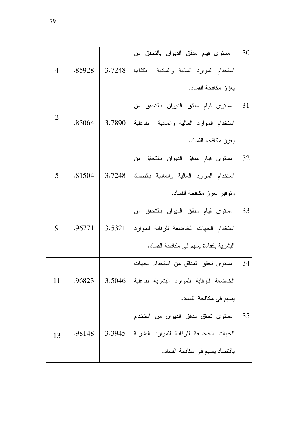|                |        |        | مستوى قيام مدقق الديوان بالتحقق من       | 30 |
|----------------|--------|--------|------------------------------------------|----|
| $\overline{4}$ | .85928 | 3.7248 | استخدام الموارد المالية والمادية بكفاءة  |    |
|                |        |        | يعزز مكافحة الفساد.                      |    |
|                |        |        | مستوى قيام مدقق الديوان بالتحقق من       | 31 |
| 2              | .85064 | 3.7890 | استخدام الموارد المالية والمادية بفاعلية |    |
|                |        |        | يعزز مكافحة الفساد.                      |    |
|                |        |        | مستوى قيام مدقق الديوان بالتحقق من       | 32 |
| 5              | .81504 | 3.7248 | استخدام الموارد المالية والمادية باقتصاد |    |
|                |        |        | ونوفير يعزز مكافحة الفساد.               |    |
|                |        |        | مستوى قيام مدقق الديوان بالتحقق من       | 33 |
| 9              | .96771 | 3.5321 | استخدام الجهات الخاضعة للرقابة للموارد   |    |
|                |        |        | البشرية بكفاءة يسهم في مكافحة الفساد.    |    |
|                |        |        | مستوى تحقق المدقق من استخدام الجهات      | 34 |
| 11             | .96823 | 3.5046 | الخاضعة للرقابة للموارد البشرية بفاعلية  |    |
|                |        |        | يسهم في مكافحة الفساد.                   |    |
|                |        |        | مستوى تحقق مدقق الديوان من استخدام       | 35 |
| 13             | .98148 | 3.3945 | الجهات الخاضعة للرقابة للموارد البشرية   |    |
|                |        |        | باقتصاد يسهم في مكافحة الفساد.           |    |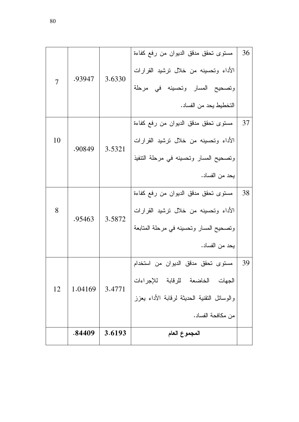| $\overline{7}$ | .93947  | 3.6330 | مستوى تحقق مدقق الديوان من رفع كفاءة<br>الأداء وتحسينه من خلال ترشيد القرارات<br>وتصحيح المسار وتحسينه في مرحلة<br>التخطبط بحد من الفساد. | 36 |
|----------------|---------|--------|-------------------------------------------------------------------------------------------------------------------------------------------|----|
|                |         |        |                                                                                                                                           |    |
|                |         |        | مستوى تحقق مدقق الديوان من رفع كفاءة                                                                                                      | 37 |
| 10             | .90849  | 3.5321 | الأداء وتحسينه من خلال ترشيد القرارات                                                                                                     |    |
|                |         |        | وتصحيح المسار وتحسينه في مرحلة النتفيذ                                                                                                    |    |
|                |         |        | يحد من الفساد.                                                                                                                            |    |
|                |         |        | مستوى تحقق مدقق الديوان من رفع كفاءة                                                                                                      | 38 |
| 8              | .95463  |        | الأداء وتحسينه من خلال ترشيد القرارات                                                                                                     |    |
|                |         | 3.5872 | وتصحيح المسار وتحسينه في مرحلة المتابعة                                                                                                   |    |
|                |         |        | يحد من الفساد.                                                                                                                            |    |
|                |         |        | مستوى تحقق مدقق الديوان من استخدام                                                                                                        | 39 |
|                |         |        | الجهات الخاضعة للرقابة للإجراءات                                                                                                          |    |
| 12             | 1.04169 | 3.4771 | والوسائل النقنية الحديثة لرقابة الأداء يعزز                                                                                               |    |
|                |         |        | من مكافحة الفساد.                                                                                                                         |    |
|                | .84409  | 3.6193 | المجموع العام                                                                                                                             |    |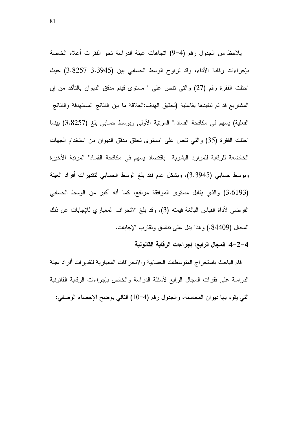يلاحظ من الجدول رقم (4–9) انجاهات عينة الدراسة نحو الفقرات أعلاه الخاصة بإجراءات رقابة الأداء، وقد نراوح الوسط الحسابي بين (3.3945–3.8257) حيث احتلت الفقرة رقم (27) والتي نتص على " مستوى قيام مدقق الديوان بالتاكد من إن المشاريع قد تم تتفيذها بفاعلية (تحقيق الهدف:العلاقة ما بين النتائج المستهدفة والنتائج الفعلية) يسهم في مكافحة الفساد." المرتبة الأولى وبوسط حسابي بلغ (3.8257) بينما احتلت الفقرة (35) والتي نتص على "مستوى تحقق مدقق الديوان من استخدام الجهات الخاضعة للرقابة للموارد البشرية باقتصاد يسهم في مكافحة الفساد" المرنبة الأخيرة وبوسط حسابي (3.3945)، وبشكل عام فقد بلغ الوسط الحسابي لتقديرات أفراد العينة (3.6193) والذي يقابل مستوى الموافقة مرتفع، كما أنه أكبر من الوسط الحسابي الفرضي لأداة القياس البالغة قيمته (3)، وقد بلغ الانحراف المعياري للإجابات عن ذلك المحال (84409.) و هذا بدل على نتاسق ونقارب الإجابات.

#### 4–2−4. المجال الرابع: إجراءات الرقابة القانونية

قام الباحث باستخراج المتوسطات الحسابية والانحرافات المعيارية لتقديرات افراد عينة الدراسة على فقرات المجال الرابع لأسئلة الدراسة والخاص بإجراءات الرقابة القانونية التي يقوم بها ديوان المحاسبة، والجدول رقم (4–10) التالي يوضح الإحصاء الوصفي: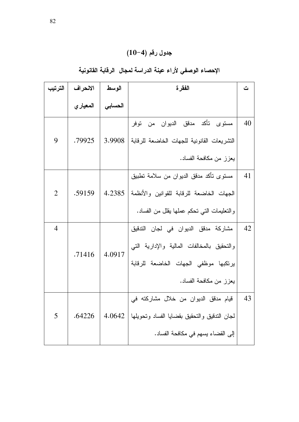## الإحصاء الوصفي لأراء عينة الدراسة لمجال الرقابة القانونية

| الترتيب        | الانحراف  | الوسط             | الفقر ة                                                                                                                                              |    |  |  |  |
|----------------|-----------|-------------------|------------------------------------------------------------------------------------------------------------------------------------------------------|----|--|--|--|
|                | المعيار ي | الحساب <i>ي</i> ا |                                                                                                                                                      |    |  |  |  |
| 9              | .79925    | 3.9908            | مستوى تأكد مدقق الديوان من توفر<br>التشريعات القانونية للجهات الخاضعة للرقابة  <br>يعزز من مكافحة الفساد.                                            | 40 |  |  |  |
| $\overline{2}$ | .59159    |                   | مسنوى نأكد مدقق الديوان من سلامة تطبيق<br>الجهات الخاضعة للرقابة للقوانين والأنظمة  4.2385<br>والتعليمات التي تحكم عملها يقلل من الفساد.             | 41 |  |  |  |
| $\overline{4}$ | .71416    | 4.0917            | مشاركة مدقق الديوان في لجان التدقيق<br>والنحقيق بالمخالفات المالية والإدارية التبي<br>يرتكبها موظفى الجهات الخاضعة للرقابة<br>يعزز من مكافحة الفساد. | 42 |  |  |  |
| 5              | .64226    | 4.0642            | قيام مدقق الديوان من خلال مشاركته في<br>لجان التدقيق والتحقيق بقضايا الفساد وتحويلها  <br>إلى القضاء يسهم في مكافحة الفساد.                          | 43 |  |  |  |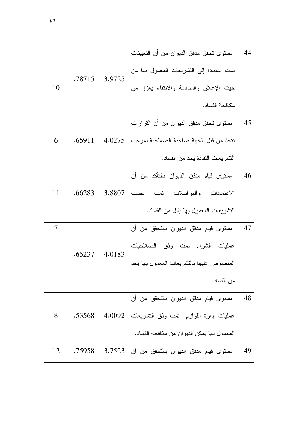|    |        |        | مستوى تحقق مدقق الديوان من أن التعيينات         | 44 |
|----|--------|--------|-------------------------------------------------|----|
|    | .78715 | 3.9725 | نمت استنادا إلى التشريعات المعمول بها من        |    |
| 10 |        |        | حيث الإعلان والمنافسة والانتقاء يعزز من         |    |
|    |        |        | مكافحة الفساد.                                  |    |
|    |        |        | مستوى تحقق مدقق الديوان من أن القرارات          | 45 |
| 6  | .65911 | 4.0275 | نتخذ من قبل الجهة صاحبة الصلاحية بموجب          |    |
|    |        |        | التشر يعات النفاذة يحد من الفساد.               |    |
|    |        |        | مسنوى قيام مدقق الديوان بالنأكد من أن           | 46 |
| 11 | .66283 | 3.8807 | الاعتمادات والمراسلات تمت حسب                   |    |
|    |        |        | التشريعات المعمول بـها يقلل من الفساد.          |    |
| 7  |        |        | مستوى قيام مدقق الديوان بالتحقق من أن           | 47 |
|    | .65237 | 4.0183 | عمليات الشراء نمت وفق الصلاحيات                 |    |
|    |        |        | المنصوص عليها بالتشريعات المعمول بها يحد        |    |
|    |        |        | من الفساد.                                      |    |
|    |        |        | مستوى قيام مدقق الديوان بالتحقق من أن           | 48 |
| 8  | .53568 |        | عمليات إدارة اللوازم تمت وفق النشريعات   4.0092 |    |
|    |        |        | المعمول بها يمكن الديوان من مكافحة الفساد.      |    |
| 12 | .75958 | 3.7523 | مستوى قيام مدقق الديوان بالتحقق من أن           | 49 |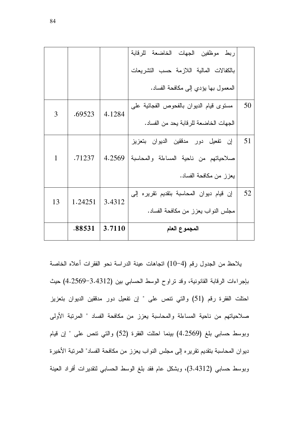|    |         |                      | ربط موظفين الجهات الخاضعة للرقابة             |    |
|----|---------|----------------------|-----------------------------------------------|----|
|    |         |                      | بالكفالات المالية اللازمة حسب النشريعات       |    |
|    |         |                      | المعمول بها يؤدي إلى مكافحة الفساد.           |    |
| 3  | .69523  | 4.1284               | مستوى قيام الديوان بالفحوص الفجائية على       | 50 |
|    |         |                      | الجهات الخاضعة للر قابة بحد من الفساد.        |    |
|    |         |                      | إن تفعيل دور مدققين الديوان بتعزيز            | 51 |
| 1  | .71237  |                      | صلاحياتهم من ناحية المساءلة والمحاسبة  4.2569 |    |
|    |         |                      | يعزز من مكافحة الفساد.                        |    |
| 13 | 1.24251 | $\vert 3.4312 \vert$ | إن قيام ديوان المحاسبة بتقديم تقريره إلى      | 52 |
|    |         |                      | مجلس النواب يعزز من مكافحة الفساد.            |    |
|    | .88531  | 3.7110               | المجموع العام                                 |    |

يلاحظ من الجدول رقم (4–10) اتجاهات عينة الدراسة نحو الفقرات أعلاه الخاصة بإجراءات الرقابة القانونية، وقد نراوح الوسط الحسابي بين (3.4312–4.2569) حيث احتلت الفقرة رقم (51) والتي نتص على " إن نفعيل دور مدققين الديوان بتعزيز صلاحياتهم من ناحية المساءلة والمحاسبة يعزز من مكافحة الفساد " المرتبة الأولى وبوسط حسابي بلغ (4.2569) بينما احتلت الفقرة (52) والتي نتص على " إن قيام ديوان المحاسبة بتقديم تقريره إلى مجلس النواب يعزز من مكافحة الفساد" المرتبة الأخيرة وبوسط حسابي (3.4312)، وبشكل عام فقد بلغ الوسط الحسابي لنقديرات أفراد العينة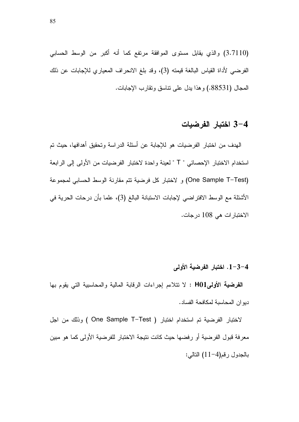(3.7110) والذي يقابل مستوى الموافقة مرتفع كما أنه أكبر من الوسط الحسابي الفرضي لأداة القياس البالغة قيمته (3)، وقد بلغ الانحراف المعياري للإجابات عن ذلك المحال (88531) و هذا بدل على نتاسق ونقارب الإجابات.

### 3–4 اختبار الفرضيات

المهدف من اختبار الفرضيات هو للإجابة عن أسئلة الدراسة وتحقيق أهدافها، حيث تم استخدام الاختبار الإحصائي " T " لعينة واحدة لاختبار الفرضيات من الأولى إلى الرابعة (One Sample T–Test) و لاختبار كل فرضية نتم مقارنة الوسط الحسابي لمجموعة الأشئلة مع الوسط الافتراضي لإجابات الاستبانة البالغ (3)، علما بأن درحات الحرية في الاختبار ات هي 108 درجات.

### 1−3−4. اختبار الفرضية الأولى

ا**لفرضية الأولىH01** : لا نتلاءم إجراءات الرقابة المالية والمحاسبية التي يقوم بها ديو ان المحاسبة لمكافحة الفساد .

Vختبار الفرضية تم استخدام اختبار ( One Sample T–Test ) وذلك من اجل معرفة قبول الفرضية أو رفضها حيث كانت نتيجة الاختبار للفرضية الأولى كما هو مبين بالجدول رقم(4–11) النالي: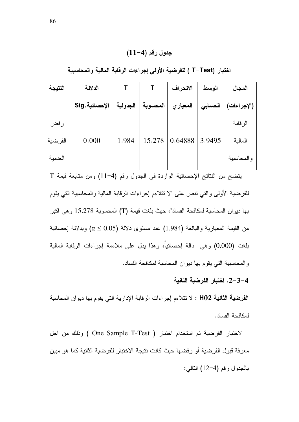### جدول رقم (4-11)

اختبار (T–Test ) للفرضية الأولى إجراءات الرقابة المالية والمحاسبية

| النتيجة | الدلالة       |          |          | الانحراف  | الوسط   | المجال      |
|---------|---------------|----------|----------|-----------|---------|-------------|
|         | الإحصائية.Sig | الجدولية | المحسوبة | المعيار ي | الحسابى | (الإجراءات) |
| رفض     |               |          |          |           |         | الر قابة    |
| الفرضية | 0.000         | 1.984    | 15.278   | 0.64888   | 3.9495  | المالية     |
| العدمية |               |          |          |           |         | والمحاسبية  |

يتضح من النتائج الإحصائية الواردة في الجدول رقم (4−11) ومن متابعة قيمة T للفرضية الأولى والتبي نتص على "لا نتلاءم إجراءات الرقابة المالية والمحاسبية التبي يقوم بها ديوان المحاسبة لمكافحة الفساد"، حيث بلغت قيمة (T) المحسوبة 15.278 وهي اكبر من القيمة المعيارية والبالغة (1.984) عند مستوى دلالة (0.05  $\alpha \leq \alpha \leq \mathfrak{a}$ ) وبدلالة إحصائية بلغت (0.000) وهي دالة إحصائياً، وهذا يدل على ملاءمة إجراءات الرفابة المالية والمحاسبية التي يقوم بها ديوان المحاسبة لمكافحة الفساد.

4–3–2. اختبار الفرضية الثانية

ا**لفرضية الثانية H02** : لا نتلاءم إجراءات الرقابة الإدارية التي يقوم بها ديوان المحاسبة لمكافحة الفساد.

لاختبار الفرضية تم استخدام اختبار ( One Sample T-Test ) وذلك من اجل معرفة قبول الفرضية أو رفضها حيث كانت نتيجة الاختبار للفرضية الثانية كما هو مبين بالجدول رقم (4-12) التالي: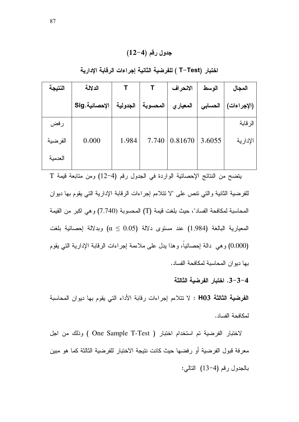### جدول رقم (4-12)

| النتيجة | الدلالة       |          |          | الانحراف | الوسط   | المجال      |
|---------|---------------|----------|----------|----------|---------|-------------|
|         | الإحصائية.Sig | الجدولية | المحسوبة | المعياري | الحسابى | (الإجراءات) |
| رفض     |               |          |          |          |         | الرقابة     |
| الفرضية | 0.000         | 1.984    | 7.740    | 0.81670  | 3.6055  | الإدارية    |
| العدمية |               |          |          |          |         |             |

اختبار (T−Test ) للفرضية الثانية إجراءات الرقابة الإدارية

يتضح من النتائج الإحصائية الواردة في الجدول رقم (4−12) ومن متابعة قيمة T للفرضية الثانية والتي نتص على "لا نتلاءم إجراءات الرقابة الإدارية التي يقوم بها ديوان المحاسبة لمكافحة الفساد"، حيث بلغت قيمة (T) المحسوبة (7.740) و هي اكبر من القيمة المعيارية البالغة (1.984) عند مستوى دلالة (0.05  $\alpha \leq 0.05$  وبدلالة إحصائية بلغت (0.000) وهي دالة إحصائياً، وهذا يدل على ملاءمة إجراءات الرقابة الإدارية التي يقوم بها ديوان المحاسبة لمكافحة الفساد.

4–3–3. اختبار الفرضية الثالثة

ا**لفرضية الثالثة H03** : لا نتلاءم إجراءات رقابة الأداء التي يقوم بها ديوان المحاسبة لمكافحة الفساد.

لاختبار الفرضية تم استخدام اختبار ( One Sample T-Test ) وذلك من اجل معرفة قبول الفرضية أو رفضها حيث كانت نتيجة الاختبار للفرضية الثالثة كما هو مبين بالجدول رقم (4–13) التالي: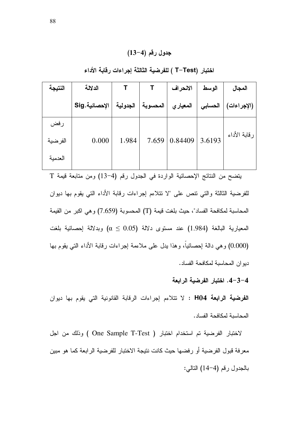### جدول رقم (4–13)

| النتيجة        | الدلالة        |          |          | الانحراف | الوسط   | المجال       |
|----------------|----------------|----------|----------|----------|---------|--------------|
|                | الإحصائية. Sig | الجدولية | المحسوبة | المعياري | الحسابى | (الإجراءات)  |
| رفض<br>الفرضية | 0.000          | 1.984    | 7.659    | 0.84409  | 3.6193  | رقابة الأداء |
| العدمبة        |                |          |          |          |         |              |

اختبار (T−Test ) للفرضية الثالثة إجراءات رقابة الأداء

يتضح من النتائج الإحصائية الواردة في الجدول رقم (4−13) ومن متابعة قيمة T للفرضية الثالثة والتي نتص على "لا نتلاءم إجراءات رقابة الأداء التي يقوم بها ديوان المحاسبة لمكافحة الفساد"، حيث بلغت قيمة (T) المحسوبة (7.659) و هي اكبر من القيمة المعيارية البالغة (1.984) عند مستوى دلالة (0.05  $\alpha \leq 0.05$  وبدلالة إحصائية بلغت (0.000) وهي دالة إحصائياً، وهذا يدل على ملاءمة إجراءات رقابة الأداء التي يقوم بها دبو ان المحاسبة لمكافحة الفساد.

4-3-4. اختبار الفرضية الرابعة

ا**لفرضية الرابعة H04** : لا تتلاءم إجراءات الرقابة القانونية التي يقوم بها ديوان المحاسبة لمكافحة الفساد.

لاختبار الفرضية تم استخدام اختبار ( One Sample T-Test ) وذلك من اجل معرفة قبول الفرضية أو رفضها حيث كانت نتيجة الاختبار للفرضية الرابعة كما هو مبين بالجدول رقم (4–14) التالي: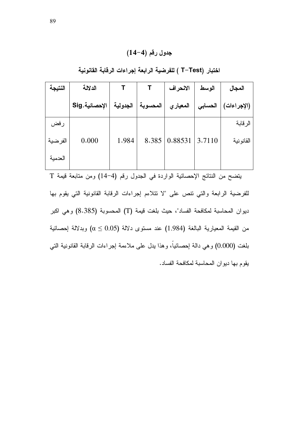### جدول رقم (4-4)

اختبار (T–Test ) للفرضية الرابعة إجراءات الرقابة القانونية

| النتيجة | الدلالة       |          |          | الانحراف  | الوسط   | المجال      |
|---------|---------------|----------|----------|-----------|---------|-------------|
|         | الإحصائية.Sig | الجدولية | المحسوبة | المعيار ي | الحسابى | (الإجراءات) |
| رفض     |               |          |          |           |         | الرقابة     |
| الفرضية | 0.000         | 1.984    | 8.385    | 0.88531   | 3.7110  | القانونية   |
| العدمية |               |          |          |           |         |             |

بتضح من النتائج الإحصائية الواردة في الجدول رقم (4-14) ومن متابعة قيمة T للفرضية الرابعة والتي نتص على "لا نتلاءم إجراءات الرقابة القانونية التي يقوم بها ديوان المحاسبة لمكافحة الفساد"، حيث بلغت قيمة (T) المحسوبة (8.385) وهي اكبر من القيمة المعيارية البالغة (1.984) عند مستوى دلالة (0.05  $\alpha \leq 0.05$ ) وبدلالة إحصائية بلغت (0.000) و هي دالة إحصائياً، و هذا يدل على ملاءمة إجراءات الرقابة القانونية التي يقوم بها ديوان المحاسبة لمكافحة الفساد.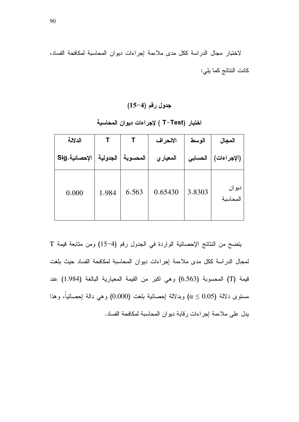لاختبار مجال الدراسة ككل مدى ملاءمة إجراءات ديوان المحاسبة لمكافحة الفساد، كانت النتائج كما يلي:

جدول رقم (4–15)

| الدلالة       |          |          | الانحراف | الوسط   | المجال             |
|---------------|----------|----------|----------|---------|--------------------|
| الإحصائية.Sig | الجدولية | المحسوبة | المعيارى | الحسابى | (الإجراءات)        |
| 0.000         | 1.984    | 6.563    | 0.65430  | 3.8303  | ديو ان<br>المحاسبة |

اختبار (T−Test ) لإجراءات ديوان المحاسبة

يتضح من النتائج الإحصائية الواردة في الجدول رقم (4–15) ومن متابعة قيمة T لمجال الدراسة ككل مدى ملاءمة إجراءات ديوان المحاسبة لمكافحة الفساد حيث بلغت قيمة (T) المحسوبة (6.563) وهي اكبر من القيمة المعيارية البالغة (1.984) عند مستوى دلالة  $\alpha \leq 0.05$  وبدلالة اٍحصائية بلغت (0.000) وهي دالة اٍحصائيا، وهذا يدل على ملاءمة إجراءات رقابة ديوان المحاسبة لمكافحة الفساد.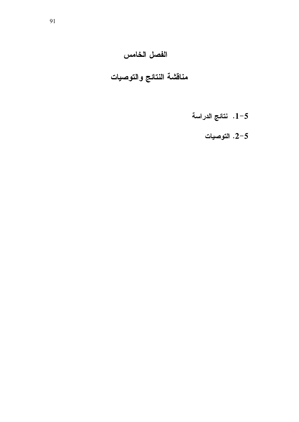## الفصل الخامس

# مناقشة النتائج والتوصيات

- $1-5$ . نتائج الدراسة
	- التوصيات.  $2\text{--}5$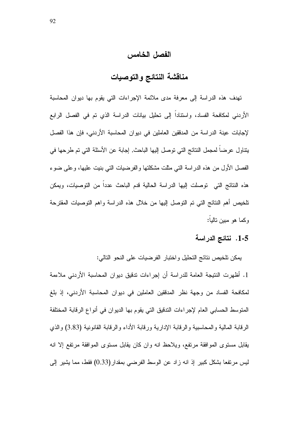الفصل الخامس

### مناقشة النتائج والتوصيات

تهدف هذه الدراسة إلى معرفة مدى ملائمة الإجراءات التي يقوم بها ديوان المحاسبة الأردنبي لمكافحة الفساد، واستناداً إلى تحليل بيانات الدراسة الذي تم في الفصل الرابع لإجابات عينة الدراسة من المدققين العاملين في ديوان المحاسبة الأردني، فإن هذا الفصل ينتاول عرضا لمجمل النتائج التي توصل إليها الباحث٬ إجابة عن الأسئلة التي تم طرحها في الفصل الأول من هذه الدراسة التي مثلت مشكلتها والفرضيات التي بنيت عليها، وعلى ضوء هذه النتائج التي توصلت إليها الدراسة الحالية قدم الباحث عدداً من التوصيات، ويمكن نلخيص أهم النتائج التي تم النوصل إليها من خلال هذه الدراسة واهم التوصيات المقترحة وكما هو مبين تالياً:

### 1-5. نتائج الدراسة

يمكن تلخيص نتائج التحليل واختبار الفرضيات على النحو التالي:

1. أظهرت النتيجة العامة للدراسة أن إجراءات ندقيق ديوان المحاسبة الأردني ملاءمة لمكافحة الفساد من وجهة نظر المدققين العاملين في ديوان المحاسبة الأردني، إذ بلغ المنوسط الحسابي العام لإجر اءات الندقيق التي يقوم بها الديو ان في أنو اع الر قابة المختلفة الرقابة المالية والمحاسبية والرقابة الإدارية ورقابة الأداء والرقابة القانونية (3.83) والذي يقابل مستوى الموافقة مرتفع، ويلاحظ انه وان كان يقابل مستوى الموافقة مرتفع إلا انه ليس مرتفعا بشكل كبير إذ انه زاد عن الوسط الفرضي بمقدار(0.33) فقط، مما يشير إلى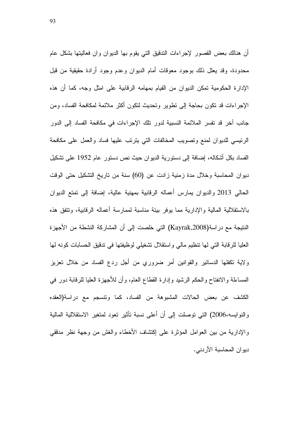أن هنالك بعض القصور لإجراءات الندقيق التي يقوم بها الديوان وان فعاليتها بشكل عام محدودة، وقد يعلل ذلك بوجود معوقات أمام الديوان وعدم وجود أرادة حقيقية من قبل الإدارة الحكومية تمكن الديوان من القيام بمهامه الرقابية على امثل وجه، كما أن هذه الإجراءات قد نكون بحاجة إلى نطوير ونحديث لنكون اكثر ملائمة لمكافحة الفساد، ومن جانب اخر قد تفسر الملائمة النسبية لدور نلك الإجراءات في مكافحة الفساد إلى الدور الرئيسي للديوان لمنع وتصويب المخالفات التي يترتب عليها فساد والعمل على مكافحة الفساد بكل أشكاله، إضافة إلى دستورية الديوان حيث نص دستور عام 1952 على تشكيل ديوان المحاسبة وخلال مدة زمنية زادت عن (60) سنة من تاريخ التشكيل حتى الوقت الحالي 2013 والديوان يمارس أعماله الرقابية بمهنية عالية، إضافة إلى تمتع الديوان بالاستقلالية المالية والإدارية مما يوفر بيئة مناسبة لممارسة أعماله الرقابية، ونتفق هذه النتيجة مع در اسة(Kayrak,2008) التي خلصت إلى أن المشاركة النشطة من الأجهزة العليا للرقابة التي لها نتظيم مالي واستقلال نشغيلي لوظيفتها في ندقيق الحسابات كونه لها ولاية نكفلها الدساتير والقوانين أمر ضروري من أجل ردع الفساد من خلال تعزيز المساءلة والانفتاح والحكم الرشيد وإدارة القطاع العام، وأن للأجهزة العليا للرقابة دور في الكشف عن بعض الحالات المشبوهة من الفساد، كما ونتسجم مع دراسة(العقده والنوايسه،2006) التي توصلت إلى أن أعلى نسبة تأثير تعود لمتغير الاستقلالية المالية والإدارية من بين العوامل المؤثرة على إكتشاف الأخطاء والغش من وجهة نظر مدققي ديوان المحاسبة الأردني.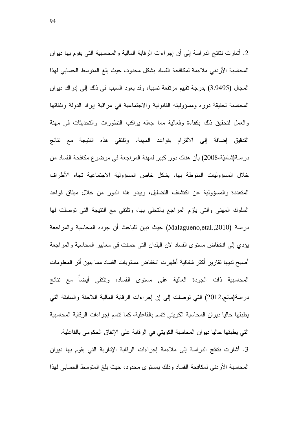2. أشارت نتائج الدراسة إلى أن إجراءات الرقابة المالية والمحاسبية التي يقوم بها ديوان المحاسبة الأردني ملاءمة لمكافحة الفساد بشكل محدود، حيث بلغ المنوسط الحسابي لهذا المجال (3.9495) بدرجة تقييم مرتفعة نسبيا، وقد يعود السبب في ذلك إلى إدراك ديوان المحاسبة لحقيقة دوره ومسؤوليته القانونية والاجتماعية فمي مراقبة إيراد الدولة ونفقاتها والعمل لتحقيق ذلك بكفاءة وفعالية مما جعله بواكب التطورات والتحديثات في مهنة التدفيق إضافة إلى الالتزام بقواعد المهنة، ونلتقى هذه النتيجة مع نتائج در اسة(شاميّة،2008) بأن هناك دور كبير لمهنة المراجعة في موضوع مكافحة الفساد من خلال المسؤوليات المنوطة بها، بشكل خاص المسؤولية الاجتماعية تجاه الأطراف المتعددة والمسؤولية عن اكتشاف التضليل، ويبدو هذا الدور من خلال ميثاق قواعد السلوك المهنى والتي يلزم المراجع بالتحلي بها، وتلتقي مع النتيجة التي توصلت لها دراسة (Malagueno,etal.,2010) حيث نبين للباحث أن جوده المحاسبة والمراجعة يؤدي إلى انخفاض مستوى الفساد لان البلدان التي حسنت في معايير المحاسبة والمراجعة أصبح لديها نقارير أكثر شفافية أظهرت انخفاض مستويات الفساد مما يبين أثر المعلومات المحاسبية ذات الجودة العالية على مستوى الفساد، وتلتقي أيضا مع نتائج دراسة(مانع،2012) التي نوصلت إلى إن إجراءات الرقابة المالية اللاحقة والسابقة التي يطبقها حاليا ديوان المحاسبة الكويتي تتسم بالفاعلية، كما نتسم إجراءات الرقابة المحاسبية التي يطبقها حاليا ديوان المحاسبة الكويتي في الرقابة على الإنفاق الحكومي بالفاعلية. 3. أشارت نتائج الدراسة إلى ملاءمة إجراءات الرقابة الإدارية التي يقوم بها ديوان

المحاسبة الأردنبي لمكافحة الفساد وذلك بمستوى محدود، حيث بلغ المتوسط الحسابي لهذا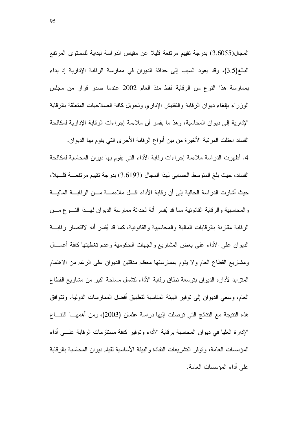المجال(3.6055) بدرجة نقييم مرتفعة قليلا عن مقياس الدراسة لبداية للمستوى المرتفع البالغ(3.5)، وقد يعود السبب إلى حداثة الديوان في ممارسة الرقابة الإدارية إذ بداء بممارسة هذا النوع من الرقابة فقط منذ العام 2002 عندما صدر قرار من مجلس الوزراء بالغاء ديوان الرقابة والنفنيش الإداري ونحويل كافة الصلاحيات المتعلقة بالرقابة الإدارية إلى ديوان المحاسبة، وهذ ما يفسر أن ملاءمة إجراءات الرقابة الإدارية لمكافحة الفساد احتلت المرتبة الأخير ة من بين أنواع الرقابة الأخرى التي يقوم بها الديوان.

4. أظهرت الدراسة ملاءمة إجراءات رقابة الأداء التي يقوم بها ديوان المحاسبة لمكافحة الفساد، حيث بلغ المتوسط الحسابي لهذا المجال (3.6193) بدرجة تقييم مرتفعــــة فلــــيلا، حيث أشارت الدراسة الحالية إلى أن رقابة الأداء اقـــل ملاءمــــة مـــن الرقابــــة الماليـــة والمحاسبية والرقابة القانونية مما قد يُفسر أنة لحداثة ممارسة الديوان لمهــذا النـــوع مـــن الرقابة مقارنة بالرقابات المالية والمحاسبية والقانونية، كما قد يُفسر أنه لاقتصار رقابـــة الديوان على الأداء على بعض المشاريع والجهات الحكومية وعدم نغطيتها كافة أعمـــال ومشاريع القطاع العام ولا يقوم بممارستها معظم مدققين الديوان على الرغم من الاهتمام المتزايد لأداره الديوان بنوسعة نطاق رقابة الأداء لتشمل مساحة اكبر من مشاريع القطاع العام، وسعي الديوان إلى نوفير البيئة المناسبة لتطبيق أفضل الممارسات الدولية، وتتوافق هذه النتيجة مع النتائج التي توصلت اليها در اسة عثمان (2003)، ومن أهمهـــا اقتنـــاع الإدارة العليا في ديو إن المحاسبة برقابة الأداء وتوفير كافة مستلزمات الرقابة علـــي أداء المؤسسات العامة، و نو فر النشر يعات النفاذة و البيئة الأساسية لقيام ديو ان المحاسبة بالر قابة على أداء المؤسسات العامة.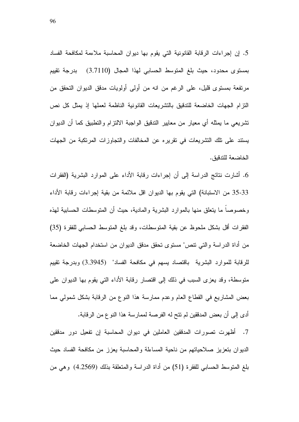5. إن إجراءات الرقابة القانونية التي يقوم بها ديوان المحاسبة ملاءمة لمكافحة الفساد بمستوى محدود، حيث بلغ المتوسط الحسابي لهذا المجال (3.7110) بدرجة تقييم مرتفعة بمستوى قليل، على الرغم من انه من أولىي أولويات مدقق الديوان التحقق من النزام الجهات الخاضعة للتدقيق بالتشريعات القانونية الناظمة لعملها إذ يمثل كل نص نشريعي ما يمثله أي معيار من معايير الندقيق الواجبة الالتزام والنطبيق كما أن الديوان يستند على نلك النشريعات في تقريره عن المخالفات والنجاوزات المرتكبة من الجهات الخاضعة للتدقيق.

6. أشارت نتائج الدراسة إلى أن إجراءات رقابة الأداء على الموارد البشرية (الفقرات 35-33 من الاستبانة) التي يقوم بها الديوان اقل ملائمة من بقية إجراءات رقابة الأداء وخصوصا ما يتعلق منها بالموارد البشرية والمادية، حيث أن المتوسطات الحسابية لمهذه الفقرات أقل بشكل ملحوظ عن بقية المتوسطات، وقد بلغ المتوسط الحسابي للفقرة (35) من أداة الدر اسة والتي تتص" مستوى تحقق مدقق الديوان من استخدام الجهات الخاضعة للرقابة للموارد البشرية باقتصاد بسهم في مكافحة الفساد" (3.3945) وبدرجة تقييم متوسطة، وقد يعزى السبب في ذلك إلى اقتصار رقابة الأداء التي يقوم بها الديوان على بعض المشاريع في القطاع العام وعدم ممارسة هذا النوع من الرقابة بشكل شمولي مما أدى إلى أن بعض المدققين لم نتح له الفرصة لممارسة هذا النوع من الرقابة.

7. أظهرت تصورات المدققين العاملين في ديوان المحاسبة إن تفعيل دور مدققين الديوان بتعزيز صلاحياتهم من ناحية المساءلة والمحاسبة يعزز من مكافحة الفساد حيث بلغ المنوسط الحسابي للفقرة (51) من أداة الدراسة والمتعلقة بذلك (4.2569) وهي من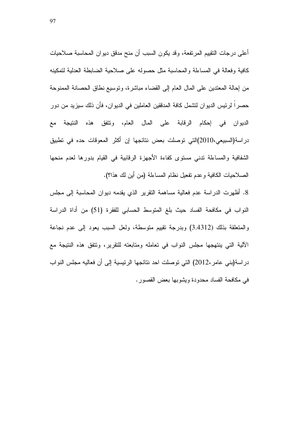أعلى درجات النقييم المرتفعة، وقد يكون السبب أن منح مدقق ديوان المحاسبة صلاحيات كافية وفعالة في المساءلة والمحاسبة مثل حصوله على صلاحية الضابطة العدلية لتمكينه من إحالة المعتدين على المال العام إلى القضاء مباشرة، ونوسيع نطاق الحصانة الممنوحة حصراً لرئيس الديوان لتشمل كافة المدققين العاملين في الديوان، فأن ذلك سيزيد من دور الديوان في إحكام الرقابة على المال العام، وتتفق هذه النتيجة مع در اسة(السبيعي،2010)التي توصلت بعض نتائجها إن أكثر المعوفات حده في تطبيق الشفافية والمساءلة ندنى مستوى كفاءة الأجهزة الرقابية في القيام بدورها لعدم منحها الصلاحيات الكافية وعدم تفعيل نظام المساءلة (من أين لك هذا؟).

8. أظهرت الدراسة عدم فعالية مساهمة النقرير الذي يقدمه ديوان المحاسبة إلى مجلس النواب في مكافحة الفساد حيث بلغ المنوسط الحسابي للفقرة (51) من أداة الدراسة والمتعلقة بذلك (3.4312) وبدرجة تقييم متوسطة، ولعل السبب يعود إلى عدم نجاعة الآلية التي ينتهجها مجلس النواب في تعامله ومتابعته للتقرير، وتتفق هذه النتيجة مع در اسة(بني عامر ،2012) التي توصلت احد نتائجها الرئيسية إلى أن فعاليه مجلس النواب في مكافحة الفساد محدودة ويشوبها بعض القصور .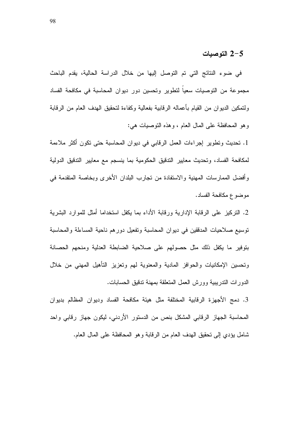### 2-5 التوصيات

في ضوء النتائج التي تم التوصل إليها من خلال الدراسة الحالية، يقدم الباحث مجموعة من النوصيات سعيا لنطوير وتحسين دور ديوان المحاسبة في مكافحة الفساد ولتمكين الديوان من القيام بأعماله الرقابية بفعالية وكفاءة لتحقيق الهدف العام من الرقابة وهو المحافظة على المال العام ، وهذه التوصيات هي:

1. نحديث ونطوير إجراءات العمل الرقابي في ديوان المحاسبة حتى نكون أكثر ملاءمة لمكافحة الفساد، وتحديث معايير التدقيق الحكومية بما ينسجم مع معايير التدقيق الدولية وأفضل الممارسات المهنية والاستفادة من تجارب البلدان الأخرى وبخاصة المتقدمة في موضوع مكافحة الفساد.

2. التركيز على الرقابة الإدارية ورقابة الأداء بما يكفل استخداما أمثل للموارد البشرية نوسيع صلاحيات المدققين في ديوان المحاسبة وتفعيل دورهم ناحية المساءلة والمحاسبة بنوفير ما يكفل ذلك مثل حصولهم على صلاحية الضابطة العدلية ومنحهم الحصانة ونحسين الإمكانيات والحوافز المادية والمعنوية لمهم ونعزيز التأهيل المهنى من خلال الدورات الندريبية وورش العمل المنعلقة بمهنة ندقيق الحسابات.

3. دمج الأجهزة الرقابية المختلفة مثل هيئة مكافحة الفساد وديوان المظالم بديوان المحاسبة الجهاز الرقابي المشكل بنص من الدستور الأردني، ليكون جهاز رقابي واحد شامل يؤدي إلى نحقيق الهدف العام من الرقابة وهو المحافظة على المال العام.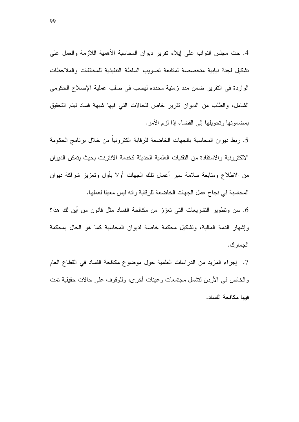4. حث مجلس النواب على ايلاء نقرير ديوان المحاسبة الأهمية اللازمة والعمل على نشكيل لجنة نيابية متخصصة لمتابعة تصويب السلطة التنفيذية للمخالفات والملاحظات الواردة في النقرير ضمن مدد زمنية محدده ليصب في صلب عملية الإصلاح الحكومي الشامل، والطلب من الديوان نقرير خاص للحالات التي فيها شبهة فساد ليتم التحقيق بمضمونها وتحويلها إلى القضاء إذا لزم الأمر.

5. ربط ديوان المحاسبة بالجهات الخاضعة للرقابة الكترونيا من خلال برنامج الحكومة الالكترونية والاستفادة من التقنيات العلمية الحديثة كخدمة الانترنت بحيث يتمكن الديوان من الاطلاع ومنابعة سلامة سبر أعمال نلك الجهات أولا بأول وتعزيز شراكة ديوان المحاسبة في نجاح عمل الجهات الخاضعة للرقابة وانه ليس معيقا لعملها.

6. سن ونطوير النشريعات النبي نعزز من مكافحة الفساد مثل قانون من أين لك هذا؟ وإشهار الذمة المالية، ونشكيل محكمة خاصة لديوان المحاسبة كما هو الحال بمحكمة الجمار ك.

7. [جراء المزيد من الدراسات العلمية حول موضوع مكافحة الفساد في القطاع العام والخاص في الأردن لنتسمل مجتمعات وعينات أخرى، وللوقوف على حالات حقيقية نمت فيها مكافحة الفساد.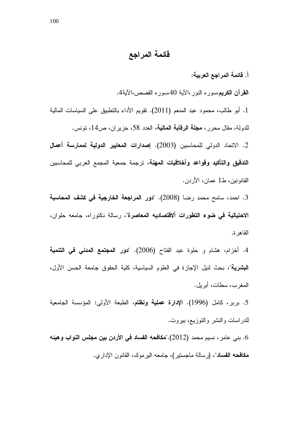قائمة المراجع

أ. قائمة المراجع العربية:

**القرآن الكريم**،سوره النور،الأية 40،سوره القصص،الأية4.

1. أبو طالب، محمود عبد المنعم (2011). تقويم الأداء بالتطبيق على السياسات المالية للدولة، مقال محرر ، **مجلة الرقابة المالية**، العدد 58، حزير ان، ص14، تونس.

2. الاتحاد الدولي للمحاسبين (2003). إ**صدارات المعايير الدونية نممارسة أعمال التدقيق والتأكيد وقواعد وأخلاقيات المهنة**، ترجمة جمعية المجمع العربي للمحاسبين القانونين، ط1 عمان، الأردن.

3. احمد، سامح محمد رضنا (2008). "**دور المراجعة الخارجية في كشف المحاسبة** الاحتيالية في ضوء التطورات ألاقتصاديه المعاصرة"، رسالة دكتوراه، جامعه حلوان، القاهرة.

4. أخزام، هشام و حلوة عبد الفتاح (2006). "**دور المجتمع المدن***ي* **ف***ي* **التنمية البشرية**"، بحث لنيل الإجازة في العلوم السياسية، كلية الحقوق جامعة الحسن الأول، المغرب، سطات، أبريل.

5. بربر، كامل (1996). الإ**دارة عملية ونظا**م، الطبعة الأولى: المؤسسة الجامعية للدر اسات والنشر والنوزيع، بيروت.

6. بني عامر ، نسيم محمد (2012)."**مكافحه الفساد في الأردن بين مجلس النواب وهيئه** م**كافحه الفساد**"، (رسالة ماجستير)، جامعه اليرموك، القانون الإداري.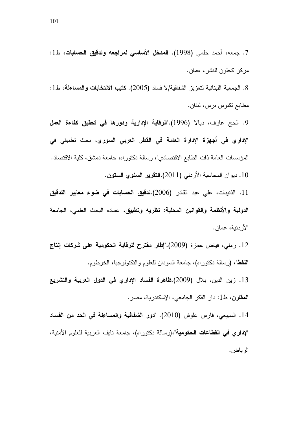8. الجمعية اللبنانية لتعزيز الشفافية/لا فساد (2005). ك**تيب الانتخابات والمساعلة،** ط1: مطابع تكنوس برس، لبنان.

9. الحج عارف، ديالا (1996)."ا**لرقابة الإدارية ودورها في تحقيق كفاءة الع***م***ل** الإدار ي في أ**جهزة الإدارة العامة في القطر العربي السو**ري، بحث تطبيقي في المؤسسات العامة ذات الطابع الاقتصادي"، رسالة دكتوراه، جامعة دمشق، كلية الاقتصاد. 10. ديوان المحاسبة الأردني (2011).ا**لتقرير السنوي الستون**.

11. الذنيبات، علي عبد القادر (2006).**تدقيق الحسابات في ضوء معايير التدقيق** ا**لدولية والأنظمة والقوانين المحلية: نظريه وتطبيق،** عماده البحث العلمي، الجامعة الأردنية، عمان.

12. رملي، فياض حمزة (2009)."إ**طار مقترح للرقابة الحكومية على شركات إنتاج النفط**"، (رسالة دكتوراه)، جامعة السودان للعلوم والنكنولوجيا، الخرطوم.

13. زين الدين، بلال (2009).ظاهرة الفساد الإداري في الدول العربية والتشريع **المقارن،** ط1: دار الفكر الجامعي، الإسكندرية، مصر .

14. السبيعي، فارس علوش (2010). "دور الشفافية والمساعلة في الحد من الفساد الإ**داري في القطاعات الحكومية**"،(رسالة دكتوراه)، جامعة نايف العربية للعلوم الأمنية، الرياض.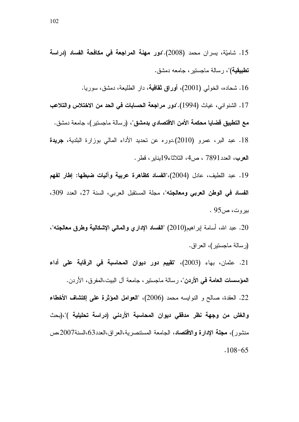. The contract of the contract of  $\mathcal{A}$ 16. شحاده، الخولي (2001)، أ**وراق ثقافية**، دار الطليعة، دمشق، سوريـ

> 17. الشنواني، غياث (1994)."دور مراجعة الحسابات في الحد من الاختلاس والتلاعب مع ا**لتطبيق قضايا محكمة الأمن الاقتصادي بدمشق**"، (رسالة ماجستير )، جامعة دمشق.

> 18. عبد البر، عمرو (2010) دوره عن تحديد الأداء المالي بوزارة البلدية، **جريدة** الـعرب، الـعدد7891 ، ص4، الثلاثاء19يناير ، قطر .

> 19. عبد اللطيف، عادل (2004)،"الفساد كظاهرة عربية وآليات ضبطها: إطار لفهم الفساد في الوطن العربي ومعالجته"، مجلة المستقبل العربي، السنة 27، العدد 309، . بیروت، ص $95\,$

> 20. عبد الله، أسامة إبراهيم(2010) "الفساد الإداري والمالي الإشكالية وطرق معالجته"، (رسالة ماجستير)، العراق.

> 21. عثمان، بهاء (2003)، "**تقبيم دور ديوان المحاسبة في الرقابة على أداء** المؤسسات العامة في الأردن"، رسالة ماجستير ، جامعة آل البيت،المفرق، الأردن. 22. العقدة، صـالح و النوايسه محمد (2006)، "العوامل المؤثرة علمي إكتشاف الأخطاء والغش من وجهة نظر مدققي ديوان المحاسبة الأردني (دراسة تحليلية )"،(بحث

> منشور)، مجلة الإدارة والاقتصاد، الجامعة المستنصرية،العراق،العدد63،السنة2007،ص

 $.108 - 65$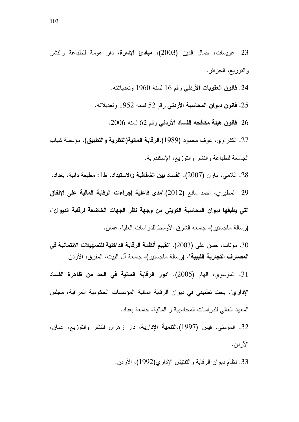23. عويسات، جمال الدين (2003). **مبادئ الإدارة**، دار هومة للطباعة والنشر والنوزيع، الجزائر .

24. **قانون العقوبات الأردني** رقم 16 لسنة 1960 وتعديلاته.

25. **قانون ديوان المحاسبة الأردني** رقم 52 لسنه 1952 وتعديلاته.

26. **قانون هيئة مكافحه الفساد الأردني** رقم 62 لسنه 2006.

27. الكفر او ي، عوف محمود (1989).ا**لرقابة المالية(النظرية والتطبيق)**، مؤسسة شباب الجامعة للطباعة والنشر والنوزيع، الإسكندرية.

28. اللامي، مازن (2007). ا**لفساد بين الشفافية والاستبداد**، ط1: مطبعة دانية، بغداد.

29. المطيري، احمد مانع (2012)."**مدى فاعلية إجراءات الرقابة المالية على الإنفاق** التي يطبقها ديوان المحاسبة الكويتي من وجهة نظر الجهات الخاضعة لرقابة الديوان"،

(رسالة ماجستير)، جامعه الشرق الأوسط للدراسات العليا، عمان.

30. مونات، حسن علي (2003). "**تقييم أنظمة الرقابة الداخلية للتسهيلات الائتمانية ف***ي* **المصارف التجارية الليبية**"، (رسالة ماجستير)، جامعة آل البيت، المفرق، الأردن.

31. الموسوي، الـهام (2005). "**دور الرقابة المالية في الـحد من ظاهرة الفساد** الإداري"، بحث تطبيقي في ديوان الرقابة المالية المؤسسات الحكومية العراقية، مجلس المعهد العالي للدراسات المحاسبية و المالية، جامعة بغداد.

32. المومني، قيس (1997).ا**لتنمية الإدارية**، دار زهران للنشر والتوزيع، عمان، الأردن.

33. نظام ديوان الرقابة والتفتيش الإداري(1992)، الأردن.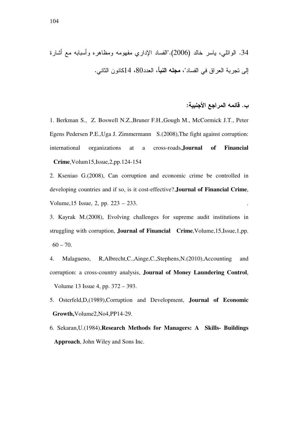H - 0 - 
 1 3-&

\$A D R - A" (. 2006) - - %#
 .34 . -I 
-14 80% % ~ @B "% - A ) BC

### ب. فَائمه المراجع الأجنبية:

1. Berkman S., Z. Boswell N.Z.,Bruner F.H.,Gough M., McCormick J.T., Peter Egens Pedersen P.E.,Uga J. Zimmermann S.(2008),The fight against corruption: international organizations at a cross-roads,**Journal of Financial Crime**,Volum15,Issue,2,pp.124-154

2. Kseniao G.(2008), Can corruption and economic crime be controlled in developing countries and if so, is it cost-effective?.**Journal of Financial Crime**, Volume,15 Issue, 2, pp. 223 – 233. .

3. Kayrak M.(2008), Evolving challenges for supreme audit institutions in struggling with corruption, **Journal of Financial Crime**,Volume,15,Issue,1,pp.  $60 - 70.$ 

4. Malagueno, R,Albrecht,C.,Ainge,C.,Stephens,N.(2010),Accounting and corruption: a cross-country analysis, **Journal of Money Laundering Control**, Volume 13 Issue 4, pp. 372 – 393.

5. Osterfeld,D,(1989),Corruption and Development, **Journal of Economic Growth,**Volume2,No4,PP14-29.

6. Sekaran,U.(1984),**Research Methods for Managers: A Skills- Buildings Approach**, John Wiley and Sons Inc.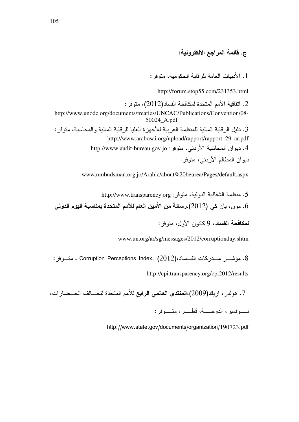### ج. قائمة المراجع الالكترونية:

1. الأدبيات العامة للرقابة الحكومية، متوفر :

http://forum.stop55.com/231353.html

2. اتفاقية الأمم المتحدة لمكافحة الفساد(2012)، متوفر : http://www.unodc.org/documents/treaties/UNCAC/Publications/Convention/08- 50024\_A.pdf 3. دليل الرقابة المالية للمنظمة العربية للاجهزة العليا للرقابة المالية والمحاسبة، متوفر : http://www.arabosai.org/upload/rapport/rapport\_29\_ar.pdf 4. ديو ان المحاسبة الأردني، متوفر : http://www.audit-bureau.gov.jo ديوان المظالم الأردني، متوفر :

www.ombudsman.org.jo/Arabic/about%20beurea/Pages/default.aspx

5. منظمة الشفافية الدولية، متوفر : http://www.transparency.org . مون، بان كي  $(2012)$ .رسالة من الأمين العام للأمم المتحدة بمناسبة اليوم الدولي.

لمكافحة الفساد، 9 كانون الأول، متوفر :

www.un.org/ar/sg/messages/2012/corruptionday.shtm

. مؤشـــر مـــدركات الفـــساد،(2012) ،Corruption Perceptions Index ، متـــوفر :

http://cpi.transparency.org/cpi2012/results

7. هولدر ، اريك(2009)،ا**لمنتدى العالمي الرابع** للأمم المتحدة لتحـــالف الحـــضـارات،

 : نـــــوفمبر، الدوحـــــة، قطــــــر، متـــــوفه

http://www.state.gov/documents/organization/190723.pdf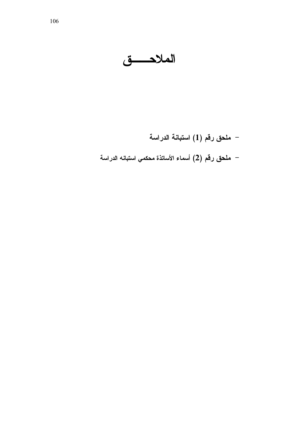الملاحسق

– ملحق رقم (1) استبانـة الدراسـة – ملحق رقم (2) أسماء الأساتذة محكمي استبانه الدراسة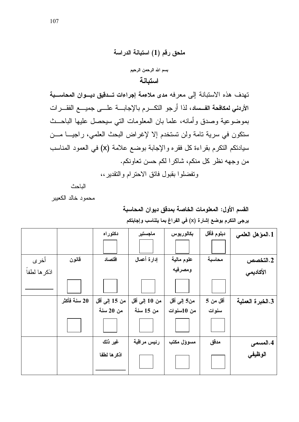

تهدف هذه الاستبانة إلى معرفه مدى ملاءمة إجراءات تـدقيق ديـوان المحاسـبة الأردني لمكافحة الفساد، لذا أرجو التكــرم بالإجابـــة علـــي جميــــع الفقـــرات بموضوعية وصدق وأمانه، علما بان المعلومات التي سيحصل عليها الباحــث ستكون في سرية تامة ولن تستخدم إلا لإغراض البحث العلمي، راجيــا مـــن سيادنكم النكرم بقراءة كل فقره والإجابة بوضع علامة (x) في العمود المناسب من وجهه نظر كل منكم، شاكرا لكم حسن تعاونكم.

وتفضلوا بقبول فائق الاحترام والتقدير،،

الباحث

محمود خالد الكعيبر

### القسم الأول: المعلومات الخاصة بمدفق ديوان المحاسبة يرجى التكرم بوضع إشارة (x) في الفراغ بما يتناسب وإجابتكم

|              |              | دكتوراه       | ماجستير        | بكالوريوس   | دبلوم فأقل | 1.المؤهل العلمي  |
|--------------|--------------|---------------|----------------|-------------|------------|------------------|
|              |              |               |                |             |            |                  |
| أخرى         | قانون        | اقتصاد        | إدارة أعمال    | علوم مالية  | محاسبة     | 2.التخصص         |
| اذكر ها لطفا |              |               |                | ومصرفيه     |            | الأكاديمي        |
|              |              |               |                |             |            |                  |
|              | 20 سنة فأكثر | من 15 إلى أقل | من 10 إلىي أقل | من5 إلى أقل | أقل من 5   | 3.الخبرة العملية |
|              |              | من 20 سنة     | من 15 سنة      | من 10سنوات  | سنوات      |                  |
|              |              |               |                |             |            |                  |
|              |              | غير ذلك       | رئيس مراقبة    | مسوؤل مكتب  | مدقق       | 4.المسمى         |
|              |              | اذكرها لطفا   |                |             |            | الوظيفي          |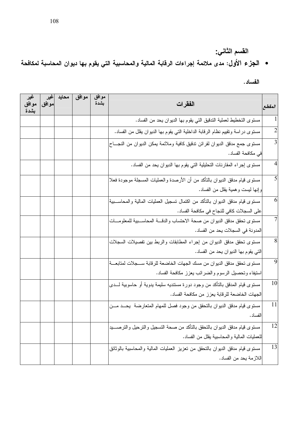• الجزء الأول: مدى ملائمة إجراءات الرقابة المالية والمحاسبية التي يقوم بها ديوان المحاسبة لمكافحة

الفساد .

| غير<br>موافق<br>بشدة | غیر<br>موافق | محايد | موافق | موافق<br>بشدة | الفقرات                                                                          | المقطع         |
|----------------------|--------------|-------|-------|---------------|----------------------------------------------------------------------------------|----------------|
|                      |              |       |       |               | مستوى التخطيط لعملية التدقيق التي يقوم بـها الديوان يـحد من الفساد.              | $\mathbf{1}$   |
|                      |              |       |       |               | مستوى در اسة وتقييم نظام الرقابة الداخلية التي يقوم بـها الديوان يقلل من الفساد. | $\overline{2}$ |
|                      |              |       |       |               | مستوى جمع مدقق الديوان لقرائن ندقيق كافية وملائمة يمكن الديوان من النجساح        | $\overline{3}$ |
|                      |              |       |       |               | في مكافحة الفساد.                                                                |                |
|                      |              |       |       |               | مستوى إجراء المقارنات التحليلية التي يقوم بها الديوان يحد من الفساد.             | $\overline{4}$ |
|                      |              |       |       |               | مستوى قيام مدقق الدبوان بالنأكد من أن الأرصدة والعمليات المسجلة موجودة فعلا      | $\overline{5}$ |
|                      |              |       |       |               | وإنها ليست وهمية يقلل من الفساد.                                                 |                |
|                      |              |       |       |               | مستوى قيام مدقق الدبوان بالتأكد من اكتمال تسجيل العمليات المالية والمحاســـبية   | 6              |
|                      |              |       |       |               | على السجلات كافي للنجاح في مكافحة الفساد.                                        |                |
|                      |              |       |       |               | مستوى تحقق مدقق الديوان من صحة الاحتساب والدقسة المحاسسبية للمعلومسات            | $\overline{7}$ |
|                      |              |       |       |               | المدونة في السجلات يحد من الفساد.                                                |                |
|                      |              |       |       |               | مستوى نحقق مدقق الديوان من إجراء المطابقات والربط بين تفصيلات السجلات            | $\overline{8}$ |
|                      |              |       |       |               | التبي يقوم بـها الديوان يـحد من الفساد.                                          |                |
|                      |              |       |       |               | مستوى تحقق مدقق الديوان من مسك الجهات الخاضعة للرقابة ســجلات لمتابعـــة         | $\overline{9}$ |
|                      |              |       |       |               | استيفاء وتحصيل الرسوم والضرائب يعزز مكافحة الفساد.                               |                |
|                      |              |       |       |               | مسنوى قيام المدقق بالتأكد من وجود دورة مستنديه سليمة بدوية أو حاسوبية لــــدى    | 10             |
|                      |              |       |       |               | الجهات الخاضعة للرقابة يعزز من مكافحة الفساد.                                    |                |
|                      |              |       |       |               | مستوى قيام مدقق الدبوان بالنحقق من وجود فصل للمهام المتعارضة  يحــد مـــن        | 11             |
|                      |              |       |       |               | الفساد .                                                                         |                |
|                      |              |       |       |               | مستوى قيام مدقق الديوان بالتحقق بالتأكد من صحة التسجيل والترحيل والترصــــيد     | 12             |
|                      |              |       |       |               | للعمليات المالية والمحاسبية يقلل من الفساد.                                      |                |
|                      |              |       |       |               | مستوى قيام مدقق الدبوان بالنحقق من نعزيز العمليات المالية والمحاسبية بالوثائق    | 13             |
|                      |              |       |       |               | اللازمة يحد من الفساد.                                                           |                |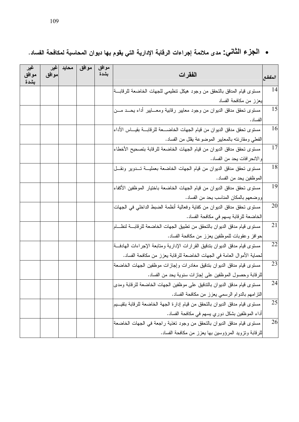| غير<br>موافق<br>بشدة | غير<br>موافق | محايد | موافق | موافق<br>بشدة | الفقرات                                                                                | المقطع          |
|----------------------|--------------|-------|-------|---------------|----------------------------------------------------------------------------------------|-----------------|
|                      |              |       |       |               | مستوى قيام المدقق بالتحقق من وجود هيكل نتظيمي للجهات الخاضعة للرقابـــة                | 14              |
|                      |              |       |       |               | يعزز من مكافحة الفساد                                                                  |                 |
|                      |              |       |       |               | مستوى نحقق مدقق الدبوان من وجود معايير رقابية ومعـــابير أداء بحـــد مـــن<br>الفساد . | $\overline{15}$ |
|                      |              |       |       |               | مستوى تحقق مدقق الديوان من قيام الجهات الخاضــــعة للرقابـــة بقيــــاس الأداء         | 16              |
|                      |              |       |       |               | الفعلمي ومقارنته بالمعايير الموضوعة يقلل من الفساد.                                    |                 |
|                      |              |       |       |               | مستوى تحقق مدقق الديوان من قيام الجهات الخاضعة للرقابة بتصحيح الأخطاء                  | 17              |
|                      |              |       |       |               | والانحرافات يحد من الفساد.                                                             |                 |
|                      |              |       |       |               | مستوى تحقق مدقق الديوان من قيام الجهات الخاضعة بعمليـــة تـــدوير ونقـــل              | 18              |
|                      |              |       |       |               | الموظفين يحد من الفساد.                                                                |                 |
|                      |              |       |       |               | مستوى تحقق مدقق الديوان من قيام الجهات الخاضعة باختيار الموظفين الأكفاء                | $\overline{19}$ |
|                      |              |       |       |               | ووضعهم بالمكان المناسب بحد من الفساد.                                                  |                 |
|                      |              |       |       |               | مستوى تحقق مدقق الديوان من كفاية وفعالية أنظمة الضبط الداخلي في الجهات                 | 20              |
|                      |              |       |       |               | الخاضعة للرقابة يسهم في مكافحة الفساد.                                                 |                 |
|                      |              |       |       |               | مستوى قيام مدقق الديوان بالتحقق من تطبيق الجهات الخاضعة للرقابـــة لنظــــام           | 21              |
|                      |              |       |       |               | حوافز وعقوبات للموظفين يعزز من مكافحة الفساد.                                          |                 |
|                      |              |       |       |               | مستوى قيام مدقق الديوان بتدقيق القرارات الإدارية ومتابعة الإجراءات الهادفة             | 22              |
|                      |              |       |       |               | لحماية الأموال العامة في الجهات الخاضعة للرقابة يعزز من مكافحة الفساد.                 |                 |
|                      |              |       |       |               | مستوى قيام مدقق الديوان بتدقيق مغادرات وإجازات موظفين الجهات الخاضعة                   | 23              |
|                      |              |       |       |               | للرقابة وحصول الموظفين على إجازات سنوية يحد من الفساد.                                 |                 |
|                      |              |       |       |               | مستوى قيام مدقق الدبوان بالتدقيق على موظفين الجهات الخاضعة للرقابة ومدى                | 24              |
|                      |              |       |       |               | النزامهم بالدوام الرسمي يعزز من مكافحة الفساد.                                         |                 |
|                      |              |       |       |               | مستوى قيام مدقق الدبوان بالتحقق من قيام إدارة الجهة الخاضعة للرقابة بتقيـــيم          | 25              |
|                      |              |       |       |               | أداء الموظفين بشكل دوري يسهم في مكافحة الفساد.                                         |                 |
|                      |              |       |       |               | مستوى قيام مدقق الديوان بالتحقق من وجود نغذية راجعة في الجهات الخاضعة                  | 26              |
|                      |              |       |       |               | للرقابة ونزويد المرؤوسين بها يعزز من مكافحة الفساد.                                    |                 |

• الجزع الثَّاني: مدى ملائمة إجراءات الرقابة الإدارية التي يقوم بها ديوان المحاسبة لمكافحة الفساد.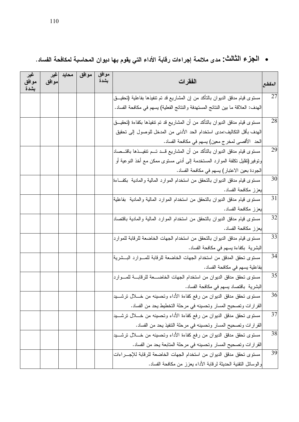# • الجزع الثَّالْتْ: مدى ملائمة إجراءات رقابة الأداء التي يقوم بها ديوان المحاسبة لمكافحة الفساد.

| غير<br>موافق<br>بشدة | اغير<br>موافق | محايد | موافق | موافق<br>بشدة | الفقرات                                                                           | المقطع          |
|----------------------|---------------|-------|-------|---------------|-----------------------------------------------------------------------------------|-----------------|
|                      |               |       |       |               | مستوى قيام مدقق الديوان بالتأكد من إن المشاريع قد تم تنفيذها بفاعلية (تحقيـــق    | 27              |
|                      |               |       |       |               | الهدف: العلاقة ما بين النتائج المستهدفة والنتائج الفعلية) يسهم في مكافحة الفساد.  |                 |
|                      |               |       |       |               | مستوى قيام مدقق الديوان بالتأكد من أن المشاريع قد تم تتفيذها بكفاءة (تحقيــق      | 28              |
|                      |               |       |       |               | الهدف بأقل التكاليف:مدى استخدام الحد الأدنى من المدخل للوصول إلى تحقيق            |                 |
|                      |               |       |       |               | الحد   الأقصـي لمخر ج معين) يسهم في مكافحة الفساد.                                |                 |
|                      |               |       |       |               | مستوى قيام مدقق الديوان بالتأكد من أن المشاريع قـــد تـــم نتفيـــذها باقتـــصـاد | 29              |
|                      |               |       |       |               | ونوفير (تقليل نكلفة الموارد المستخدمة إلى أدنى مستوى ممكن مع أخذ النوعية أو       |                 |
|                      |               |       |       |               | الجودة بعين الاعتبار) يسهم في مكافحة الفساد.                                      |                 |
|                      |               |       |       |               | مستوى قيام مدقق الدبوان بالنحقق من استخدام الموارد المالية والمادية  بكف ءة       | 30              |
|                      |               |       |       |               | يعزز مكافحة الفساد.                                                               |                 |
|                      |               |       |       |               | مستوى قيام مدقق الديوان بالنحقق من استخدام الموارد المالية والمادية  بفاعلية      | 31              |
|                      |               |       |       |               | يعزز مكافحة الفساد.                                                               |                 |
|                      |               |       |       |               | مستوى قيام مدقق الديوان بالنحقق من استخدام الموارد المالية والمادية باقتصاد       | 32              |
|                      |               |       |       |               | يعزز مكافحة الفساد.                                                               |                 |
|                      |               |       |       |               | مستوى قيام مدقق الديوان بالتحقق من استخدام الجهات الخاضعة للرقابة للموارد         | 33              |
|                      |               |       |       |               | البشرية بكفاءة يسهم في مكافحة الفساد.                                             |                 |
|                      |               |       |       |               | مستوى تحقق المدقق من استخدام الجهات الخاضعة للرقابة للمـــوارد البـــشرية         | 34              |
|                      |               |       |       |               | بفاعلية يسهم في مكافحة الفساد.                                                    |                 |
|                      |               |       |       |               | مستوى تحقق مدقق الديوان من استخدام الجهات الخاضـــعة للرقابـــة للمـــوارد        | 35              |
|                      |               |       |       |               | البشرية باقتصاد يسهم في مكافحة الفساد.                                            |                 |
|                      |               |       |       |               | مستوى تحقق مدقق الديوان من رفع كفاءة الأداء وتحسينه من خــــلل ترشـــــيد         | 36              |
|                      |               |       |       |               | القرارات وتصحيح المسار وتحسينه في مرحلة التخطيط يحد من الفساد.                    |                 |
|                      |               |       |       |               | مستوى تحقق مدقق الديوان من رفع كفاءة الأداء وتحسينه من خـــلال نرشــــيد          | $\overline{37}$ |
|                      |               |       |       |               | القرارات وتصحيح المسار وتحسينه في مرحلة التنفيذ يحد من الفساد.                    |                 |
|                      |               |       |       |               | مستوى تحقق مدقق الديوان من رفع كفاءة الأداء وتحسينه من خـــلال ترشــــيد          | 38              |
|                      |               |       |       |               | القرارات وتصحيح المسار وتحسينه في مرحلة المتابعة يحد من الفساد.                   |                 |
|                      |               |       |       |               | مستوى تحقق مدقق الديوان من استخدام الجهات الخاضعة للرقابة للإجـــراءات            | 39              |
|                      |               |       |       |               | والوسائل النقنية الحديثة لرقابة الأداء يعزز من مكافحة الفساد.                     |                 |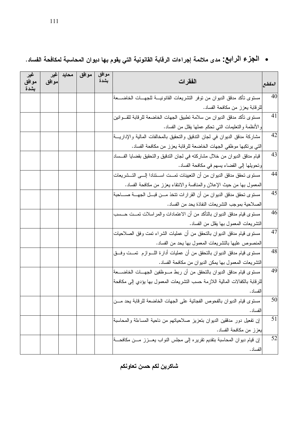## • الجزع الرابع: مدى ملائمة إجراءات الرقابة القانونية التي يقوم بها ديوان المحاسبة لمكافحة الفساد.

| غير<br>موافق<br>بشدة | اغير<br>موافق | محايد | موافق | موافق<br>بشدة | الفقرات                                                                          | المقطع |
|----------------------|---------------|-------|-------|---------------|----------------------------------------------------------------------------------|--------|
|                      |               |       |       |               | مستوى تأكد مدقق الديوان من توفر التشريعات القانونيــــة للجهــــات الخاضـــــعة  | 40     |
|                      |               |       |       |               | للرقابة يعزز من مكافحة الفساد.                                                   |        |
|                      |               |       |       |               | مستوى نأكد مدقق الديوان من سلامة تطبيق الجهات الخاضعة للرقابة للقــوانين         | 41     |
|                      |               |       |       |               | و الأنظمة والنعليمات النبي نحكم عملها يقلل من الفساد.                            |        |
|                      |               |       |       |               | مشاركة مدقق الدبوان في لجان التدقيق والتحقيق بالمخالفات المالية والإداريــــة    | 42     |
|                      |               |       |       |               | التي يرتكبها موظفى الجهات الخاضعة للرقابة يعزز من مكافحة الفساد.                 |        |
|                      |               |       |       |               | قيام مدقق الديوان من خلال مشاركته في لجان التدقيق والتحقيق بقضايا الفـــساد      | 43     |
|                      |               |       |       |               | ونحويلها إلى القضاء بسهم في مكافحة الفساد.                                       |        |
|                      |               |       |       |               | مستوى تحقق مدقق الديوان من أن التعيينات تمــت اســتنادا إلـــي التـــشريعات      | 44     |
|                      |               |       |       |               | المعمول بها من حيث الإعلان والمنافسة والانتقاء يعزز من مكافحة الفساد.            |        |
|                      |               |       |       |               | مستوى تحقق مدقق الديوان من أن القرارات نتخذ مــــن قبــــل الجهــــة صــــــاحبة | 45     |
|                      |               |       |       |               | الصلاحية بموجب التشريعات النفاذة يحد من الفساد.                                  |        |
|                      |               |       |       |               | مستوى فيام مدفق الدبوان بالنأكد من أن الاعتمادات والمراسلات تمـــت حـــسب        | 46     |
|                      |               |       |       |               | التشريعات المعمول بها يقلل من الفساد.                                            |        |
|                      |               |       |       |               | مستوى قيام مدقق الديوان بالنحقق من أن عمليات الشراء نمت وفق الصلاحيات            | 47     |
|                      |               |       |       |               | المنصوص عليها بالنشريعات المعمول بـها يـحد من الفساد.                            |        |
|                      |               |       |       |               | مستوى قيام مدقق الديوان بالنحقق من أن عمليات أدارة اللـــوازم  تمـــت وفـــق     | 48     |
|                      |               |       |       |               | التشريعات المعمول بها يمكن الديوان من مكافحة الفساد.                             |        |
|                      |               |       |       |               | مستوى قيام مدقق الديوان بالتحقق من أن ربط مـــوظفين الـجهـــات الخاضـــــعة      | 49     |
|                      |               |       |       |               | للرقابة بالكفالات المالية اللازمة حسب التشريعات المعمول بها يؤدي إلى مكافحة      |        |
|                      |               |       |       |               | الفساد .                                                                         |        |
|                      |               |       |       |               | مستوى قيام الديوان بالفحوص الفجائية على الجهات الخاضعة للرقابة يحد مـــن         | 50     |
|                      |               |       |       |               | الفساد .                                                                         |        |
|                      |               |       |       |               | إن تفعيل دور مدققين الديوان بتعزيز صلاحياتهم من ناحية المساءلة والمحاسبة         | 51     |
|                      |               |       |       |               | بعزز من مكافحة الفساد.                                                           |        |
|                      |               |       |       |               | إن قيام ديوان المحاسبة بتقديم تقريره إلى مجلس النواب يعــــزز مــــن مكافحــــة  | 52     |
|                      |               |       |       |               | الفساد .                                                                         |        |

شاكرين لكم حسن تعاونكم